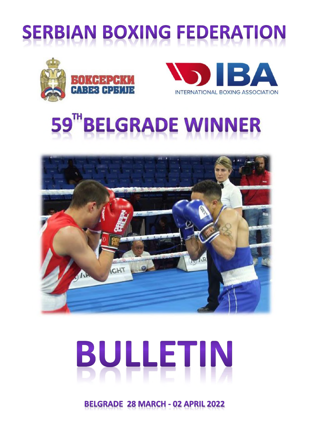









# BULLETIN

**BELGRADE 28 MARCH - 02 APRIL 2022**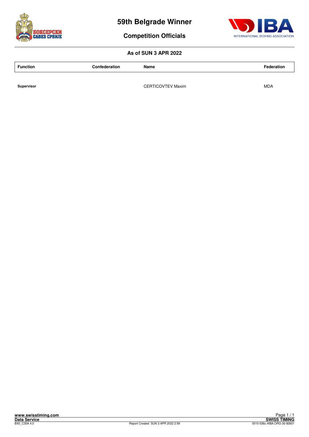



**Competition Officials**

#### **As of SUN 3 APR 2022**

**Function Confederation Name Federation**

**Supervisor CERTICOVTEV Maxim CONTEX MAXIM** MDA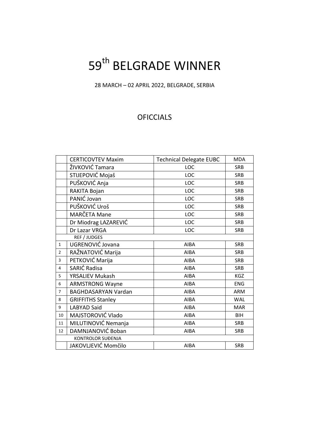### 59<sup>th</sup> BELGRADE WINNER

28 MARCH – 02 APRIL 2022, BELGRADE, SERBIA

#### **OFICCIALS**

|                | <b>CERTICOVTEV Maxim</b>   | <b>Technical Delegate EUBC</b> | <b>MDA</b> |
|----------------|----------------------------|--------------------------------|------------|
|                | ŽIVKOVIĆ Tamara            | LOC                            | <b>SRB</b> |
|                | STIJEPOVIĆ Mojaš           | LOC                            | <b>SRB</b> |
|                | PUŠKOVIĆ Anja              | LOC                            | <b>SRB</b> |
|                | RAKITA Bojan               | LOC                            | <b>SRB</b> |
|                | PANIĆ Jovan                | LOC                            | <b>SRB</b> |
|                | PUŠKOVIĆ Uroš              | LOC                            | <b>SRB</b> |
|                | MARČETA Mane               | LOC                            | <b>SRB</b> |
|                | Dr Miodrag LAZAREVIĆ       | LOC                            | <b>SRB</b> |
|                | Dr Lazar VRGA              | LOC                            | <b>SRB</b> |
|                | REF / JUDGES               |                                |            |
| $\mathbf{1}$   | UGRENOVIĆ Jovana           | <b>AIBA</b>                    | <b>SRB</b> |
| $\overline{2}$ | RAŽNATOVIĆ Marija          | <b>AIBA</b>                    | <b>SRB</b> |
| $\overline{3}$ | PETKOVIĆ Marija            | <b>AIBA</b>                    | <b>SRB</b> |
| $\overline{4}$ | SARIĆ Radisa               | <b>AIBA</b>                    | <b>SRB</b> |
| 5              | <b>YRSALIEV Mukash</b>     | <b>AIBA</b>                    | KGZ        |
| 6              | <b>ARMSTRONG Wayne</b>     | <b>AIBA</b>                    | <b>ENG</b> |
| $\overline{7}$ | <b>BAGHDASARYAN Vardan</b> | <b>AIBA</b>                    | <b>ARM</b> |
| 8              | <b>GRIFFITHS Stanley</b>   | AIBA                           | <b>WAL</b> |
| 9              | <b>LABYAD Said</b>         | <b>AIBA</b>                    | <b>MAR</b> |
| 10             | MAJSTOROVIĆ Vlado          | AIBA                           | <b>BIH</b> |
| 11             | MILUTINOVIĆ Nemanja        | <b>AIBA</b>                    | <b>SRB</b> |
| 12             | DAMNJANOVIĆ Boban          | AIBA                           | <b>SRB</b> |
|                | <b>KONTROLOR SUĐENJA</b>   |                                |            |
|                | JAKOVLJEVIĆ Momčilo        | <b>AIBA</b>                    | <b>SRB</b> |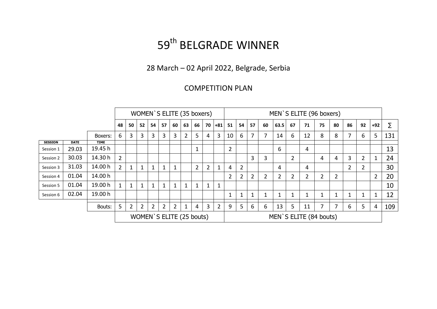### 59<sup>th</sup> BELGRADE WINNER

28 March – 02 April 2022, Belgrade, Serbia

#### COMPETITION PLAN

|                               |             |             |                |                |                |                |                |                |                | WOMEN'S ELITE (35 boxers) |                |                |    |                |    |    |                |    | MEN`S ELITE (96 boxers) |    |    |                |    |              |     |
|-------------------------------|-------------|-------------|----------------|----------------|----------------|----------------|----------------|----------------|----------------|---------------------------|----------------|----------------|----|----------------|----|----|----------------|----|-------------------------|----|----|----------------|----|--------------|-----|
|                               |             |             | 48             | 50             | 52             | 54             | 57             | 60             | 63             | 66                        | 70             | $+81$          | 51 | 54             | 57 | 60 | 63.5           | 67 | 71                      | 75 | 80 | 86             | 92 | $+92$        | Σ   |
|                               |             | Boxers:     | 6              | 3              | 3              | 3              | 3              | 3              | 2              | 5                         | 4              | 3              | 10 | 6              | 7  | 7  | 14             | 6  | 12                      | 8  | 8  | 7              | 6  | 5            | 131 |
| <b>SESSION</b>                | <b>DATE</b> | <b>TIME</b> |                |                |                |                |                |                |                |                           |                |                |    |                |    |    |                |    |                         |    |    |                |    |              |     |
| Session 1                     | 29.03       | 19.45 h     |                |                |                |                |                |                |                |                           |                |                | 2  |                |    |    | 6              |    | 4                       |    |    |                |    |              | 13  |
| Session 2                     | 30.03       | 14.30 h     | $\overline{2}$ |                |                |                |                |                |                |                           |                |                |    |                | 3  | 3  |                | 2  |                         | 4  | 4  | 3              | 2  | $\mathbf{1}$ | 24  |
| Session 3                     | 31.03       | 14.00 h     | $2^{\circ}$    | $\mathbf{1}$   | 1              |                | $\mathbf{1}$   | $\mathbf{1}$   |                | $2^{\circ}$               | $\overline{2}$ | 1              | 4  | 2              |    |    | 4              |    | 4                       |    |    | $\overline{2}$ | 2  |              | 30  |
| 14.00 h<br>01.04<br>Session 4 |             |             |                |                |                | $\overline{2}$ | 2              | $\overline{2}$ | $\overline{2}$ | $\overline{2}$            |                | 2              | 2  | $\overline{2}$ |    |    | $\overline{2}$ | 20 |                         |    |    |                |    |              |     |
| Session 5                     | 01.04       | 19.00 h     | $\mathbf{1}$   | $\mathbf{1}$   | 1              | 1              | 1              | $\mathbf 1$    |                |                           | $\mathbf{1}$   | 1              |    |                |    |    |                |    |                         |    |    |                |    |              | 10  |
| Session 6                     | 02.04       | 19.00 h     |                |                |                |                |                |                |                |                           |                |                | 1  | 1              |    |    | 1              |    | 1                       |    |    |                |    | $\mathbf{1}$ | 12  |
|                               |             |             |                |                |                |                |                |                |                |                           |                |                |    |                |    |    |                |    |                         |    |    |                |    |              |     |
|                               |             | Bouts:      | 5 <sup>5</sup> | $\overline{2}$ | $\overline{2}$ | $\overline{2}$ | $\overline{2}$ | $\overline{2}$ | 1              | 4                         | 3              | $\overline{2}$ | 9  | 5              | 6  | 6  | 13             | 5  | 11                      | 7  |    | 6              | 5  | 4            | 109 |
|                               |             |             |                |                |                |                |                |                |                | WOMEN'S ELITE (25 bouts)  |                |                |    |                |    |    |                |    | MEN'S ELITE (84 bouts)  |    |    |                |    |              |     |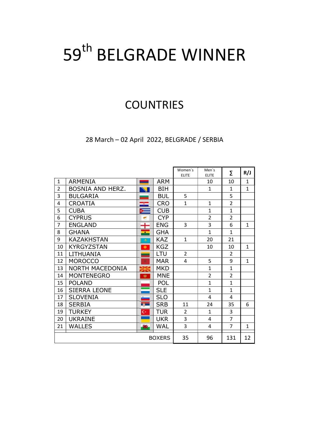### 59<sup>th</sup> BELGRADE WINNER

### **COUNTRIES**

28 March – 02 April 2022, BELGRADE / SERBIA

|                |                     |                |               | Women's<br><b>ELITE</b> | Men's<br><b>ELITE</b> | Σ              | R/J          |
|----------------|---------------------|----------------|---------------|-------------------------|-----------------------|----------------|--------------|
| $\mathbf{1}$   | <b>ARMENIA</b>      | <b>Service</b> | <b>ARM</b>    |                         | 10                    | 10             | $\mathbf{1}$ |
| $\overline{2}$ | BOSNIA AND HERZ.    |                | <b>BIH</b>    |                         | $\mathbf{1}$          | $\mathbf{1}$   | $\mathbf{1}$ |
| 3              | <b>BULGARIA</b>     |                | <b>BUL</b>    | 5                       |                       | 5              |              |
| 4              | <b>CROATIA</b>      | ᆍ              | <b>CRO</b>    | $\mathbf{1}$            | $\mathbf{1}$          | $\overline{2}$ |              |
| 5              | <b>CUBA</b>         |                | <b>CUB</b>    |                         | $\mathbf{1}$          | $\mathbf{1}$   |              |
| 6              | <b>CYPRUS</b>       |                | <b>CYP</b>    |                         | $\overline{2}$        | $\overline{2}$ |              |
| $\overline{7}$ | <b>ENGLAND</b>      |                | <b>ENG</b>    | 3                       | 3                     | 6              | $\mathbf{1}$ |
| 8              | <b>GHANA</b>        | ÷              | <b>GHA</b>    |                         | $\mathbf{1}$          | $\mathbf{1}$   |              |
| 9              | <b>KAZAKHSTAN</b>   | ٠              | <b>KAZ</b>    | $\mathbf{1}$            | 20                    | 21             |              |
| 10             | <b>KYRGYZSTAN</b>   | ۰              | <b>KGZ</b>    |                         | 10                    | 10             | $\mathbf{1}$ |
| 11             | LITHUANIA           |                | LTU           | $\overline{2}$          |                       | $\overline{2}$ |              |
| 12             | <b>MOROCCO</b>      | z              | <b>MAR</b>    | 4                       | 5                     | 9              | $\mathbf{1}$ |
| 13             | NORTH MACEDONIA     |                | <b>MKD</b>    |                         | $\mathbf{1}$          | $\mathbf{1}$   |              |
| 14             | <b>MONTENEGRO</b>   | ۰              | <b>MNE</b>    |                         | $\overline{2}$        | $\overline{2}$ |              |
| 15             | <b>POLAND</b>       |                | <b>POL</b>    |                         | $\mathbf{1}$          | $\mathbf{1}$   |              |
| 16             | <b>SIERRA LEONE</b> |                | <b>SLE</b>    |                         | $\mathbf{1}$          | $\mathbf{1}$   |              |
| 17             | <b>SLOVENIA</b>     |                | <b>SLO</b>    |                         | $\overline{4}$        | 4              |              |
| 18             | <b>SERBIA</b>       | <b>SOFT</b>    | <b>SRB</b>    | 11                      | 24                    | 35             | 6            |
| 19             | <b>TURKEY</b>       | $\mathbf{C}^*$ | <b>TUR</b>    | $\overline{2}$          | $\mathbf{1}$          | 3              |              |
| 20             | <b>UKRAINE</b>      |                | <b>UKR</b>    | 3                       | 4                     | $\overline{7}$ |              |
| 21             | <b>WALLES</b>       | 獬              | <b>WAL</b>    | 3                       | 4                     | $\overline{7}$ | $\mathbf{1}$ |
|                |                     |                | <b>BOXERS</b> | 35                      | 96                    | 131            | 12           |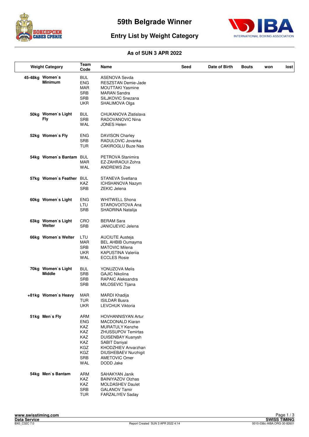



#### **Entry List by Weight Category**

|      | <b>Weight Category</b>              | <b>Team</b><br>Code                                                                            | Name                                                                                                                                                                                                                                  | Seed | Date of Birth | <b>Bouts</b> | won | lost |
|------|-------------------------------------|------------------------------------------------------------------------------------------------|---------------------------------------------------------------------------------------------------------------------------------------------------------------------------------------------------------------------------------------|------|---------------|--------------|-----|------|
|      | 45-48kg Women's<br><b>Minimum</b>   | <b>BUL</b><br><b>ENG</b><br>MAR<br><b>SRB</b><br><b>SRB</b><br><b>UKR</b>                      | <b>ASENOVA Sevda</b><br>RESZSTAN Demie-Jade<br><b>MOUTTAKI Yasmine</b><br><b>MARAN Sandra</b><br>SILJKOVIC Snezana<br>SHALIMOVA Olga                                                                                                  |      |               |              |     |      |
| 50kg | Women's Light<br><b>Fly</b>         | <b>BUL</b><br><b>SRB</b><br><b>WAL</b>                                                         | CHUKANOVA Zlatislava<br>RADOVANOVIC Nina<br><b>JONES Helen</b>                                                                                                                                                                        |      |               |              |     |      |
|      | 52kg Women's Fly                    | <b>ENG</b><br>SRB<br><b>TUR</b>                                                                | <b>DAVISON Charley</b><br>RADULOVIC Jovanka<br>CAKIROGLU Buze Nas                                                                                                                                                                     |      |               |              |     |      |
|      | 54kg Women's Bantam                 | <b>BUL</b><br><b>MAR</b><br>WAL                                                                | PETROVA Stanimira<br>EZ-ZAHRAOUI Zohra<br><b>ANDREWS Zoe</b>                                                                                                                                                                          |      |               |              |     |      |
|      | 57kg Women's Feather                | <b>BUL</b><br><b>KAZ</b><br><b>SRB</b>                                                         | STANEVA Svetlana<br>ICHSHANOVA Nazym<br><b>ZEKIC Jelena</b>                                                                                                                                                                           |      |               |              |     |      |
|      | 60kg Women's Light                  | ENG<br>LTU<br><b>SRB</b>                                                                       | <b>WHITWELL Shona</b><br>STAROVOITOVA Ana<br>SHADRINA Natalija                                                                                                                                                                        |      |               |              |     |      |
|      | 63kg Women's Light<br>Welter        | CRO<br><b>SRB</b>                                                                              | <b>BERAM Sara</b><br>JANICIJEVIC Jelena                                                                                                                                                                                               |      |               |              |     |      |
|      | 66kg Women's Welter                 | LTU<br><b>MAR</b><br><b>SRB</b><br><b>UKR</b><br>WAL                                           | <b>AUCIUTE Austeja</b><br><b>BEL AHBIB Oumayma</b><br><b>MATOVIC Milena</b><br><b>KAPUSTINA Valerija</b><br><b>ECCLES Rosie</b>                                                                                                       |      |               |              |     |      |
|      | 70kg Women's Light<br><b>Middle</b> | BUL<br><b>SRB</b><br><b>SRB</b><br><b>SRB</b>                                                  | YONUZOVA Melis<br><b>GAJIC Nikolina</b><br><b>RAPAIC Aleksandra</b><br>MILOSEVIC Tijana                                                                                                                                               |      |               |              |     |      |
|      | +81kg Women's Heavy                 | <b>MAR</b><br><b>TUR</b><br><b>UKR</b>                                                         | MARDI Khadija<br><b>ISILDAR Busra</b><br><b>LEVCHUK Viktoria</b>                                                                                                                                                                      |      |               |              |     |      |
|      | 51kg Men's Fly                      | <b>ARM</b><br><b>ENG</b><br>KAZ<br>KAZ<br><b>KAZ</b><br><b>KAZ</b><br>KGZ<br>KGZ<br>SRB<br>WAL | HOVHANNISYAN Artur<br><b>MACDONALD Kiaran</b><br><b>MURATULY Kenzhe</b><br><b>ZHUSSUPOV Temirtas</b><br>DUISENBAY Kuanysh<br>SABIT Daniyal<br>KHODZHIEV Anvarzhan<br><b>DIUSHEBAEV Nurzhigit</b><br><b>AMETOVIC Omer</b><br>DODD Jake |      |               |              |     |      |
|      | 54kg Men's Bantam                   | <b>ARM</b><br>KAZ<br>KAZ<br>SRB<br><b>TUR</b>                                                  | SAHAKYAN Janik<br><b>BAINIYAZOV Olzhas</b><br><b>MOLDASHEV Daulet</b><br><b>GALANOV Tamir</b><br>FARZALIYEV Saday                                                                                                                     |      |               |              |     |      |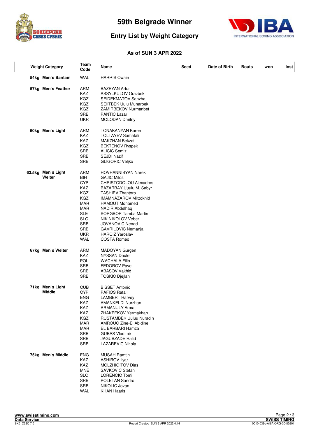



#### **Entry List by Weight Category**

| <b>Weight Category</b> | Team<br>Code             | Name                                        | Seed | Date of Birth | Bouts | won | lost |
|------------------------|--------------------------|---------------------------------------------|------|---------------|-------|-----|------|
| 54kg Men's Bantam      | WAL                      | <b>HARRIS Owain</b>                         |      |               |       |     |      |
| 57kg Men's Feather     | <b>ARM</b>               | <b>BAZEYAN Artur</b>                        |      |               |       |     |      |
|                        | <b>KAZ</b>               | <b>ASSYLKULOV Orazbek</b>                   |      |               |       |     |      |
|                        | KGZ                      | SEIDEKMATOV Sanzha                          |      |               |       |     |      |
|                        | KGZ                      | <b>SEIITBEK Uulu Munarbek</b>               |      |               |       |     |      |
|                        | KGZ                      | ZAMIRBEKOV Nurmanbet                        |      |               |       |     |      |
|                        | SRB                      | <b>PANTIC Lazar</b>                         |      |               |       |     |      |
|                        | <b>UKR</b>               | <b>MOLODAN Dmitriy</b>                      |      |               |       |     |      |
| 60kg Men's Light       | ARM                      | <b>TONAKANYAN Karen</b>                     |      |               |       |     |      |
|                        | KAZ                      | <b>TOLTAYEV Samatali</b>                    |      |               |       |     |      |
|                        | KAZ                      | MAKZHAN Bekzat                              |      |               |       |     |      |
|                        | KGZ                      | <b>BEKTENOV Ryspek</b>                      |      |               |       |     |      |
|                        | <b>SRB</b>               | <b>ALICIC Semiz</b>                         |      |               |       |     |      |
|                        | SRB                      | SEJDI Nazif                                 |      |               |       |     |      |
|                        | <b>SRB</b>               | <b>GLIGORIC Veljko</b>                      |      |               |       |     |      |
| 63.5kg Men's Light     | ARM                      | <b>HOVHANNISYAN Narek</b>                   |      |               |       |     |      |
| Welter                 | <b>BIH</b>               | <b>GAJIC Milos</b>                          |      |               |       |     |      |
|                        | <b>CYP</b>               | CHRISTODOLOU Alexadros                      |      |               |       |     |      |
|                        | KAZ                      | BAZARBAY Uuulu M. Sabyr                     |      |               |       |     |      |
|                        | KGZ                      | <b>TASHIEV Zhantoro</b>                     |      |               |       |     |      |
|                        | KGZ                      | <b>IMAMNAZAROV Mirzokhid</b>                |      |               |       |     |      |
|                        | MAR                      | <b>HAMOUT Mohamed</b>                       |      |               |       |     |      |
|                        | <b>MAR</b>               | NADIR Abdelhaq                              |      |               |       |     |      |
|                        | <b>SLE</b>               | SORGBOR Tamba Martin                        |      |               |       |     |      |
|                        | <b>SLO</b><br><b>SRB</b> | NIK NIKOLOV Veber<br><b>JOVANOVIC Nenad</b> |      |               |       |     |      |
|                        | <b>SRB</b>               | GAVRILOVIC Nemanja                          |      |               |       |     |      |
|                        | <b>UKR</b>               | <b>HARCIZ Yaroslav</b>                      |      |               |       |     |      |
|                        | WAL                      | <b>COSTA Romeo</b>                          |      |               |       |     |      |
| 67kg Men's Welter      | <b>ARM</b>               | MADOYAN Gurgen                              |      |               |       |     |      |
|                        | KAZ                      | <b>NYSSAN Daulet</b>                        |      |               |       |     |      |
|                        | <b>POL</b>               | <b>WACHALA Filip</b>                        |      |               |       |     |      |
|                        | <b>SRB</b>               | <b>FEDOROV Pavel</b>                        |      |               |       |     |      |
|                        | <b>SRB</b>               | <b>ABASOV Vakhid</b>                        |      |               |       |     |      |
|                        | <b>SRB</b>               | TOSKIC Djejlan                              |      |               |       |     |      |
| 71kg Men's Light       | <b>CUB</b>               | <b>BISSET Antonio</b>                       |      |               |       |     |      |
| Middle                 | <b>CYP</b>               | <b>PAFIOS Rafail</b>                        |      |               |       |     |      |
|                        | <b>ENG</b>               | <b>LAMBERT Harvey</b>                       |      |               |       |     |      |
|                        | KAZ                      | AMANKELDI Nurzhan                           |      |               |       |     |      |
|                        | KAZ                      | <b>ARMANULY Armat</b>                       |      |               |       |     |      |
|                        | KAZ                      | ZHAKPEKOV Yermakhan                         |      |               |       |     |      |
|                        | KGZ                      | <b>RUSTAMBEK Uuluu Nuradin</b>              |      |               |       |     |      |
|                        | <b>MAR</b><br><b>MAR</b> | AMROUG Zine-El Abidine<br>EL BARBARI Hamza  |      |               |       |     |      |
|                        | SRB                      | <b>GUBAS Vladimir</b>                       |      |               |       |     |      |
|                        | <b>SRB</b>               | JAGUBZADE Halid                             |      |               |       |     |      |
|                        | <b>SRB</b>               | <b>LAZAREVIC Nikola</b>                     |      |               |       |     |      |
| 75kg Men's Middle      | <b>ENG</b>               | <b>MUSAH Ramtin</b>                         |      |               |       |     |      |
|                        | KAZ                      | <b>ASHIROV Ilyar</b>                        |      |               |       |     |      |
|                        | KAZ                      | <b>MOLZHIGITOV Dias</b>                     |      |               |       |     |      |
|                        | <b>MNE</b>               | SAVKOVIC Stefan                             |      |               |       |     |      |
|                        | <b>SLO</b>               | <b>LORENCIC Tomi</b>                        |      |               |       |     |      |
|                        | <b>SRB</b>               | POLETAN Sandro                              |      |               |       |     |      |
|                        | <b>SRB</b>               | NIKOLIC Jovan                               |      |               |       |     |      |
|                        | WAL                      | <b>KHAN Haaris</b>                          |      |               |       |     |      |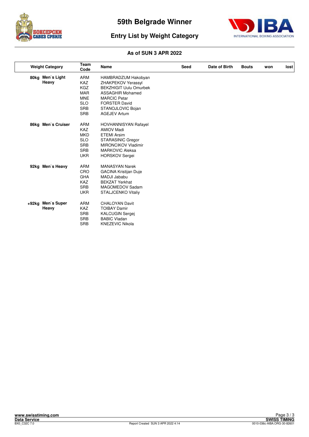



#### **Entry List by Weight Category**

|       | <b>Weight Category</b>    | Team<br>Code                                                                                                 | Name                                                                                                                                                                                             | Seed | Date of Birth | <b>Bouts</b> | won | lost |
|-------|---------------------------|--------------------------------------------------------------------------------------------------------------|--------------------------------------------------------------------------------------------------------------------------------------------------------------------------------------------------|------|---------------|--------------|-----|------|
|       | 80kg Men's Light<br>Heavy | <b>ARM</b><br><b>KAZ</b><br><b>KGZ</b><br><b>MAR</b><br><b>MNE</b><br><b>SLO</b><br><b>SRB</b><br><b>SRB</b> | HAMBRADZUM Hakobyan<br>ZHAKPEKOV Yerassyl<br><b>BEKZHIGIT Uulu Omurbek</b><br><b>ASSAGHIR Mohamed</b><br><b>MARCIC Petar</b><br><b>FORSTER David</b><br>STANOJLOVIC Bojan<br><b>AGEJEV Artum</b> |      |               |              |     |      |
|       | 86kg Men's Cruiser        | <b>ARM</b><br><b>KAZ</b><br><b>MKD</b><br><b>SLO</b><br><b>SRB</b><br><b>SRB</b><br><b>UKR</b>               | <b>HOVHANNISYAN Rafayel</b><br><b>AMIOV Madi</b><br><b>ETEMI Arsim</b><br>STARASINIC Gregor<br><b>MIRONCIKOV Vladimir</b><br><b>MARKOVIC Aleksa</b><br><b>HORSKOV Sergei</b>                     |      |               |              |     |      |
|       | 92kg Men's Heavy          | <b>ARM</b><br>CRO<br><b>GHA</b><br><b>KAZ</b><br><b>SRB</b><br><b>UKR</b>                                    | <b>MANASYAN Narek</b><br><b>GACINA Kristijan Duje</b><br>MADJI Jababu<br><b>BEKZAT Yerkhat</b><br>MAGOMEDOV Sadam<br><b>STALJCENKO Vitaliy</b>                                                   |      |               |              |     |      |
| +92kg | Men's Super<br>Heavy      | <b>ARM</b><br><b>KAZ</b><br><b>SRB</b><br><b>SRB</b><br><b>SRB</b>                                           | <b>CHALOYAN Davit</b><br><b>TOIBAY Damir</b><br>KALCUGIN Sergej<br><b>BABIC Vladan</b><br><b>KNEZEVIC Nikola</b>                                                                                 |      |               |              |     |      |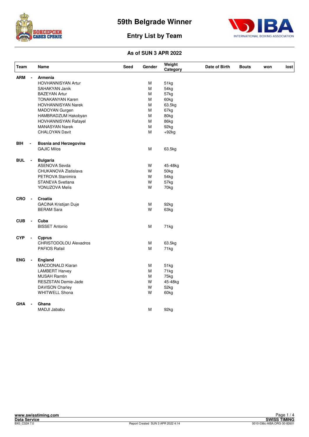



| <b>Team</b> |                | Name                          | Seed | Gender | Weight<br>Category | Date of Birth | <b>Bouts</b> | won | lost |
|-------------|----------------|-------------------------------|------|--------|--------------------|---------------|--------------|-----|------|
| <b>ARM</b>  | $\blacksquare$ | <b>Armenia</b>                |      |        |                    |               |              |     |      |
|             |                | <b>HOVHANNISYAN Artur</b>     |      | М      | 51kg               |               |              |     |      |
|             |                | <b>SAHAKYAN Janik</b>         |      | M      | 54kg               |               |              |     |      |
|             |                | <b>BAZEYAN Artur</b>          |      | M      | 57kg               |               |              |     |      |
|             |                | <b>TONAKANYAN Karen</b>       |      | M      | 60kg               |               |              |     |      |
|             |                | <b>HOVHANNISYAN Narek</b>     |      | M      | 63.5kg             |               |              |     |      |
|             |                | MADOYAN Gurgen                |      | M      | 67kg               |               |              |     |      |
|             |                | HAMBRADZUM Hakobyan           |      | M      | 80kg               |               |              |     |      |
|             |                | <b>HOVHANNISYAN Rafayel</b>   |      | M      | 86kg               |               |              |     |      |
|             |                | <b>MANASYAN Narek</b>         |      | M      | 92kg               |               |              |     |      |
|             |                | <b>CHALOYAN Davit</b>         |      | M      | $+92kg$            |               |              |     |      |
| BIH         | $\blacksquare$ | <b>Bosnia and Herzegovina</b> |      |        |                    |               |              |     |      |
|             |                | <b>GAJIC Milos</b>            |      | М      | 63.5kg             |               |              |     |      |
| <b>BUL</b>  | $\blacksquare$ | <b>Bulgaria</b>               |      |        |                    |               |              |     |      |
|             |                | <b>ASENOVA Sevda</b>          |      | W      | 45-48kg            |               |              |     |      |
|             |                | CHUKANOVA Zlatislava          |      | W      | 50kg               |               |              |     |      |
|             |                | PETROVA Stanimira             |      | W      | 54 <sub>kg</sub>   |               |              |     |      |
|             |                | STANEVA Svetlana              |      | W      | 57kg               |               |              |     |      |
|             |                | YONUZOVA Melis                |      | W      | 70kg               |               |              |     |      |
| <b>CRO</b>  | $\blacksquare$ | Croatia                       |      |        |                    |               |              |     |      |
|             |                | <b>GACINA Kristijan Duje</b>  |      | М      | 92kg               |               |              |     |      |
|             |                | <b>BERAM Sara</b>             |      | W      | 63kg               |               |              |     |      |
| <b>CUB</b>  | $\blacksquare$ | Cuba                          |      |        |                    |               |              |     |      |
|             |                | <b>BISSET Antonio</b>         |      | М      | 71kg               |               |              |     |      |
| <b>CYP</b>  |                | Cyprus                        |      |        |                    |               |              |     |      |
|             |                | <b>CHRISTODOLOU Alexadros</b> |      | М      | 63.5kg             |               |              |     |      |
|             |                | <b>PAFIOS Rafail</b>          |      | М      | 71kg               |               |              |     |      |
| <b>ENG</b>  | $\blacksquare$ | <b>England</b>                |      |        |                    |               |              |     |      |
|             |                | MACDONALD Kiaran              |      | М      | 51kg               |               |              |     |      |
|             |                | <b>LAMBERT Harvey</b>         |      | М      | 71kg               |               |              |     |      |
|             |                | <b>MUSAH Ramtin</b>           |      | M      | 75kg               |               |              |     |      |
|             |                | RESZSTAN Demie-Jade           |      | W      | 45-48kg            |               |              |     |      |
|             |                | <b>DAVISON Charley</b>        |      | W      | 52kg               |               |              |     |      |
|             |                | <b>WHITWELL Shona</b>         |      | W      | 60kg               |               |              |     |      |
| <b>GHA</b>  |                | Ghana                         |      |        |                    |               |              |     |      |
|             |                | MADJI Jababu                  |      | M      | 92kg               |               |              |     |      |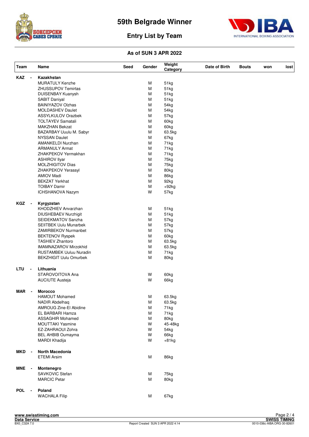



| Team       |                          | Name                           | Seed | Gender | Weight<br>Category | Date of Birth | <b>Bouts</b> | won | lost |
|------------|--------------------------|--------------------------------|------|--------|--------------------|---------------|--------------|-----|------|
| <b>KAZ</b> | $\blacksquare$           | Kazakhstan                     |      |        |                    |               |              |     |      |
|            |                          | <b>MURATULY Kenzhe</b>         |      | М      | 51kg               |               |              |     |      |
|            |                          | <b>ZHUSSUPOV Temirtas</b>      |      | M      | 51kg               |               |              |     |      |
|            |                          | DUISENBAY Kuanysh              |      | M      | 51kg               |               |              |     |      |
|            |                          | <b>SABIT Daniyal</b>           |      | м      | 51kg               |               |              |     |      |
|            |                          | <b>BAINIYAZOV Olzhas</b>       |      | M      | 54 <sub>kg</sub>   |               |              |     |      |
|            |                          | <b>MOLDASHEV Daulet</b>        |      | м      | 54kg               |               |              |     |      |
|            |                          | <b>ASSYLKULOV Orazbek</b>      |      | M      | 57kg               |               |              |     |      |
|            |                          | <b>TOLTAYEV Samatali</b>       |      | м      | 60kg               |               |              |     |      |
|            |                          | <b>MAKZHAN Bekzat</b>          |      | M      | 60kg               |               |              |     |      |
|            |                          | BAZARBAY Uuulu M. Sabyr        |      | M      | 63.5kg             |               |              |     |      |
|            |                          | <b>NYSSAN Daulet</b>           |      | M      |                    |               |              |     |      |
|            |                          |                                |      |        | 67kg               |               |              |     |      |
|            |                          | AMANKELDI Nurzhan              |      | М      | 71kg               |               |              |     |      |
|            |                          | <b>ARMANULY Armat</b>          |      | M      | 71kg               |               |              |     |      |
|            |                          | ZHAKPEKOV Yermakhan            |      | M      | 71kg               |               |              |     |      |
|            |                          | <b>ASHIROV Ilyar</b>           |      | M      | 75kg               |               |              |     |      |
|            |                          | <b>MOLZHIGITOV Dias</b>        |      | м      | 75kg               |               |              |     |      |
|            |                          | ZHAKPEKOV Yerassyl             |      | M      | 80kg               |               |              |     |      |
|            |                          | <b>AMIOV Madi</b>              |      | M      | 86kg               |               |              |     |      |
|            |                          | <b>BEKZAT Yerkhat</b>          |      | M      | 92kg               |               |              |     |      |
|            |                          | <b>TOIBAY Damir</b>            |      | M      | $+92kg$            |               |              |     |      |
|            |                          | ICHSHANOVA Nazym               |      | W      | 57kg               |               |              |     |      |
| <b>KGZ</b> | $\overline{\phantom{a}}$ | Kyrgyzstan                     |      |        |                    |               |              |     |      |
|            |                          | KHODZHIEV Anvarzhan            |      | м      | 51kg               |               |              |     |      |
|            |                          | DIUSHEBAEV Nurzhigit           |      | м      | 51kg               |               |              |     |      |
|            |                          | SEIDEKMATOV Sanzha             |      | M      | 57kg               |               |              |     |      |
|            |                          | <b>SEIITBEK Uulu Munarbek</b>  |      | M      | 57kg               |               |              |     |      |
|            |                          |                                |      | M      |                    |               |              |     |      |
|            |                          | ZAMIRBEKOV Nurmanbet           |      |        | 57kg               |               |              |     |      |
|            |                          | <b>BEKTENOV Ryspek</b>         |      | M      | 60kg               |               |              |     |      |
|            |                          | <b>TASHIEV Zhantoro</b>        |      | M      | 63.5kg             |               |              |     |      |
|            |                          | IMAMNAZAROV Mirzokhid          |      | M      | 63.5kg             |               |              |     |      |
|            |                          | <b>RUSTAMBEK Uuluu Nuradin</b> |      | M      | 71kg               |               |              |     |      |
|            |                          | <b>BEKZHIGIT Uulu Omurbek</b>  |      | M      | 80kg               |               |              |     |      |
| LTU        | $\overline{\phantom{a}}$ | Lithuania                      |      |        |                    |               |              |     |      |
|            |                          | STAROVOITOVA Ana               |      | W      | 60kg               |               |              |     |      |
|            |                          | <b>AUCIUTE Austeja</b>         |      | W      | 66kg               |               |              |     |      |
| <b>MAR</b> |                          | <b>Morocco</b>                 |      |        |                    |               |              |     |      |
|            |                          | <b>HAMOUT Mohamed</b>          |      | M      | 63.5kg             |               |              |     |      |
|            |                          | <b>NADIR Abdelhaq</b>          |      | M      | 63.5kg             |               |              |     |      |
|            |                          | AMROUG Zine-El Abidine         |      | M      | 71kg               |               |              |     |      |
|            |                          | EL BARBARI Hamza               |      | M      | 71kg               |               |              |     |      |
|            |                          | ASSAGHIR Mohamed               |      | М      | 80kg               |               |              |     |      |
|            |                          | MOUTTAKI Yasmine               |      | W      | 45-48kg            |               |              |     |      |
|            |                          | EZ-ZAHRAOUI Zohra              |      | W      | 54kg               |               |              |     |      |
|            |                          | <b>BEL AHBIB Oumayma</b>       |      | W      | 66kg               |               |              |     |      |
|            |                          | MARDI Khadija                  |      | W      | $+81kg$            |               |              |     |      |
|            |                          |                                |      |        |                    |               |              |     |      |
| <b>MKD</b> | $\overline{\phantom{a}}$ | North Macedonia                |      |        |                    |               |              |     |      |
|            |                          | <b>ETEMI Arsim</b>             |      | М      | 86kg               |               |              |     |      |
| MNE        | $\overline{\phantom{a}}$ | Montenegro                     |      |        |                    |               |              |     |      |
|            |                          | SAVKOVIC Stefan                |      | М      | 75kg               |               |              |     |      |
|            |                          | <b>MARCIC Petar</b>            |      | M      | 80kg               |               |              |     |      |
| <b>POL</b> | $\blacksquare$           | Poland                         |      |        |                    |               |              |     |      |
|            |                          | <b>WACHALA Filip</b>           |      | M      | 67kg               |               |              |     |      |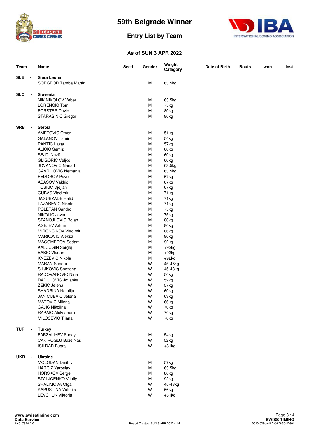



| <b>SLE</b><br>Siera Leone<br>SORGBOR Tamba Martin<br>M<br>63.5kg<br><b>SLO</b><br>Slovenia<br>$\overline{\phantom{a}}$<br>NIK NIKOLOV Veber<br>M<br>63.5kg<br><b>LORENCIC Tomi</b><br>М<br>75kg<br><b>FORSTER David</b><br>M<br>80kg<br>M<br>STARASINIC Gregor<br>86kg<br><b>SRB</b><br>Serbia<br>$\blacksquare$<br><b>AMETOVIC Omer</b><br>51kg<br>М<br><b>GALANOV Tamir</b><br>M<br>54kg<br><b>PANTIC Lazar</b><br>M<br>57kg<br><b>ALICIC Semiz</b><br>M<br>60kg<br><b>SEJDI Nazif</b><br>M<br>60kg<br><b>GLIGORIC Veljko</b><br>M<br>60kg<br>JOVANOVIC Nenad<br>M<br>63.5kg<br>M<br>GAVRILOVIC Nemanja<br>63.5kg<br>M<br><b>FEDOROV Pavel</b><br>67kg<br><b>ABASOV Vakhid</b><br>M<br>67kg<br><b>TOSKIC Djejlan</b><br>M<br>67kg<br><b>GUBAS Vladimir</b><br>M<br>71kg<br>M<br><b>JAGUBZADE Halid</b><br>71kg<br>LAZAREVIC Nikola<br>M<br>71kg<br>POLETAN Sandro<br>M<br>75kg<br>NIKOLIC Jovan<br>M<br>75kg<br>M<br>STANOJLOVIC Bojan<br>80kg<br>M<br><b>AGEJEV Artum</b><br>80kg<br><b>MIRONCIKOV Vladimir</b><br>M<br>86kg<br><b>MARKOVIC Aleksa</b><br>M<br>86kg<br>M<br>MAGOMEDOV Sadam<br>92kg<br>M<br><b>KALCUGIN Sergej</b><br>$+92kg$<br><b>BABIC Vladan</b><br>M<br>$+92kg$<br><b>KNEZEVIC Nikola</b><br>M<br>$+92kg$<br><b>MARAN Sandra</b><br>W<br>45-48kg<br>SILJKOVIC Snezana<br>W<br>45-48kg<br>RADOVANOVIC Nina<br>W<br>50kg<br>RADULOVIC Jovanka<br>W<br>52kg<br><b>ZEKIC Jelena</b><br>W<br>57kg<br>W<br>SHADRINA Natalija<br>60kg<br>W<br>JANICIJEVIC Jelena<br>63kg<br>W<br><b>MATOVIC Milena</b><br>66kg<br><b>GAJIC Nikolina</b><br>W<br>70kg<br><b>RAPAIC Aleksandra</b><br>W<br>70kg<br>MILOSEVIC Tijana<br>W<br>70kg<br><b>TUR</b><br><b>Turkey</b><br>$\overline{\phantom{a}}$<br>FARZALIYEV Saday<br>54kg<br>М<br>W<br>CAKIROGLU Buze Nas<br>52kg<br>W<br><b>ISILDAR Busra</b><br>$+81kg$<br><b>UKR</b><br><b>Ukraine</b><br>$\overline{\phantom{a}}$<br><b>MOLODAN Dmitriy</b><br>57kg<br>M<br><b>HARCIZ Yaroslav</b><br>M<br>63.5kg<br>HORSKOV Sergei<br>86kg<br>M | Team | Name               | <b>Seed</b> | Gender | Weight<br>Category | Date of Birth | <b>Bouts</b> | won | lost |
|---------------------------------------------------------------------------------------------------------------------------------------------------------------------------------------------------------------------------------------------------------------------------------------------------------------------------------------------------------------------------------------------------------------------------------------------------------------------------------------------------------------------------------------------------------------------------------------------------------------------------------------------------------------------------------------------------------------------------------------------------------------------------------------------------------------------------------------------------------------------------------------------------------------------------------------------------------------------------------------------------------------------------------------------------------------------------------------------------------------------------------------------------------------------------------------------------------------------------------------------------------------------------------------------------------------------------------------------------------------------------------------------------------------------------------------------------------------------------------------------------------------------------------------------------------------------------------------------------------------------------------------------------------------------------------------------------------------------------------------------------------------------------------------------------------------------------------------------------------------------------------------------------------------------------------------------------------------------------------------------------|------|--------------------|-------------|--------|--------------------|---------------|--------------|-----|------|
|                                                                                                                                                                                                                                                                                                                                                                                                                                                                                                                                                                                                                                                                                                                                                                                                                                                                                                                                                                                                                                                                                                                                                                                                                                                                                                                                                                                                                                                                                                                                                                                                                                                                                                                                                                                                                                                                                                                                                                                                   |      |                    |             |        |                    |               |              |     |      |
|                                                                                                                                                                                                                                                                                                                                                                                                                                                                                                                                                                                                                                                                                                                                                                                                                                                                                                                                                                                                                                                                                                                                                                                                                                                                                                                                                                                                                                                                                                                                                                                                                                                                                                                                                                                                                                                                                                                                                                                                   |      |                    |             |        |                    |               |              |     |      |
|                                                                                                                                                                                                                                                                                                                                                                                                                                                                                                                                                                                                                                                                                                                                                                                                                                                                                                                                                                                                                                                                                                                                                                                                                                                                                                                                                                                                                                                                                                                                                                                                                                                                                                                                                                                                                                                                                                                                                                                                   |      |                    |             |        |                    |               |              |     |      |
|                                                                                                                                                                                                                                                                                                                                                                                                                                                                                                                                                                                                                                                                                                                                                                                                                                                                                                                                                                                                                                                                                                                                                                                                                                                                                                                                                                                                                                                                                                                                                                                                                                                                                                                                                                                                                                                                                                                                                                                                   |      |                    |             |        |                    |               |              |     |      |
|                                                                                                                                                                                                                                                                                                                                                                                                                                                                                                                                                                                                                                                                                                                                                                                                                                                                                                                                                                                                                                                                                                                                                                                                                                                                                                                                                                                                                                                                                                                                                                                                                                                                                                                                                                                                                                                                                                                                                                                                   |      |                    |             |        |                    |               |              |     |      |
|                                                                                                                                                                                                                                                                                                                                                                                                                                                                                                                                                                                                                                                                                                                                                                                                                                                                                                                                                                                                                                                                                                                                                                                                                                                                                                                                                                                                                                                                                                                                                                                                                                                                                                                                                                                                                                                                                                                                                                                                   |      |                    |             |        |                    |               |              |     |      |
|                                                                                                                                                                                                                                                                                                                                                                                                                                                                                                                                                                                                                                                                                                                                                                                                                                                                                                                                                                                                                                                                                                                                                                                                                                                                                                                                                                                                                                                                                                                                                                                                                                                                                                                                                                                                                                                                                                                                                                                                   |      |                    |             |        |                    |               |              |     |      |
|                                                                                                                                                                                                                                                                                                                                                                                                                                                                                                                                                                                                                                                                                                                                                                                                                                                                                                                                                                                                                                                                                                                                                                                                                                                                                                                                                                                                                                                                                                                                                                                                                                                                                                                                                                                                                                                                                                                                                                                                   |      |                    |             |        |                    |               |              |     |      |
|                                                                                                                                                                                                                                                                                                                                                                                                                                                                                                                                                                                                                                                                                                                                                                                                                                                                                                                                                                                                                                                                                                                                                                                                                                                                                                                                                                                                                                                                                                                                                                                                                                                                                                                                                                                                                                                                                                                                                                                                   |      |                    |             |        |                    |               |              |     |      |
|                                                                                                                                                                                                                                                                                                                                                                                                                                                                                                                                                                                                                                                                                                                                                                                                                                                                                                                                                                                                                                                                                                                                                                                                                                                                                                                                                                                                                                                                                                                                                                                                                                                                                                                                                                                                                                                                                                                                                                                                   |      |                    |             |        |                    |               |              |     |      |
|                                                                                                                                                                                                                                                                                                                                                                                                                                                                                                                                                                                                                                                                                                                                                                                                                                                                                                                                                                                                                                                                                                                                                                                                                                                                                                                                                                                                                                                                                                                                                                                                                                                                                                                                                                                                                                                                                                                                                                                                   |      |                    |             |        |                    |               |              |     |      |
|                                                                                                                                                                                                                                                                                                                                                                                                                                                                                                                                                                                                                                                                                                                                                                                                                                                                                                                                                                                                                                                                                                                                                                                                                                                                                                                                                                                                                                                                                                                                                                                                                                                                                                                                                                                                                                                                                                                                                                                                   |      |                    |             |        |                    |               |              |     |      |
|                                                                                                                                                                                                                                                                                                                                                                                                                                                                                                                                                                                                                                                                                                                                                                                                                                                                                                                                                                                                                                                                                                                                                                                                                                                                                                                                                                                                                                                                                                                                                                                                                                                                                                                                                                                                                                                                                                                                                                                                   |      |                    |             |        |                    |               |              |     |      |
|                                                                                                                                                                                                                                                                                                                                                                                                                                                                                                                                                                                                                                                                                                                                                                                                                                                                                                                                                                                                                                                                                                                                                                                                                                                                                                                                                                                                                                                                                                                                                                                                                                                                                                                                                                                                                                                                                                                                                                                                   |      |                    |             |        |                    |               |              |     |      |
|                                                                                                                                                                                                                                                                                                                                                                                                                                                                                                                                                                                                                                                                                                                                                                                                                                                                                                                                                                                                                                                                                                                                                                                                                                                                                                                                                                                                                                                                                                                                                                                                                                                                                                                                                                                                                                                                                                                                                                                                   |      |                    |             |        |                    |               |              |     |      |
|                                                                                                                                                                                                                                                                                                                                                                                                                                                                                                                                                                                                                                                                                                                                                                                                                                                                                                                                                                                                                                                                                                                                                                                                                                                                                                                                                                                                                                                                                                                                                                                                                                                                                                                                                                                                                                                                                                                                                                                                   |      |                    |             |        |                    |               |              |     |      |
|                                                                                                                                                                                                                                                                                                                                                                                                                                                                                                                                                                                                                                                                                                                                                                                                                                                                                                                                                                                                                                                                                                                                                                                                                                                                                                                                                                                                                                                                                                                                                                                                                                                                                                                                                                                                                                                                                                                                                                                                   |      |                    |             |        |                    |               |              |     |      |
|                                                                                                                                                                                                                                                                                                                                                                                                                                                                                                                                                                                                                                                                                                                                                                                                                                                                                                                                                                                                                                                                                                                                                                                                                                                                                                                                                                                                                                                                                                                                                                                                                                                                                                                                                                                                                                                                                                                                                                                                   |      |                    |             |        |                    |               |              |     |      |
|                                                                                                                                                                                                                                                                                                                                                                                                                                                                                                                                                                                                                                                                                                                                                                                                                                                                                                                                                                                                                                                                                                                                                                                                                                                                                                                                                                                                                                                                                                                                                                                                                                                                                                                                                                                                                                                                                                                                                                                                   |      |                    |             |        |                    |               |              |     |      |
|                                                                                                                                                                                                                                                                                                                                                                                                                                                                                                                                                                                                                                                                                                                                                                                                                                                                                                                                                                                                                                                                                                                                                                                                                                                                                                                                                                                                                                                                                                                                                                                                                                                                                                                                                                                                                                                                                                                                                                                                   |      |                    |             |        |                    |               |              |     |      |
|                                                                                                                                                                                                                                                                                                                                                                                                                                                                                                                                                                                                                                                                                                                                                                                                                                                                                                                                                                                                                                                                                                                                                                                                                                                                                                                                                                                                                                                                                                                                                                                                                                                                                                                                                                                                                                                                                                                                                                                                   |      |                    |             |        |                    |               |              |     |      |
|                                                                                                                                                                                                                                                                                                                                                                                                                                                                                                                                                                                                                                                                                                                                                                                                                                                                                                                                                                                                                                                                                                                                                                                                                                                                                                                                                                                                                                                                                                                                                                                                                                                                                                                                                                                                                                                                                                                                                                                                   |      |                    |             |        |                    |               |              |     |      |
|                                                                                                                                                                                                                                                                                                                                                                                                                                                                                                                                                                                                                                                                                                                                                                                                                                                                                                                                                                                                                                                                                                                                                                                                                                                                                                                                                                                                                                                                                                                                                                                                                                                                                                                                                                                                                                                                                                                                                                                                   |      |                    |             |        |                    |               |              |     |      |
|                                                                                                                                                                                                                                                                                                                                                                                                                                                                                                                                                                                                                                                                                                                                                                                                                                                                                                                                                                                                                                                                                                                                                                                                                                                                                                                                                                                                                                                                                                                                                                                                                                                                                                                                                                                                                                                                                                                                                                                                   |      |                    |             |        |                    |               |              |     |      |
|                                                                                                                                                                                                                                                                                                                                                                                                                                                                                                                                                                                                                                                                                                                                                                                                                                                                                                                                                                                                                                                                                                                                                                                                                                                                                                                                                                                                                                                                                                                                                                                                                                                                                                                                                                                                                                                                                                                                                                                                   |      |                    |             |        |                    |               |              |     |      |
|                                                                                                                                                                                                                                                                                                                                                                                                                                                                                                                                                                                                                                                                                                                                                                                                                                                                                                                                                                                                                                                                                                                                                                                                                                                                                                                                                                                                                                                                                                                                                                                                                                                                                                                                                                                                                                                                                                                                                                                                   |      |                    |             |        |                    |               |              |     |      |
|                                                                                                                                                                                                                                                                                                                                                                                                                                                                                                                                                                                                                                                                                                                                                                                                                                                                                                                                                                                                                                                                                                                                                                                                                                                                                                                                                                                                                                                                                                                                                                                                                                                                                                                                                                                                                                                                                                                                                                                                   |      |                    |             |        |                    |               |              |     |      |
|                                                                                                                                                                                                                                                                                                                                                                                                                                                                                                                                                                                                                                                                                                                                                                                                                                                                                                                                                                                                                                                                                                                                                                                                                                                                                                                                                                                                                                                                                                                                                                                                                                                                                                                                                                                                                                                                                                                                                                                                   |      |                    |             |        |                    |               |              |     |      |
|                                                                                                                                                                                                                                                                                                                                                                                                                                                                                                                                                                                                                                                                                                                                                                                                                                                                                                                                                                                                                                                                                                                                                                                                                                                                                                                                                                                                                                                                                                                                                                                                                                                                                                                                                                                                                                                                                                                                                                                                   |      |                    |             |        |                    |               |              |     |      |
|                                                                                                                                                                                                                                                                                                                                                                                                                                                                                                                                                                                                                                                                                                                                                                                                                                                                                                                                                                                                                                                                                                                                                                                                                                                                                                                                                                                                                                                                                                                                                                                                                                                                                                                                                                                                                                                                                                                                                                                                   |      |                    |             |        |                    |               |              |     |      |
|                                                                                                                                                                                                                                                                                                                                                                                                                                                                                                                                                                                                                                                                                                                                                                                                                                                                                                                                                                                                                                                                                                                                                                                                                                                                                                                                                                                                                                                                                                                                                                                                                                                                                                                                                                                                                                                                                                                                                                                                   |      |                    |             |        |                    |               |              |     |      |
|                                                                                                                                                                                                                                                                                                                                                                                                                                                                                                                                                                                                                                                                                                                                                                                                                                                                                                                                                                                                                                                                                                                                                                                                                                                                                                                                                                                                                                                                                                                                                                                                                                                                                                                                                                                                                                                                                                                                                                                                   |      |                    |             |        |                    |               |              |     |      |
|                                                                                                                                                                                                                                                                                                                                                                                                                                                                                                                                                                                                                                                                                                                                                                                                                                                                                                                                                                                                                                                                                                                                                                                                                                                                                                                                                                                                                                                                                                                                                                                                                                                                                                                                                                                                                                                                                                                                                                                                   |      |                    |             |        |                    |               |              |     |      |
|                                                                                                                                                                                                                                                                                                                                                                                                                                                                                                                                                                                                                                                                                                                                                                                                                                                                                                                                                                                                                                                                                                                                                                                                                                                                                                                                                                                                                                                                                                                                                                                                                                                                                                                                                                                                                                                                                                                                                                                                   |      |                    |             |        |                    |               |              |     |      |
|                                                                                                                                                                                                                                                                                                                                                                                                                                                                                                                                                                                                                                                                                                                                                                                                                                                                                                                                                                                                                                                                                                                                                                                                                                                                                                                                                                                                                                                                                                                                                                                                                                                                                                                                                                                                                                                                                                                                                                                                   |      |                    |             |        |                    |               |              |     |      |
|                                                                                                                                                                                                                                                                                                                                                                                                                                                                                                                                                                                                                                                                                                                                                                                                                                                                                                                                                                                                                                                                                                                                                                                                                                                                                                                                                                                                                                                                                                                                                                                                                                                                                                                                                                                                                                                                                                                                                                                                   |      |                    |             |        |                    |               |              |     |      |
|                                                                                                                                                                                                                                                                                                                                                                                                                                                                                                                                                                                                                                                                                                                                                                                                                                                                                                                                                                                                                                                                                                                                                                                                                                                                                                                                                                                                                                                                                                                                                                                                                                                                                                                                                                                                                                                                                                                                                                                                   |      |                    |             |        |                    |               |              |     |      |
|                                                                                                                                                                                                                                                                                                                                                                                                                                                                                                                                                                                                                                                                                                                                                                                                                                                                                                                                                                                                                                                                                                                                                                                                                                                                                                                                                                                                                                                                                                                                                                                                                                                                                                                                                                                                                                                                                                                                                                                                   |      |                    |             |        |                    |               |              |     |      |
|                                                                                                                                                                                                                                                                                                                                                                                                                                                                                                                                                                                                                                                                                                                                                                                                                                                                                                                                                                                                                                                                                                                                                                                                                                                                                                                                                                                                                                                                                                                                                                                                                                                                                                                                                                                                                                                                                                                                                                                                   |      |                    |             |        |                    |               |              |     |      |
|                                                                                                                                                                                                                                                                                                                                                                                                                                                                                                                                                                                                                                                                                                                                                                                                                                                                                                                                                                                                                                                                                                                                                                                                                                                                                                                                                                                                                                                                                                                                                                                                                                                                                                                                                                                                                                                                                                                                                                                                   |      |                    |             |        |                    |               |              |     |      |
|                                                                                                                                                                                                                                                                                                                                                                                                                                                                                                                                                                                                                                                                                                                                                                                                                                                                                                                                                                                                                                                                                                                                                                                                                                                                                                                                                                                                                                                                                                                                                                                                                                                                                                                                                                                                                                                                                                                                                                                                   |      |                    |             |        |                    |               |              |     |      |
|                                                                                                                                                                                                                                                                                                                                                                                                                                                                                                                                                                                                                                                                                                                                                                                                                                                                                                                                                                                                                                                                                                                                                                                                                                                                                                                                                                                                                                                                                                                                                                                                                                                                                                                                                                                                                                                                                                                                                                                                   |      |                    |             |        |                    |               |              |     |      |
|                                                                                                                                                                                                                                                                                                                                                                                                                                                                                                                                                                                                                                                                                                                                                                                                                                                                                                                                                                                                                                                                                                                                                                                                                                                                                                                                                                                                                                                                                                                                                                                                                                                                                                                                                                                                                                                                                                                                                                                                   |      |                    |             |        |                    |               |              |     |      |
|                                                                                                                                                                                                                                                                                                                                                                                                                                                                                                                                                                                                                                                                                                                                                                                                                                                                                                                                                                                                                                                                                                                                                                                                                                                                                                                                                                                                                                                                                                                                                                                                                                                                                                                                                                                                                                                                                                                                                                                                   |      |                    |             |        |                    |               |              |     |      |
|                                                                                                                                                                                                                                                                                                                                                                                                                                                                                                                                                                                                                                                                                                                                                                                                                                                                                                                                                                                                                                                                                                                                                                                                                                                                                                                                                                                                                                                                                                                                                                                                                                                                                                                                                                                                                                                                                                                                                                                                   |      |                    |             |        |                    |               |              |     |      |
|                                                                                                                                                                                                                                                                                                                                                                                                                                                                                                                                                                                                                                                                                                                                                                                                                                                                                                                                                                                                                                                                                                                                                                                                                                                                                                                                                                                                                                                                                                                                                                                                                                                                                                                                                                                                                                                                                                                                                                                                   |      |                    |             |        |                    |               |              |     |      |
|                                                                                                                                                                                                                                                                                                                                                                                                                                                                                                                                                                                                                                                                                                                                                                                                                                                                                                                                                                                                                                                                                                                                                                                                                                                                                                                                                                                                                                                                                                                                                                                                                                                                                                                                                                                                                                                                                                                                                                                                   |      |                    |             |        |                    |               |              |     |      |
|                                                                                                                                                                                                                                                                                                                                                                                                                                                                                                                                                                                                                                                                                                                                                                                                                                                                                                                                                                                                                                                                                                                                                                                                                                                                                                                                                                                                                                                                                                                                                                                                                                                                                                                                                                                                                                                                                                                                                                                                   |      |                    |             |        |                    |               |              |     |      |
|                                                                                                                                                                                                                                                                                                                                                                                                                                                                                                                                                                                                                                                                                                                                                                                                                                                                                                                                                                                                                                                                                                                                                                                                                                                                                                                                                                                                                                                                                                                                                                                                                                                                                                                                                                                                                                                                                                                                                                                                   |      |                    |             |        |                    |               |              |     |      |
|                                                                                                                                                                                                                                                                                                                                                                                                                                                                                                                                                                                                                                                                                                                                                                                                                                                                                                                                                                                                                                                                                                                                                                                                                                                                                                                                                                                                                                                                                                                                                                                                                                                                                                                                                                                                                                                                                                                                                                                                   |      |                    |             |        |                    |               |              |     |      |
|                                                                                                                                                                                                                                                                                                                                                                                                                                                                                                                                                                                                                                                                                                                                                                                                                                                                                                                                                                                                                                                                                                                                                                                                                                                                                                                                                                                                                                                                                                                                                                                                                                                                                                                                                                                                                                                                                                                                                                                                   |      |                    |             |        |                    |               |              |     |      |
|                                                                                                                                                                                                                                                                                                                                                                                                                                                                                                                                                                                                                                                                                                                                                                                                                                                                                                                                                                                                                                                                                                                                                                                                                                                                                                                                                                                                                                                                                                                                                                                                                                                                                                                                                                                                                                                                                                                                                                                                   |      |                    |             |        |                    |               |              |     |      |
|                                                                                                                                                                                                                                                                                                                                                                                                                                                                                                                                                                                                                                                                                                                                                                                                                                                                                                                                                                                                                                                                                                                                                                                                                                                                                                                                                                                                                                                                                                                                                                                                                                                                                                                                                                                                                                                                                                                                                                                                   |      |                    |             |        |                    |               |              |     |      |
|                                                                                                                                                                                                                                                                                                                                                                                                                                                                                                                                                                                                                                                                                                                                                                                                                                                                                                                                                                                                                                                                                                                                                                                                                                                                                                                                                                                                                                                                                                                                                                                                                                                                                                                                                                                                                                                                                                                                                                                                   |      |                    |             |        |                    |               |              |     |      |
|                                                                                                                                                                                                                                                                                                                                                                                                                                                                                                                                                                                                                                                                                                                                                                                                                                                                                                                                                                                                                                                                                                                                                                                                                                                                                                                                                                                                                                                                                                                                                                                                                                                                                                                                                                                                                                                                                                                                                                                                   |      | STALJCENKO Vitaliy |             | M      | 92kg               |               |              |     |      |
| W<br>SHALIMOVA Olga<br>45-48kg                                                                                                                                                                                                                                                                                                                                                                                                                                                                                                                                                                                                                                                                                                                                                                                                                                                                                                                                                                                                                                                                                                                                                                                                                                                                                                                                                                                                                                                                                                                                                                                                                                                                                                                                                                                                                                                                                                                                                                    |      |                    |             |        |                    |               |              |     |      |
| W<br>KAPUSTINA Valeriia<br>66kg                                                                                                                                                                                                                                                                                                                                                                                                                                                                                                                                                                                                                                                                                                                                                                                                                                                                                                                                                                                                                                                                                                                                                                                                                                                                                                                                                                                                                                                                                                                                                                                                                                                                                                                                                                                                                                                                                                                                                                   |      |                    |             |        |                    |               |              |     |      |
| W<br>LEVCHUK Viktoria<br>$+81kg$                                                                                                                                                                                                                                                                                                                                                                                                                                                                                                                                                                                                                                                                                                                                                                                                                                                                                                                                                                                                                                                                                                                                                                                                                                                                                                                                                                                                                                                                                                                                                                                                                                                                                                                                                                                                                                                                                                                                                                  |      |                    |             |        |                    |               |              |     |      |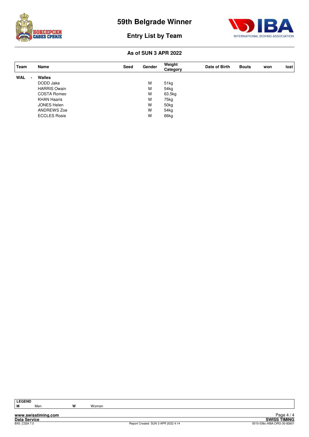



#### **As of SUN 3 APR 2022**

| Team       | Name                | Seed | Gender | Weight<br>Category | Date of Birth | <b>Bouts</b> | won | lost |
|------------|---------------------|------|--------|--------------------|---------------|--------------|-----|------|
| <b>WAL</b> | Walles              |      |        |                    |               |              |     |      |
|            | DODD Jake           |      | М      | 51kg               |               |              |     |      |
|            | <b>HARRIS Owain</b> |      | м      | 54 <sub>kg</sub>   |               |              |     |      |
|            | <b>COSTA Romeo</b>  |      | M      | 63.5kg             |               |              |     |      |
|            | <b>KHAN Haaris</b>  |      | М      | 75kg               |               |              |     |      |
|            | JONES Helen         |      | W      | 50 <sub>kg</sub>   |               |              |     |      |
|            | ANDREWS Zoe         |      | W      | 54 <sub>kg</sub>   |               |              |     |      |
|            | <b>ECCLES Rosie</b> |      | W      | 66kg               |               |              |     |      |

**LEGEND**

**www.swisstiming.com Data Service SWISS TIMING**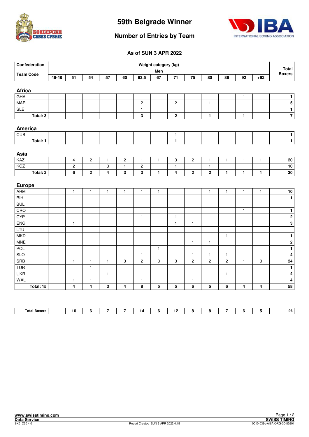



#### **Number of Entries by Team**

| Confederation           |       |                         |                         |                         |                         |                | Weight category (kg)      |                         |                         |                |                |              |              | <b>Total</b>                         |
|-------------------------|-------|-------------------------|-------------------------|-------------------------|-------------------------|----------------|---------------------------|-------------------------|-------------------------|----------------|----------------|--------------|--------------|--------------------------------------|
| <b>Team Code</b>        |       |                         |                         |                         |                         |                | Men                       |                         |                         |                |                |              |              | <b>Boxers</b>                        |
|                         | 46-48 | 51                      | 54                      | 57                      | 60                      | 63.5           | 67                        | 71                      | 75                      | 80             | 86             | 92           | $+92$        |                                      |
|                         |       |                         |                         |                         |                         |                |                           |                         |                         |                |                |              |              |                                      |
| <b>Africa</b><br>GHA    |       |                         |                         |                         |                         |                |                           |                         |                         |                |                | $\mathbf{1}$ |              | $\mathbf{1}$                         |
| <b>MAR</b>              |       |                         |                         |                         |                         | $\overline{c}$ |                           | $\overline{c}$          |                         | $\mathbf{1}$   |                |              |              | $\overline{\overline{\overline{5}}}$ |
| $\overline{\text{SLE}}$ |       |                         |                         |                         |                         | $\mathbf{1}$   |                           |                         |                         |                |                |              |              | $\overline{1}$                       |
| Total: 3                |       |                         |                         |                         |                         | 3              |                           | $\mathbf 2$             |                         | $\mathbf{1}$   |                | 1            |              | $\overline{7}$                       |
|                         |       |                         |                         |                         |                         |                |                           |                         |                         |                |                |              |              |                                      |
| America                 |       |                         |                         |                         |                         |                |                           |                         |                         |                |                |              |              |                                      |
| CUB                     |       |                         |                         |                         |                         |                |                           | $\mathbf{1}$            |                         |                |                |              |              | $\mathbf{1}$                         |
| Total: 1                |       |                         |                         |                         |                         |                |                           | $\mathbf{1}$            |                         |                |                |              |              | $\overline{1}$                       |
|                         |       |                         |                         |                         |                         |                |                           |                         |                         |                |                |              |              |                                      |
| Asia                    |       |                         |                         |                         |                         |                |                           |                         |                         |                |                |              |              |                                      |
| KAZ                     |       | 4                       | $\boldsymbol{2}$        | $\mathbf{1}$            | $\sqrt{2}$              | 1              | $\mathbf{1}$              | 3                       | $\overline{\mathbf{c}}$ | $\mathbf{1}$   | $\mathbf{1}$   | $\mathbf{1}$ | $\mathbf{1}$ | ${\bf 20}$                           |
| KGZ                     |       | $\mathbf 2$             |                         | 3                       | $\mathbf{1}$            | $\overline{c}$ |                           | $\mathbf{1}$            |                         | $\mathbf{1}$   |                |              |              | 10                                   |
| Total: 2                |       | 6                       | $\bf 2$                 | $\overline{\mathbf{4}}$ | $\mathbf 3$             | 3              | $\blacksquare$            | $\overline{\mathbf{4}}$ | $\mathbf 2$             | $\bf 2$        | $\mathbf{1}$   | $\mathbf{1}$ | 1            | 30                                   |
|                         |       |                         |                         |                         |                         |                |                           |                         |                         |                |                |              |              |                                      |
| <b>Europe</b>           |       |                         |                         |                         |                         |                |                           |                         |                         |                |                |              |              |                                      |
| <b>ARM</b>              |       | $\mathbf{1}$            | $\mathbf{1}$            | $\mathbf{1}$            | $\mathbf{1}$            | $\mathbf{1}$   | $\mathbf{1}$              |                         |                         | $\mathbf{1}$   | $\mathbf{1}$   | $\mathbf{1}$ | $\mathbf{1}$ | ${\bf 10}$                           |
| $\overline{BH}$         |       |                         |                         |                         |                         | $\mathbf{1}$   |                           |                         |                         |                |                |              |              | $\overline{\mathbf{1}}$              |
| <b>BUL</b>              |       |                         |                         |                         |                         |                |                           |                         |                         |                |                |              |              |                                      |
| CRO                     |       |                         |                         |                         |                         |                |                           |                         |                         |                |                | $\mathbf{1}$ |              | $\mathbf{1}$                         |
| <b>CYP</b>              |       |                         |                         |                         |                         | 1              |                           | $\mathbf{1}$            |                         |                |                |              |              | $\overline{2}$                       |
| <b>ENG</b>              |       | $\mathbf{1}$            |                         |                         |                         |                |                           | $\mathbf{1}$            | $\mathbf{1}$            |                |                |              |              | $\mathbf{3}$                         |
| LTU                     |       |                         |                         |                         |                         |                |                           |                         |                         |                |                |              |              |                                      |
| <b>MKD</b>              |       |                         |                         |                         |                         |                |                           |                         |                         |                | $\mathbf{1}$   |              |              | $\mathbf{1}$                         |
| <b>MNE</b>              |       |                         |                         |                         |                         |                |                           |                         | $\mathbf{1}$            | $\mathbf{1}$   |                |              |              | $\overline{2}$                       |
| <b>POL</b>              |       |                         |                         |                         |                         |                | $\mathbf{1}$              |                         |                         |                |                |              |              | $\mathbf{1}$                         |
| SLO                     |       |                         |                         |                         |                         | $\mathbf{1}$   |                           |                         | $\mathbf{1}$            | $\mathbf{1}$   | $\mathbf{1}$   |              |              | 4                                    |
| <b>SRB</b>              |       | $\mathbf{1}$            | $\mathbf{1}$            | $\mathbf{1}$            | $\,3$                   | $\overline{c}$ | $\ensuremath{\mathsf{3}}$ | 3                       | $\overline{c}$          | $\overline{c}$ | $\overline{c}$ | $\mathbf{1}$ | 3            | ${\bf 24}$                           |
| <b>TUR</b>              |       |                         | $\mathbf{1}$            |                         |                         |                |                           |                         |                         |                |                |              |              | $\mathbf{1}$                         |
| <b>UKR</b>              |       |                         |                         | $\mathbf{1}$            |                         | $\mathbf{1}$   |                           |                         |                         |                | $\mathbf{1}$   | $\mathbf{1}$ |              | $\overline{\mathbf{4}}$              |
| <b>WAL</b>              |       | $\mathbf{1}$            | $\mathbf{1}$            |                         |                         | $\mathbf{1}$   |                           |                         | $\mathbf{1}$            |                |                |              |              | 4                                    |
| Total: 15               |       | $\overline{\mathbf{4}}$ | $\overline{\mathbf{4}}$ | $\mathbf 3$             | $\overline{\mathbf{4}}$ | 8              | 5                         | 5                       | 6                       | 5              | 6              | 4            | 4            | 58                                   |

| <b>Total</b><br>.<br>יר |  |  |  | . . |  |  | 96 |
|-------------------------|--|--|--|-----|--|--|----|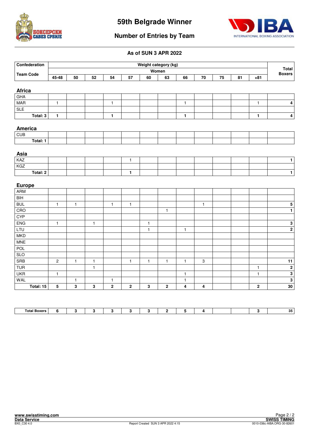



#### **Number of Entries by Team**

| Confederation           |              |              |              |              |              | Weight category (kg) |              |              |                           |    |    |              |                               |
|-------------------------|--------------|--------------|--------------|--------------|--------------|----------------------|--------------|--------------|---------------------------|----|----|--------------|-------------------------------|
| <b>Team Code</b>        |              |              |              |              |              |                      | Women        |              |                           |    |    |              | <b>Total</b><br><b>Boxers</b> |
|                         | 45-48        | 50           | 52           | 54           | 57           | 60                   | 63           | 66           | ${\bf 70}$                | 75 | 81 | $+81$        |                               |
|                         |              |              |              |              |              |                      |              |              |                           |    |    |              |                               |
| <b>Africa</b>           |              |              |              |              |              |                      |              |              |                           |    |    |              |                               |
| GHA                     |              |              |              |              |              |                      |              |              |                           |    |    |              |                               |
| <b>MAR</b>              | $\mathbf{1}$ |              |              | $\mathbf{1}$ |              |                      |              | $\mathbf{1}$ |                           |    |    | $\mathbf{1}$ | $\overline{\mathbf{4}}$       |
| <b>SLE</b>              |              |              |              |              |              |                      |              |              |                           |    |    |              |                               |
| Total: 3                | $\mathbf{1}$ |              |              | $\mathbf{1}$ |              |                      |              | $\mathbf{1}$ |                           |    |    | 1            | $\pmb{4}$                     |
|                         |              |              |              |              |              |                      |              |              |                           |    |    |              |                               |
| America<br>CUB          |              |              |              |              |              |                      |              |              |                           |    |    |              |                               |
| Total: 1                |              |              |              |              |              |                      |              |              |                           |    |    |              |                               |
|                         |              |              |              |              |              |                      |              |              |                           |    |    |              |                               |
| Asia                    |              |              |              |              |              |                      |              |              |                           |    |    |              |                               |
| KAZ                     |              |              |              |              | $\mathbf{1}$ |                      |              |              |                           |    |    |              | $\mathbf{1}$                  |
| KGZ                     |              |              |              |              |              |                      |              |              |                           |    |    |              |                               |
| Total: 2                |              |              |              |              | 1            |                      |              |              |                           |    |    |              | $\mathbf 1$                   |
|                         |              |              |              |              |              |                      |              |              |                           |    |    |              |                               |
| <b>Europe</b>           |              |              |              |              |              |                      |              |              |                           |    |    |              |                               |
| <b>ARM</b>              |              |              |              |              |              |                      |              |              |                           |    |    |              |                               |
| BIH                     |              |              |              |              |              |                      |              |              |                           |    |    |              |                               |
| <b>BUL</b>              | $\mathbf{1}$ | $\mathbf{1}$ |              | $\mathbf{1}$ | $\mathbf{1}$ |                      |              |              | $\mathbf{1}$              |    |    |              | ${\bf 5}$                     |
| CRO                     |              |              |              |              |              |                      | $\mathbf{1}$ |              |                           |    |    |              | $\mathbf{1}$                  |
| CYP                     |              |              |              |              |              |                      |              |              |                           |    |    |              |                               |
| <b>ENG</b>              | $\mathbf{1}$ |              | $\mathbf{1}$ |              |              | $\mathbf{1}$         |              |              |                           |    |    |              | $\mathbf 3$                   |
| LTU                     |              |              |              |              |              | $\mathbf{1}$         |              | $\mathbf{1}$ |                           |    |    |              | $\overline{2}$                |
| <b>MKD</b>              |              |              |              |              |              |                      |              |              |                           |    |    |              |                               |
| <b>MNE</b>              |              |              |              |              |              |                      |              |              |                           |    |    |              |                               |
| POL                     |              |              |              |              |              |                      |              |              |                           |    |    |              |                               |
| <b>SLO</b>              |              |              |              |              |              |                      |              |              |                           |    |    |              |                               |
| SRB                     | $\mathbf 2$  | $\mathbf{1}$ | $\mathbf{1}$ |              | $\mathbf{1}$ | $\mathbf{1}$         | $\mathbf{1}$ | $\mathbf{1}$ | $\ensuremath{\mathsf{3}}$ |    |    |              | 11                            |
|                         |              |              | $\mathbf{1}$ |              |              |                      |              |              |                           |    |    | $\mathbf{1}$ | $\overline{2}$                |
| <b>TUR</b>              |              |              |              |              |              |                      |              | $\mathbf{1}$ |                           |    |    | $\mathbf{1}$ | $\overline{\mathbf{3}}$       |
| <b>UKR</b>              | $\mathbf{1}$ |              |              |              |              |                      |              |              |                           |    |    |              |                               |
| <b>WAL</b><br>Total: 15 |              | $\mathbf{1}$ |              | $\mathbf{1}$ | $\bf 2$      |                      | $\bf 2$      | $\mathbf{1}$ |                           |    |    |              | $\overline{\mathbf{3}}$<br>30 |

| $\overline{\phantom{0}}$<br>⊤ota.<br>Boxer<br>------ |  |  |  |  |  |  | $\mathbf{A}$<br>ື |
|------------------------------------------------------|--|--|--|--|--|--|-------------------|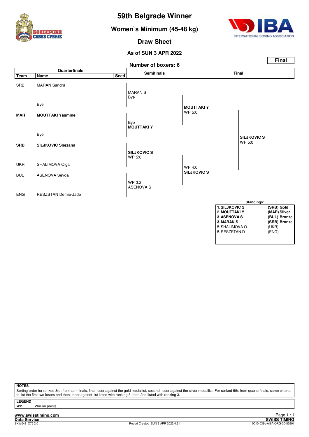

**Women`s Minimum (45-48 kg)**



**Draw Sheet**

#### **As of SUN 3 APR 2022**



**NOTES**

Sorting order for ranked 3rd: from semifinals, first, loser against the gold medallist, second, loser against the silver medallist. For ranked 5th: from quarterfinals, same criteria to list the first two losers and then, loser against 1st listed with ranking 3, then 2nd listed with ranking 3.

**LEGEND Win on points** 

**www.swisstiming.com**<br>Data Service<br>BXW048 C75 2.0

**Data Service SWISS TIMING**<br>BXW048\_C75 2.0 8010-036c-AIBA.ORG-30-82601 Report Created SUN 3 APR 2022 4:21 0010-036c-AIBA.ORG-30-82601 Page 1 / 1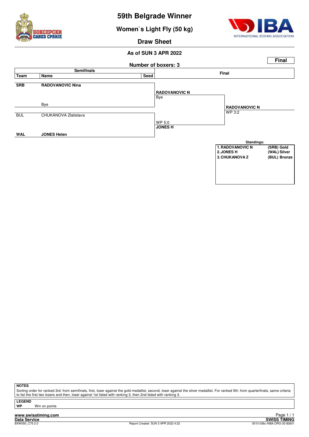

**Women`s Light Fly (50 kg)**



**Draw Sheet**

#### **As of SUN 3 APR 2022 Number of boxers: 3 Final Semifinals Final Team Name Seed SRB RADOVANOVIC Nina** Bye Bye BUL CHUKANOVA Zlatislava WP 5:0 **WAL JONES Helen RADOVANOVIC N** WP 3:2 **JONES H RADOVANOVIC N Standings: 1.RADOVANOVIC N** (SRB) Gold<br>2.JONES H (WAL) Silver **2.Jones (WAL) Silver**<br>**2.Jones H** (BUL) Bronze **3. CHUKANOVA Z**

**NOTES**

Sorting order for ranked 3rd: from semifinals, first, loser against the gold medallist, second, loser against the silver medallist. For ranked 5th: from quarterfinals, same criteria to list the first two losers and then, loser against 1st listed with ranking 3, then 2nd listed with ranking 3.

**LEGEND**

**Win on points**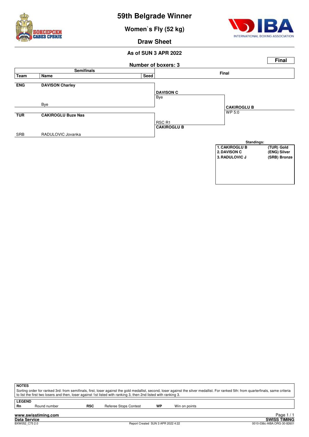

**Women`s Fly (52 kg)**



**3. RADULOVIC J** 

**Draw Sheet**

#### **As of SUN 3 APR 2022 Number of boxers: 3 Final Semifinals Final Team Name Seed ENG DAVISON Charley** Bye Bye **TUR CAKIROGLU Buze Nas** RSC R1 SRB RADULOVIC Jovanka **DAVISON C** WP 5:0 **CAKIROGLU B CAKIROGLU B Standings: 1. CAKIROGLU B** (TUR) Gold<br> **2. DAVISON C** (ENG) Silver **2.DRG**<br>**2.DRG**<br>**2.DRG**<br>**2.DRG**<br>**2.DRG**



**LEGEND**<br>Rn

Round number **RSC** Referee Stops Contest **WP** Win on points

**Data Service SWISS TIMING** 1 / 1 Edge 1<br>SWISS TIMING<br>0010-036c-AIBA.ORG-30-82601 0010-036c-AIBA.ORG-30-82601 0010-036c-AIBA.ORG-30-82601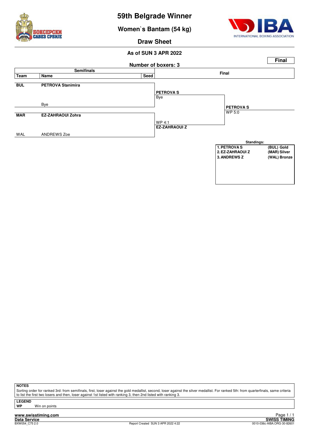

**Women`s Bantam (54 kg)**



**Draw Sheet**

#### **As of SUN 3 APR 2022 Number of boxers: 3 Final Semifinals Final Team Name Seed BUL PETROVA Stanimira** Bye Bye **MAR EZ-ZAHRAOUI Zohra** WP 4:1 WAL ANDREWS Zoe **PETROVA S** WP 5:0 **EZ-ZAHRAOUI Z PETROVA S Standings: 1. PETROVA S** (BUL) Gold<br> **2. EZ-ZAHRAOUI Z** (MAR) Silver **2.EZ-ZAHRAOUI Z (MAR) Silver 3. ANDREWS Z**

**NOTES**

Sorting order for ranked 3rd: from semifinals, first, loser against the gold medallist, second, loser against the silver medallist. For ranked 5th: from quarterfinals, same criteria to list the first two losers and then, loser against 1st listed with ranking 3, then 2nd listed with ranking 3.

**LEGEND**

**Win on points**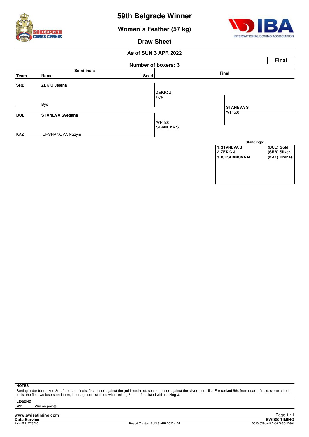

**Women`s Feather (57 kg)**



**Draw Sheet**

#### **As of SUN 3 APR 2022**



**NOTES**

Sorting order for ranked 3rd: from semifinals, first, loser against the gold medallist, second, loser against the silver medallist. For ranked 5th: from quarterfinals, same criteria to list the first two losers and then, loser against 1st listed with ranking 3, then 2nd listed with ranking 3.

**LEGEND**

**Win on points**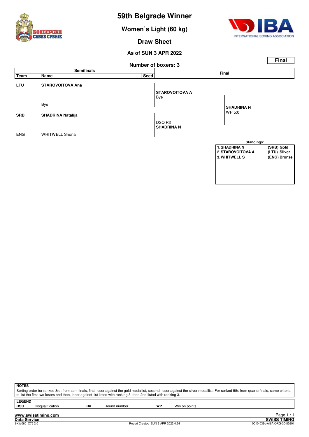

**Women`s Light (60 kg)**



**Draw Sheet**

#### **As of SUN 3 APR 2022 Number of boxers: 3 Final Semifinals Final Team Name Seed LTU STAROVOITOVA Ana** Bye Bye **SRB SHADRINA Natalija** DSQ R3 ENG WHITWELL Shona **STAROVOITOVA A** WP 5:0 **SHADRINA N SHADRINA N Standings: 1. SHADRINA N** (SRB) Gold<br>2. STAROVOITOVA A (LTU) Silver **2. STAROVOITOVA A** (LTU) Silver<br> **2. STAROVOITOVA A** (LTU) Silver<br> **3. WHITWELL S** (ENG) Bronze **3. WHITWELL S**

| ∣ NOTES  |                                                                                                                                                                                       |    |              |    |               |  |  |  |
|----------|---------------------------------------------------------------------------------------------------------------------------------------------------------------------------------------|----|--------------|----|---------------|--|--|--|
|          | Sorting order for ranked 3rd: from semifinals, first, loser against the gold medallist, second, loser against the silver medallist. For ranked 5th: from quarterfinals, same criteria |    |              |    |               |  |  |  |
|          | to list the first two losers and then, loser against 1st listed with ranking 3, then 2nd listed with ranking 3.                                                                       |    |              |    |               |  |  |  |
| l LEGEND |                                                                                                                                                                                       |    |              |    |               |  |  |  |
| ∣ DSQ    | <b>Disqualification</b>                                                                                                                                                               | Rn | Round number | WP | Win on points |  |  |  |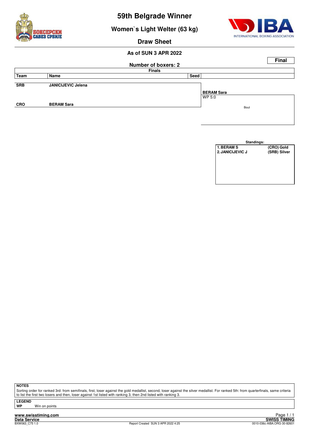

**Women`s Light Welter (63 kg)**



**Draw Sheet**

#### **As of SUN 3 APR 2022**

|            |                           |                            |      |                   |      | <b>Final</b> |
|------------|---------------------------|----------------------------|------|-------------------|------|--------------|
|            |                           | <b>Number of boxers: 2</b> |      |                   |      |              |
|            |                           | <b>Finals</b>              |      |                   |      |              |
| Team       | Name                      |                            | Seed |                   |      |              |
|            |                           |                            |      |                   |      |              |
| <b>SRB</b> | <b>JANICIJEVIC Jelena</b> |                            |      |                   |      |              |
|            |                           |                            |      | <b>BERAM Sara</b> |      |              |
|            |                           |                            |      | WP 5:0            |      |              |
| <b>CRO</b> | <b>BERAM Sara</b>         |                            |      |                   |      |              |
|            |                           |                            |      |                   | Bout |              |
|            |                           |                            |      |                   |      |              |

| Standings:        |              |  |  |  |  |  |  |
|-------------------|--------------|--|--|--|--|--|--|
| <b>1. BERAM S</b> | (CRO) Gold   |  |  |  |  |  |  |
| 2. JANICIJEVIC J  | (SRB) Silver |  |  |  |  |  |  |
|                   |              |  |  |  |  |  |  |
|                   |              |  |  |  |  |  |  |
|                   |              |  |  |  |  |  |  |
|                   |              |  |  |  |  |  |  |
|                   |              |  |  |  |  |  |  |
|                   |              |  |  |  |  |  |  |

**NOTES**

Sorting order for ranked 3rd: from semifinals, first, loser against the gold medallist, second, loser against the silver medallist. For ranked 5th: from quarterfinals, same criteria to list the first two losers and then, loser against 1st listed with ranking 3, then 2nd listed with ranking 3.

**LEGEND**

**Win on points** 

**www.swisstiming.com**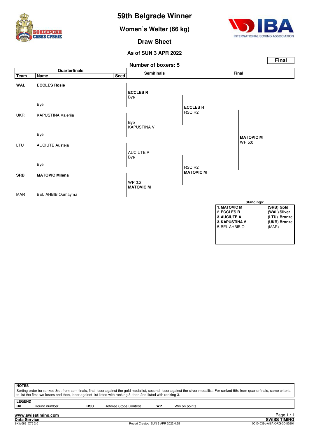

**Women`s Welter (66 kg)**



**Draw Sheet**



|                            | <b>NOTES</b><br>Sorting order for ranked 3rd: from semifinals, first, loser against the gold medallist, second, loser against the silver medallist. For ranked 5th: from quarterfinals, same criteria<br>to list the first two losers and then, loser against 1st listed with ranking 3, then 2nd listed with ranking 3. |            |                              |    |               |  |  |  |
|----------------------------|--------------------------------------------------------------------------------------------------------------------------------------------------------------------------------------------------------------------------------------------------------------------------------------------------------------------------|------------|------------------------------|----|---------------|--|--|--|
| <b>LEGEND</b><br><b>Rn</b> | Round number                                                                                                                                                                                                                                                                                                             | <b>RSC</b> | <b>Referee Stops Contest</b> | WP | Win on points |  |  |  |
|                            | Page<br>www.swisstiming.com                                                                                                                                                                                                                                                                                              |            |                              |    |               |  |  |  |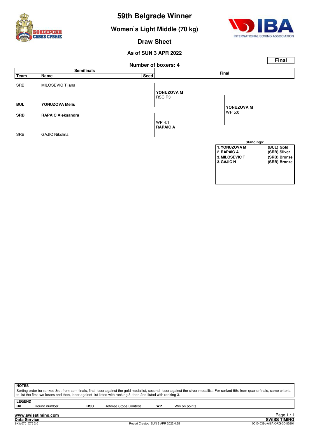

**Women`s Light Middle (70 kg)**



**Draw Sheet**

#### **As of SUN 3 APR 2022 Number of boxers: 4 Final Semifinals Final Team Name Seed** SRB MILOSEVIC Tijana RSC R3 **BUL YONUZOVA Melis SRB RAPAIC Aleksandra** WP 4:1 SRB GAJIC Nikolina **YONUZOVA M** WP 5:0 **RAPAIC A YONUZOVA M Standings:** 1. YONUZOVA M **(BUL) Gold**<br>2. RAPAIC A (SRB) Silver **(SRB) Silver<br>
(SRB) Bronze 3. MILOSEVIC T<br>3. GAJIC N 3.GAJIC N (SRB) Bronze**

| <b>NOTES</b>  |                                                                                                                                                                                                                                                                                                          |     |                       |    |               |  |  |  |
|---------------|----------------------------------------------------------------------------------------------------------------------------------------------------------------------------------------------------------------------------------------------------------------------------------------------------------|-----|-----------------------|----|---------------|--|--|--|
|               | Sorting order for ranked 3rd: from semifinals, first, loser against the gold medallist, second, loser against the silver medallist. For ranked 5th: from quarterfinals, same criteria<br>to list the first two losers and then, loser against 1st listed with ranking 3, then 2nd listed with ranking 3. |     |                       |    |               |  |  |  |
|               |                                                                                                                                                                                                                                                                                                          |     |                       |    |               |  |  |  |
| <b>LEGEND</b> |                                                                                                                                                                                                                                                                                                          |     |                       |    |               |  |  |  |
| <b>Rn</b>     | Round number                                                                                                                                                                                                                                                                                             | RSC | Referee Stops Contest | WP | Win on points |  |  |  |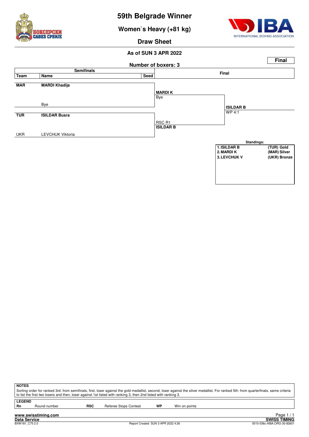

**Women`s Heavy (+81 kg)**



**Draw Sheet**



| <b>NOTES</b>  |                                                                                                                                                                                                                                                                                                           |            |                       |    |               |  |  |  |
|---------------|-----------------------------------------------------------------------------------------------------------------------------------------------------------------------------------------------------------------------------------------------------------------------------------------------------------|------------|-----------------------|----|---------------|--|--|--|
|               | Sorting order for ranked 3rd: from semifinals, first, loser against the gold medallist, second, loser against the silver medallist. For ranked 5th: from quarterfinals, same criteria<br>t o list the first two losers and then, loser against 1st listed with ranking 3, then 2nd listed with ranking 3. |            |                       |    |               |  |  |  |
| <b>LEGEND</b> |                                                                                                                                                                                                                                                                                                           |            |                       |    |               |  |  |  |
| Rn            | Round number                                                                                                                                                                                                                                                                                              | <b>RSC</b> | Referee Stops Contest | WP | Win on points |  |  |  |
|               | the contract of the contract of the contract of the contract of the contract of the contract of the contract of                                                                                                                                                                                           |            |                       |    | $D = - - 4/4$ |  |  |  |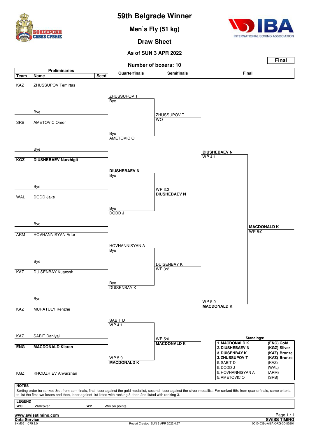

**Men`s Fly (51 kg)**



**Draw Sheet**

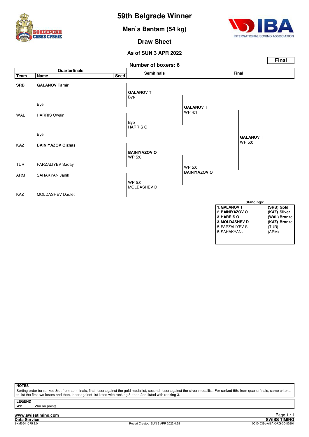

**Men`s Bantam (54 kg)**



**Draw Sheet**

#### **As of SUN 3 APR 2022**



#### **NOTES**

Sorting order for ranked 3rd: from semifinals, first, loser against the gold medallist, second, loser against the silver medallist. For ranked 5th: from quarterfinals, same criteria to list the first two losers and then, loser against 1st listed with ranking 3, then 2nd listed with ranking 3.

**LEGEND**

**Win on points**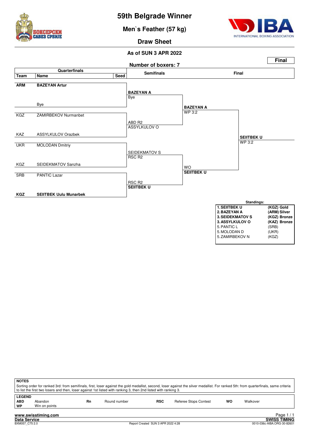

**Men`s Feather (57 kg)**



**Draw Sheet**



| <b>NOTES</b>                      |                          |    | to list the first two losers and then, loser against 1st listed with ranking 3, then 2nd listed with ranking 3. |            | Sorting order for ranked 3rd: from semifinals, first, loser against the gold medallist, second, loser against the silver medallist. For ranked 5th: from quarterfinals, same criteria |    |          |      |
|-----------------------------------|--------------------------|----|-----------------------------------------------------------------------------------------------------------------|------------|---------------------------------------------------------------------------------------------------------------------------------------------------------------------------------------|----|----------|------|
| <b>LEGEND</b><br><b>ABD</b><br>WP | Abandon<br>Win on points | Rn | Round number                                                                                                    | <b>RSC</b> | Referee Stops Contest                                                                                                                                                                 | wo | Walkover |      |
|                                   | www.swisstiming.com      |    |                                                                                                                 |            |                                                                                                                                                                                       |    |          | Page |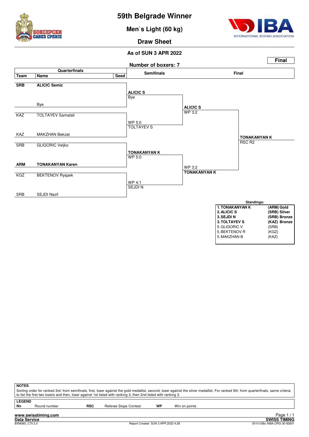

**Men`s Light (60 kg)**



#### **Draw Sheet**



| 3. TOLTAYEV S | (KAZ) Bronze |
|---------------|--------------|
| 5. GLIGORIC V | (SRB)        |
| 5. BEKTENOV R | (KGZ)        |
| 5. MAKZHAN B  | (KAZ)        |
|               |              |

| <b>NOTES</b>        |                     |     | to list the first two losers and then, loser against 1st listed with ranking 3, then 2nd listed with ranking 3. |    | Sorting order for ranked 3rd: from semifinals, first, loser against the gold medallist, second, loser against the silver medallist. For ranked 5th: from quarterfinals, same criteria |            |
|---------------------|---------------------|-----|-----------------------------------------------------------------------------------------------------------------|----|---------------------------------------------------------------------------------------------------------------------------------------------------------------------------------------|------------|
| <b>LEGEND</b><br>Rn | Round number        | RSC | Referee Stops Contest                                                                                           | WP | Win on points                                                                                                                                                                         |            |
|                     | www.swisstiming.com |     |                                                                                                                 |    |                                                                                                                                                                                       | Page $1/1$ |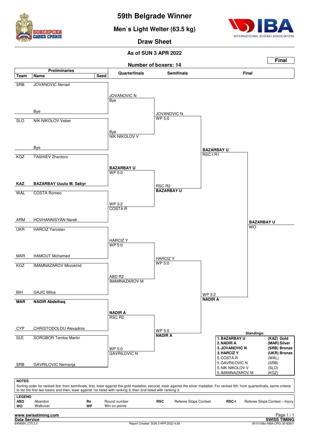

**Men`s Light Welter (63.5 kg)**



**Draw Sheet**

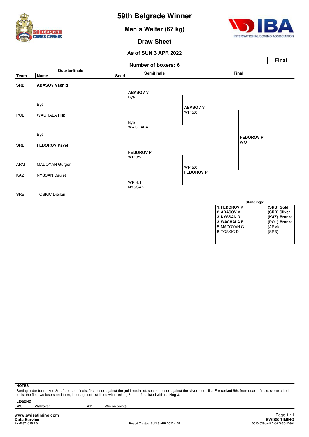

**Men`s Welter (67 kg)**



**Draw Sheet**



| <b>NOTES</b> |                                                                                                                                                                                            |    |               |  |  |  |  |
|--------------|--------------------------------------------------------------------------------------------------------------------------------------------------------------------------------------------|----|---------------|--|--|--|--|
|              | Sorting order for ranked 3rd: from semifinals, first, loser against the gold medallist, second, loser against the silver medallist. For ranked 5th: from quarterfinals, same criteria [16] |    |               |  |  |  |  |
|              | to list the first two losers and then, loser against 1st listed with ranking 3, then 2nd listed with ranking 3.                                                                            |    |               |  |  |  |  |
| l LEGEND     |                                                                                                                                                                                            |    |               |  |  |  |  |
| l wo         | Walkover                                                                                                                                                                                   | WP | Win on points |  |  |  |  |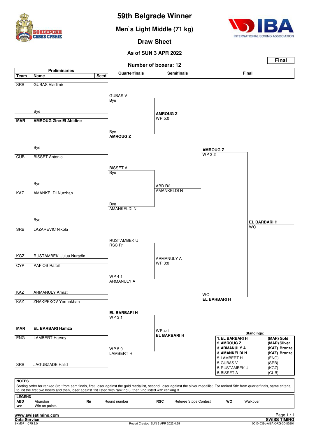

**Men`s Light Middle (71 kg)**



**Draw Sheet**

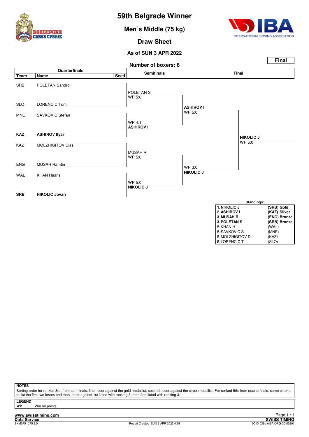

**Men`s Middle (75 kg)**



5. LORENCIC T

**Draw Sheet**

#### **As of SUN 3 APR 2022**



**NOTES**

Sorting order for ranked 3rd: from semifinals, first, loser against the gold medallist, second, loser against the silver medallist. For ranked 5th: from quarterfinals, same criteria to list the first two losers and then, loser against 1st listed with ranking 3, then 2nd listed with ranking 3.

**LEGEND Win on points** 

**www.swisstiming.com**<br>Data Service<br>BXM075.C75.2.0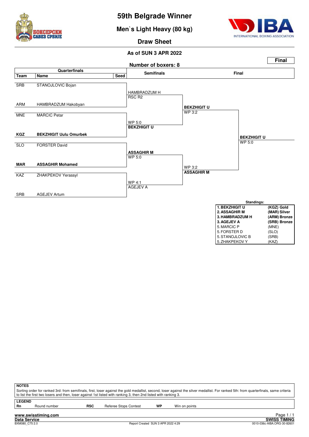

**Men`s Light Heavy (80 kg)**



**Draw Sheet**



| <u>J.IIAMDRADLUM II</u> | <b>AND LOTE</b> |
|-------------------------|-----------------|
| 3. AGEJEV A             | (SRB) Bronze    |
| 5. MARCIC P             | (MNE)           |
| 5. FORSTER D            | (SLO)           |
| 5. STANOJLOVIC B        | (SRB)           |
| 5. ZHAKPEKOV Y          | (KAZ)           |

| <b>NOTES</b>  |              |            |                                                                                                                 |    |                                                                                                                                                                                       |
|---------------|--------------|------------|-----------------------------------------------------------------------------------------------------------------|----|---------------------------------------------------------------------------------------------------------------------------------------------------------------------------------------|
|               |              |            |                                                                                                                 |    | Sorting order for ranked 3rd: from semifinals, first, loser against the gold medallist, second, loser against the silver medallist. For ranked 5th: from quarterfinals, same criteria |
|               |              |            | to list the first two losers and then, loser against 1st listed with ranking 3, then 2nd listed with ranking 3. |    |                                                                                                                                                                                       |
|               |              |            |                                                                                                                 |    |                                                                                                                                                                                       |
| <b>LEGEND</b> |              |            |                                                                                                                 |    |                                                                                                                                                                                       |
| Rn            | Round number | <b>RSC</b> | Referee Stops Contest                                                                                           | WP | Win on points                                                                                                                                                                         |
|               |              |            |                                                                                                                 |    |                                                                                                                                                                                       |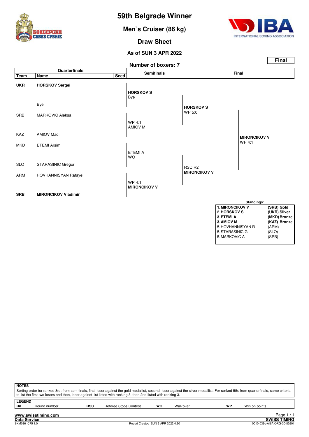

**Men`s Cruiser (86 kg)**



**Draw Sheet**

#### **As of SUN 3 APR 2022**



5. MARKOVIC A

|                     | <b>NOTES</b><br>Sorting order for ranked 3rd: from semifinals, first, loser against the gold medallist, second, loser against the silver medallist. For ranked 5th: from quarterfinals, same criteria<br>to list the first two losers and then, loser against 1st listed with ranking 3, then 2nd listed with ranking 3. |            |                       |    |          |    |               |            |  |  |  |  |
|---------------------|--------------------------------------------------------------------------------------------------------------------------------------------------------------------------------------------------------------------------------------------------------------------------------------------------------------------------|------------|-----------------------|----|----------|----|---------------|------------|--|--|--|--|
| <b>LEGEND</b><br>Rn | Round number                                                                                                                                                                                                                                                                                                             | <b>RSC</b> | Referee Stops Contest | wo | Walkover | WP | Win on points |            |  |  |  |  |
|                     | www.swisstiming.com                                                                                                                                                                                                                                                                                                      |            |                       |    |          |    |               | Page $1/1$ |  |  |  |  |

**Data Service SWISS TIMING**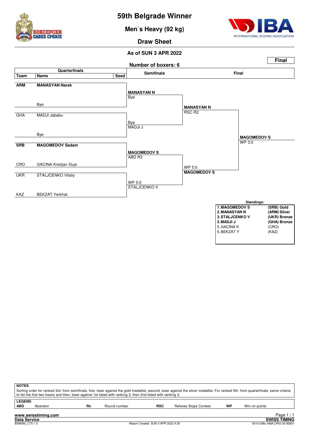

**Men`s Heavy (92 kg)**



**Draw Sheet**



| <b>NOTES</b>  |                                                                                                                                                                                       |    |              |            |                       |    |               |          |  |  |  |  |
|---------------|---------------------------------------------------------------------------------------------------------------------------------------------------------------------------------------|----|--------------|------------|-----------------------|----|---------------|----------|--|--|--|--|
|               | Sorting order for ranked 3rd: from semifinals, first, loser against the gold medallist, second, loser against the silver medallist. For ranked 5th: from quarterfinals, same criteria |    |              |            |                       |    |               |          |  |  |  |  |
|               | to list the first two losers and then, loser against 1st listed with ranking 3, then 2nd listed with ranking 3.                                                                       |    |              |            |                       |    |               |          |  |  |  |  |
| <b>LEGEND</b> |                                                                                                                                                                                       |    |              |            |                       |    |               |          |  |  |  |  |
| <b>ABD</b>    | Abandon                                                                                                                                                                               | Rn | Round number | <b>RSC</b> | Referee Stops Contest | WP | Win on points |          |  |  |  |  |
|               |                                                                                                                                                                                       |    |              |            |                       |    |               |          |  |  |  |  |
|               | www.swisstiming.com                                                                                                                                                                   |    |              |            |                       |    |               | Page 1/1 |  |  |  |  |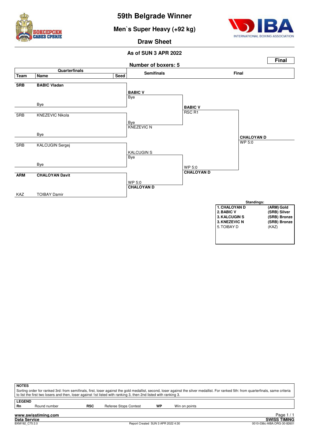





**Draw Sheet**



| <b>NOTES</b>  |                                                                                                                                                                                                                                                                                                          |            |                       |    |               |  |  |  |  |  |  |  |
|---------------|----------------------------------------------------------------------------------------------------------------------------------------------------------------------------------------------------------------------------------------------------------------------------------------------------------|------------|-----------------------|----|---------------|--|--|--|--|--|--|--|
|               | Sorting order for ranked 3rd: from semifinals, first, loser against the gold medallist, second, loser against the silver medallist. For ranked 5th: from quarterfinals, same criteria<br>to list the first two losers and then, loser against 1st listed with ranking 3, then 2nd listed with ranking 3. |            |                       |    |               |  |  |  |  |  |  |  |
|               |                                                                                                                                                                                                                                                                                                          |            |                       |    |               |  |  |  |  |  |  |  |
| <b>LEGEND</b> |                                                                                                                                                                                                                                                                                                          |            |                       |    |               |  |  |  |  |  |  |  |
| Rn            | Round number                                                                                                                                                                                                                                                                                             | <b>RSC</b> | Referee Stops Contest | WP | Win on points |  |  |  |  |  |  |  |
|               | www.swisstiming.com                                                                                                                                                                                                                                                                                      |            |                       |    | Page          |  |  |  |  |  |  |  |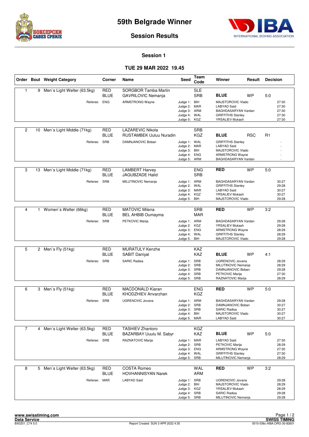



**Session Results**

#### **Session 1**

#### **TUE 29 MAR 2022 19.45**

|                |    | Order Bout Weight Category    | Corner                    | Name                                                      | Seed                                                                         | Team<br>Code             | Winner                                                                                                               | Result     | <b>Decision</b> |                                           |
|----------------|----|-------------------------------|---------------------------|-----------------------------------------------------------|------------------------------------------------------------------------------|--------------------------|----------------------------------------------------------------------------------------------------------------------|------------|-----------------|-------------------------------------------|
| 1              |    | 9 Men's Light Welter (63.5kg) | <b>RED</b><br><b>BLUE</b> | SORGBOR Tamba Martin<br><b>GAVRILOVIC Nemanja</b>         |                                                                              | <b>SLE</b><br><b>SRB</b> | <b>BLUE</b>                                                                                                          | WP         | 5:0             |                                           |
|                |    | Referee: ENG                  |                           | <b>ARMSTRONG Wayne</b>                                    | Judge 1: BIH<br>Judge 2: MAR<br>Judge 3:<br>Judge 4: WAL<br>Judge 5:         | ARM<br>KGZ               | MAJSTOROVIC Vlado<br><b>LABYAD Said</b><br>BAGHDASARYAN Vardan<br><b>GRIFFITHS Stanley</b><br>YRSALIEV Mukash        |            |                 | 27:30<br>27:30<br>27:30<br>27:30<br>27:30 |
| 2              | 10 | Men's Light Middle (71kg)     | RED<br><b>BLUE</b>        | <b>LAZAREVIC Nikola</b><br><b>RUSTAMBEK Uuluu Nuradin</b> |                                                                              | <b>SRB</b><br><b>KGZ</b> | <b>BLUE</b>                                                                                                          | <b>RSC</b> | R <sub>1</sub>  |                                           |
|                |    | Referee: SRB                  |                           | DAMNJANOVIC Boban                                         | Judge 1: WAL<br>Judge 2: MAR<br>Judge 3: BIH<br>Judge 4: ENG<br>Judge 5: ARM |                          | <b>GRIFFITHS Stanley</b><br><b>LABYAD Said</b><br>MAJSTOROVIC Vlado<br><b>ARMSTRONG Wayne</b><br>BAGHDASARYAN Vardan |            |                 |                                           |
| 3              | 13 | Men's Light Middle (71kg)     | <b>RED</b><br><b>BLUE</b> | <b>LAMBERT Harvey</b><br>JAGUBZADE Halid                  |                                                                              | <b>ENG</b><br><b>SRB</b> | <b>RED</b>                                                                                                           | <b>WP</b>  | 5:0             |                                           |
|                |    | Referee:                      | <b>SRB</b>                | MILUTINOVIC Nemanja                                       | Judge 1: ARM<br>Judge 2: WAL<br>Judge 3: MAR<br>Judge 4: KGZ<br>Judge 5:     | BIH                      | BAGHDASARYAN Vardan<br><b>GRIFFITHS Stanley</b><br><b>LABYAD Said</b><br>YRSALIEV Mukash<br>MAJSTOROVIC Vlado        |            |                 | 30:27<br>29:28<br>30:27<br>30:27<br>29:28 |
|                |    |                               |                           |                                                           |                                                                              |                          |                                                                                                                      |            |                 |                                           |
| $\overline{4}$ | 1  | Women's Welter (66kg)         | <b>RED</b><br><b>BLUE</b> | <b>MATOVIC Milena</b><br><b>BEL AHBIB Oumayma</b>         |                                                                              | <b>SRB</b><br><b>MAR</b> | <b>RED</b>                                                                                                           | <b>WP</b>  | 3:2             |                                           |
|                |    | Referee: SRB                  |                           | PETKOVIC Marija                                           | Judge 1: ARM<br>Judge 2: KGZ<br>Judge 3: ENG<br>Judge 4: WAL<br>Judge 5:     | BIH                      | BAGHDASARYAN Vardan<br>YRSALIEV Mukash<br><b>ARMSTRONG Wayne</b><br><b>GRIFFITHS Stanley</b><br>MAJSTOROVIC Vlado    |            |                 | 29:28<br>29:28<br>28:29<br>28:29<br>29:28 |
|                |    |                               |                           |                                                           |                                                                              |                          |                                                                                                                      |            |                 |                                           |
| 5              |    | 2 Men's Fly (51kg)            | <b>RED</b><br>BLUE        | <b>MURATULY Kenzhe</b><br><b>SABIT Daniyal</b>            |                                                                              | KAZ<br>KAZ               | <b>BLUE</b>                                                                                                          | WP         | 4:1             |                                           |
|                |    | Referee: SRB                  |                           | <b>SARIC Radisa</b>                                       | Judge 1: SRB<br>Judge 2: SRB<br>Judge 3:<br>Judge 4: SRB<br>Judge 5: SRB     | SRB                      | <b>UGRENOVIC Jovana</b><br>MILUTINOVIC Nemanja<br>DAMNJANOVIC Boban<br>PETKOVIC Marija<br>RAZNATOVIC Marija          |            |                 | 28:29<br>28:29<br>29:28<br>27:30<br>28:29 |
| 6              | 3  |                               | RED                       | <b>MACDONALD Kiaran</b>                                   |                                                                              | <b>ENG</b>               | <b>RED</b>                                                                                                           | <b>WP</b>  | 5:0             |                                           |
|                |    | Men`s Fly (51kg)              | <b>BLUE</b>               | KHODZHIEV Anvarzhan                                       |                                                                              | <b>KGZ</b>               |                                                                                                                      |            |                 |                                           |
|                |    | Referee: SRB                  |                           | <b>UGRENOVIC Jovana</b>                                   | Judge 1: ARM<br>Judge 2:<br>Judge 3: SRB<br>Judge 4: BIH<br>Judge 5: MAR     | SRB                      | BAGHDASARYAN Vardan<br>DAMNJANOVIC Boban<br><b>SARIC Radisa</b><br>MAJSTOROVIC Vlado<br><b>LABYAD Said</b>           |            |                 | 29:28<br>30:27<br>30:27<br>30:27<br>30:27 |
| $\overline{7}$ |    | 4 Men's Light Welter (63.5kg) | <b>RED</b>                | <b>TASHIEV Zhantoro</b>                                   |                                                                              | <b>KGZ</b>               |                                                                                                                      |            |                 |                                           |
|                |    |                               | <b>BLUE</b>               | BAZARBAY Uuulu M. Sabyr                                   |                                                                              | <b>KAZ</b>               | <b>BLUE</b>                                                                                                          | <b>WP</b>  | 5.0             |                                           |
|                |    | Referee: SRB                  |                           | RAZNATOVIC Marija                                         | Judge 1: MAR<br>Judge 2: SRB<br>Judge 3: ENG<br>Judge 4: WAL<br>Judge 5: SRB |                          | <b>LABYAD Said</b><br>PETKOVIC Marija<br><b>ARMSTRONG Wayne</b><br><b>GRIFFITHS Stanley</b><br>MILUTINOVIC Nemanja   |            |                 | 27:30<br>28:29<br>27:30<br>27:30<br>28:29 |
| 8              |    | 5 Men's Light Welter (63.5kg) | RED<br><b>BLUE</b>        | <b>COSTA Romeo</b><br><b>HOVHANNISYAN Narek</b>           |                                                                              | WAL<br>ARM               | <b>RED</b>                                                                                                           | <b>WP</b>  | 3:2             |                                           |
|                |    | Referee: MAR                  |                           | <b>LABYAD Said</b>                                        | Judge 1: SRB<br>Judge 2: BIH<br>Judge 3: KGZ<br>Judge 4: SRB<br>Judge 5: SRB |                          | UGRENOVIC Jovana<br>MAJSTOROVIC Vlado<br>YRSALIEV Mukash<br><b>SARIC Radisa</b><br>MILUTINOVIC Nemanja               |            |                 | 29:28<br>28:29<br>28:29<br>29:28<br>29:28 |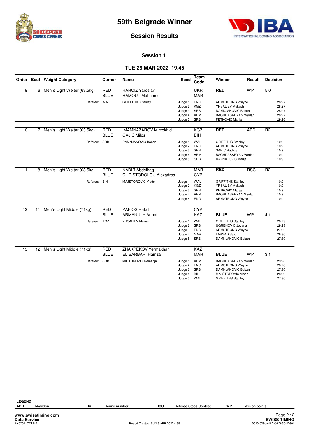



#### **Session Results**

#### **Session 1**

#### **TUE 29 MAR 2022 19.45**

|    |    | Order Bout Weight Category    | Corner                    | Name                                                   | Seed                                                                         | Team<br>Code             | Winner                                                                                                                           | Result     | <b>Decision</b> |                                           |
|----|----|-------------------------------|---------------------------|--------------------------------------------------------|------------------------------------------------------------------------------|--------------------------|----------------------------------------------------------------------------------------------------------------------------------|------------|-----------------|-------------------------------------------|
| 9  | 6  | Men's Light Welter (63.5kg)   | <b>RED</b><br><b>BLUE</b> | <b>HARCIZ Yaroslav</b><br><b>HAMOUT Mohamed</b>        |                                                                              | <b>UKR</b><br><b>MAR</b> | <b>RED</b>                                                                                                                       | <b>WP</b>  | 5:0             |                                           |
|    |    | Referee: WAL                  |                           | <b>GRIFFITHS Stanley</b>                               | Judge 1: ENG<br>Judge 2: KGZ<br>Judge 3: SRB<br>Judge 4: ARM<br>Judge 5: SRB |                          | <b>ARMSTRONG Wayne</b><br>YRSALIEV Mukash<br>DAMNJANOVIC Boban<br>BAGHDASARYAN Vardan<br>PETKOVIC Marija                         |            |                 | 28:27<br>28:27<br>28:27<br>28:27<br>29:26 |
| 10 |    | 7 Men's Light Welter (63.5kg) | <b>RED</b><br><b>BLUE</b> | <b>IMAMNAZAROV Mirzokhid</b><br><b>GAJIC Milos</b>     |                                                                              | <b>KGZ</b><br>BIH        | <b>RED</b>                                                                                                                       | <b>ABD</b> | R <sub>2</sub>  |                                           |
|    |    | Referee:                      | SRB                       | DAMNJANOVIC Boban                                      | Judge 1: WAL<br>Judge 2: ENG<br>Judge 3: SRB<br>Judge 4: ARM<br>Judge 5: SRB |                          | <b>GRIFFITHS Stanley</b><br><b>ARMSTRONG Wayne</b><br><b>SARIC Radisa</b><br>BAGHDASARYAN Vardan<br>RAZNATOVIC Marija            |            |                 | 10:8<br>10:9<br>10:9<br>10:9<br>10:9      |
| 11 |    | 8 Men's Light Welter (63.5kg) | <b>RED</b><br><b>BLUE</b> | <b>NADIR Abdelhag</b><br><b>CHRISTODOLOU Alexadros</b> |                                                                              | <b>MAR</b><br><b>CYP</b> | <b>RED</b>                                                                                                                       | <b>RSC</b> | R <sub>2</sub>  |                                           |
|    |    | Referee: BIH                  |                           | MAJSTOROVIC Vlado                                      | Judge 1: WAL<br>Judge 2: KGZ<br>Judge 3: SRB<br>Judge 4: ARM<br>Judge 5: ENG |                          | <b>GRIFFITHS Stanley</b><br>YRSALIEV Mukash<br>PETKOVIC Marija<br>BAGHDASARYAN Vardan<br><b>ARMSTRONG Wayne</b>                  |            |                 | 10:9<br>10:9<br>10:9<br>10:9<br>10:9      |
| 12 | 11 | Men's Light Middle (71kg)     | <b>RED</b>                | <b>PAFIOS Rafail</b>                                   |                                                                              | <b>CYP</b>               |                                                                                                                                  |            |                 |                                           |
|    |    | Referee: KGZ                  | <b>BLUE</b>               | <b>ARMANULY Armat</b><br><b>YRSALIEV Mukash</b>        | Judge 1: WAL<br>Judge 2: SRB<br>Judge 3: ENG<br>Judge 4: MAR<br>Judge 5: SRB | <b>KAZ</b>               | <b>BLUE</b><br><b>GRIFFITHS Stanley</b><br>UGRENOVIC Jovana<br><b>ARMSTRONG Wayne</b><br><b>LABYAD Said</b><br>DAMNJANOVIC Boban | <b>WP</b>  | 4:1             | 28:29<br>29:28<br>27:30<br>26:30<br>27:30 |
| 13 | 12 | Men's Light Middle (71kg)     | <b>RED</b><br><b>BLUE</b> | ZHAKPEKOV Yermakhan<br>EL BARBARI Hamza                |                                                                              | <b>KAZ</b><br><b>MAR</b> | <b>BLUE</b>                                                                                                                      | <b>WP</b>  | 3:1             |                                           |
|    |    | Referee: SRB                  |                           | MILUTINOVIC Nemanja                                    | Judge 1: ARM<br>Judge 2: ENG<br>Judge 3: SRB<br>Judge 4: BIH<br>Judge 5: WAL |                          | BAGHDASARYAN Vardan<br><b>ARMSTRONG Wayne</b><br>DAMNJANOVIC Boban<br>MAJSTOROVIC Vlado<br><b>GRIFFITHS Stanley</b>              |            |                 | 29:28<br>28:28<br>27:30<br>28:29<br>27:30 |

| <b>LEGEND</b>       |                     |    |              |                                    |                       |    |               |                             |
|---------------------|---------------------|----|--------------|------------------------------------|-----------------------|----|---------------|-----------------------------|
| <b>ABD</b>          | Abandon             | Rn | Round number | <b>RSC</b>                         | Referee Stops Contest | WP | Win on points |                             |
|                     |                     |    |              |                                    |                       |    |               |                             |
|                     | www.swisstiming.com |    |              |                                    |                       |    |               | Page $2/2$                  |
| <b>Data Service</b> |                     |    |              |                                    |                       |    |               | <b>SWISS TIMING</b>         |
| BX0Z01 C74 5.0      |                     |    |              | Report Created SUN 3 APR 2022 4:35 |                       |    |               | 0010-036c-AIBA.ORG-30-82601 |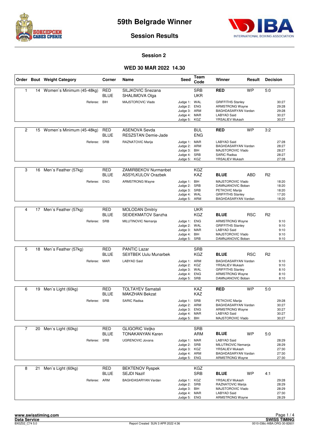



**Session Results**

#### **Session 2**

#### **WED 30 MAR 2022 14.30**

|                |    | Order Bout Weight Category   | Corner                    | Name                                                     | <b>Seed</b>                                                                  | Team<br>Code             | Winner                                                                                                            | Result     | <b>Decision</b> |                                           |
|----------------|----|------------------------------|---------------------------|----------------------------------------------------------|------------------------------------------------------------------------------|--------------------------|-------------------------------------------------------------------------------------------------------------------|------------|-----------------|-------------------------------------------|
| 1              |    | 14 Women's Minimum (45-48kg) | <b>RED</b><br><b>BLUE</b> | SILJKOVIC Snezana<br>SHALIMOVA Olga                      |                                                                              | <b>SRB</b><br><b>UKR</b> | <b>RED</b>                                                                                                        | <b>WP</b>  | 5:0             |                                           |
|                |    | Referee: BIH                 |                           | MAJSTOROVIC Vlado                                        | Judge 1: WAL<br>Judge 2:<br>Judge 3:<br>Judge 4:<br>Judge 5:                 | ENG<br>ARM<br>MAR<br>KGZ | <b>GRIFFITHS Stanley</b><br><b>ARMSTRONG Wayne</b><br>BAGHDASARYAN Vardan<br>LABYAD Said<br>YRSALIEV Mukash       |            |                 | 30:27<br>29:28<br>29:28<br>30:27<br>30:27 |
| $\overline{c}$ | 15 | Women's Minimum (45-48kg)    | RED<br><b>BLUE</b>        | <b>ASENOVA Sevda</b><br><b>RESZSTAN Demie-Jade</b>       |                                                                              | <b>BUL</b><br><b>ENG</b> | <b>RED</b>                                                                                                        | <b>WP</b>  | 3:2             |                                           |
|                |    | Referee: SRB                 |                           | RAZNATOVIC Marija                                        | Judge 1: MAR<br>Judge 2: ARM<br>Judge 3: BIH<br>Judge 4: SRB<br>Judge 5: KGZ |                          | LABYAD Said<br>BAGHDASARYAN Vardan<br>MAJSTOROVIC Vlado<br><b>SARIC Radisa</b><br>YRSALIEV Mukash                 |            |                 | 27:28<br>28:27<br>28:27<br>28:27<br>27:28 |
| 3              | 16 | Men's Feather (57kg)         | <b>RED</b><br><b>BLUE</b> | <b>ZAMIRBEKOV Nurmanbet</b><br><b>ASSYLKULOV Orazbek</b> |                                                                              | <b>KGZ</b><br><b>KAZ</b> | <b>BLUE</b>                                                                                                       | <b>ABD</b> | R <sub>2</sub>  |                                           |
|                |    | Referee: ENG                 |                           | <b>ARMSTRONG Wayne</b>                                   | Judge 1: BIH<br>Judge 2: SRB<br>Judge 3: SRB<br>Judge 4: WAL<br>Judge 5:     | ARM                      | MAJSTOROVIC Vlado<br>DAMNJANOVIC Boban<br>PETKOVIC Marija<br><b>GRIFFITHS Stanley</b><br>BAGHDASARYAN Vardan      |            |                 | 18:20<br>18:20<br>18:20<br>17:20<br>18:20 |
|                |    |                              |                           |                                                          |                                                                              |                          |                                                                                                                   |            |                 |                                           |
| $\overline{4}$ | 17 | Men's Feather (57kg)         | <b>RED</b><br><b>BLUE</b> | <b>MOLODAN Dmitriy</b><br>SEIDEKMATOV Sanzha             |                                                                              | <b>UKR</b><br><b>KGZ</b> | <b>BLUE</b>                                                                                                       | <b>RSC</b> | R <sub>2</sub>  |                                           |
|                |    | Referee: SRB                 |                           | MILUTINOVIC Nemanja                                      | Judge 1: ENG<br>Judge 2:<br>Judge 3: MAR<br>Judge 4: BIH<br>Judge 5: SRB     | WAL                      | <b>ARMSTRONG Wayne</b><br><b>GRIFFITHS Stanley</b><br>LABYAD Said<br>MAJSTOROVIC Vlado<br>DAMNJANOVIC Boban       |            |                 | 9:10<br>9:10<br>9:10<br>9:10<br>9:10      |
|                |    |                              |                           |                                                          |                                                                              |                          |                                                                                                                   |            |                 |                                           |
| 5              |    | 18 Men's Feather (57kg)      | <b>RED</b><br><b>BLUE</b> | <b>PANTIC Lazar</b><br><b>SEIITBEK Uulu Munarbek</b>     |                                                                              | <b>SRB</b><br><b>KGZ</b> | <b>BLUE</b>                                                                                                       | <b>RSC</b> | R <sub>2</sub>  |                                           |
|                |    | Referee: MAR                 |                           | <b>LABYAD Said</b>                                       | Judge 1: ARM<br>Judge 2: KGZ<br>Judge 3:<br>Judge 4: ENG<br>Judge 5: SRB     | WAL                      | BAGHDASARYAN Vardan<br>YRSALIEV Mukash<br><b>GRIFFITHS Stanley</b><br><b>ARMSTRONG Wayne</b><br>DAMNJANOVIC Boban |            |                 | 9:10<br>9:10<br>8:10<br>8:10<br>8:10      |
| 6              | 19 |                              | RED                       | <b>TOLTAYEV Samatali</b>                                 |                                                                              | KAZ                      | <b>RED</b>                                                                                                        | <b>WP</b>  | 5:0             |                                           |
|                |    | Men's Light (60kg)           | <b>BLUE</b>               | <b>MAKZHAN Bekzat</b>                                    |                                                                              | <b>KAZ</b>               |                                                                                                                   |            |                 |                                           |
|                |    | Referee: SRB                 |                           | <b>SARIC Radisa</b>                                      | Judge 1: SRB<br>Judge 2: ARM<br>Judge 3: ENG<br>Judge 4: MAR<br>Judge 5:     | BIH                      | PETKOVIC Marija<br>BAGHDASARYAN Vardan<br><b>ARMSTRONG Wayne</b><br><b>LABYAD Said</b><br>MAJSTOROVIC Vlado       |            |                 | 29:28<br>30:27<br>30:27<br>30:27<br>30:27 |
| $\overline{7}$ |    | 20 Men's Light (60kg)        | <b>RED</b>                | <b>GLIGORIC Veljko</b>                                   |                                                                              | <b>SRB</b>               |                                                                                                                   |            |                 |                                           |
|                |    |                              | <b>BLUE</b>               | <b>TONAKANYAN Karen</b>                                  |                                                                              | ARM                      | <b>BLUE</b>                                                                                                       | WP         | 5.0             |                                           |
|                |    | Referee: SRB                 |                           | <b>UGRENOVIC Jovana</b>                                  | Judge 1: MAR<br>Judge 2: SRB<br>Judge 3: KGZ<br>Judge 4: ARM<br>Judge 5: ENG |                          | <b>LABYAD Said</b><br>MILUTINOVIC Nemanja<br>YRSALIEV Mukash<br>BAGHDASARYAN Vardan<br><b>ARMSTRONG Wayne</b>     |            |                 | 28:29<br>28:29<br>27:30<br>27:30<br>27:30 |
| 8              | 21 | Men's Light (60kg)           | <b>RED</b><br><b>BLUE</b> | <b>BEKTENOV Ryspek</b><br><b>SEJDI Nazif</b>             |                                                                              | KGZ<br><b>SRB</b>        | <b>BLUE</b>                                                                                                       | <b>WP</b>  | 4:1             |                                           |
|                |    | Referee: ARM                 |                           | BAGHDASARYAN Vardan                                      | Judge 1: KGZ<br>Judge 2: SRB<br>Judge 3: BIH<br>Judge 4: MAR<br>Judge 5: ENG |                          | YRSALIEV Mukash<br>RAZNATOVIC Marija<br>MAJSTOROVIC Vlado<br><b>LABYAD Said</b><br>ARMSTRONG Wayne                |            |                 | 29:28<br>28:29<br>28:29<br>27:30<br>28:29 |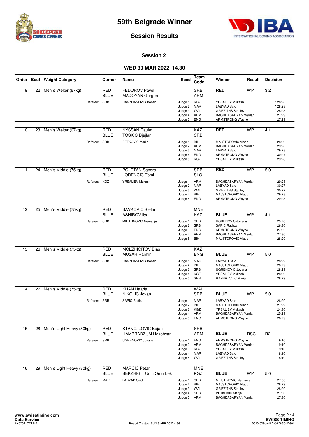



**Session Results**

#### **Session 2**

#### **WED 30 MAR 2022 14.30**

|    |    | Order Bout Weight Category  |              | Corner                    | Name                                                 | Seed                                                                         | Team<br>Code             | Winner                                                                                                               | Result     | <b>Decision</b> |                                                 |
|----|----|-----------------------------|--------------|---------------------------|------------------------------------------------------|------------------------------------------------------------------------------|--------------------------|----------------------------------------------------------------------------------------------------------------------|------------|-----------------|-------------------------------------------------|
| 9  |    | 22 Men's Welter (67kg)      |              | <b>RED</b><br><b>BLUE</b> | <b>FEDOROV Pavel</b><br><b>MADOYAN Gurgen</b>        |                                                                              | <b>SRB</b><br><b>ARM</b> | <b>RED</b>                                                                                                           | <b>WP</b>  | 3:2             |                                                 |
|    |    |                             | Referee: SRB |                           | DAMNJANOVIC Boban                                    | Judge 1: KGZ<br>Judge 2: MAR<br>Judge 3: WAL<br>Judge 4: ARM<br>Judge 5:     | <b>ENG</b>               | YRSALIEV Mukash<br><b>LABYAD Said</b><br><b>GRIFFITHS Stanley</b><br>BAGHDASARYAN Vardan<br><b>ARMSTRONG Wayne</b>   |            |                 | * 28:28<br>* 28:28<br>* 28:28<br>27:29<br>27:29 |
| 10 | 23 | Men's Welter (67kg)         |              | RED<br>BLUE               | <b>NYSSAN Daulet</b><br><b>TOSKIC Djejlan</b>        |                                                                              | KAZ<br><b>SRB</b>        | <b>RED</b>                                                                                                           | <b>WP</b>  | 4:1             |                                                 |
|    |    |                             | Referee: SRB |                           | PETKOVIC Marija                                      | Judge 1: BIH<br>Judge 2: ARM<br>Judge 3: MAR<br>Judge 4: ENG<br>Judge 5: KGZ |                          | MAJSTOROVIC Vlado<br>BAGHDASARYAN Vardan<br>LABYAD Said<br><b>ARMSTRONG Wayne</b><br>YRSALIEV Mukash                 |            |                 | 28:29<br>29:28<br>29:28<br>30:27<br>29:28       |
| 11 |    | 24 Men's Middle (75kg)      |              | RED<br>BLUE               | POLETAN Sandro<br><b>LORENCIC Tomi</b>               |                                                                              | <b>SRB</b><br><b>SLO</b> | <b>RED</b>                                                                                                           | <b>WP</b>  | 5:0             |                                                 |
|    |    |                             | Referee:     | KGZ                       | <b>YRSALIEV Mukash</b>                               | Judge 1: ARM<br>Judge 2: MAR<br>Judge 3: WAL<br>Judge 4:<br>Judge 5:         | BIH<br>ENG               | BAGHDASARYAN Vardan<br><b>LABYAD Said</b><br><b>GRIFFITHS Stanley</b><br>MAJSTOROVIC Vlado<br><b>ARMSTRONG Wayne</b> |            |                 | 29:28<br>30:27<br>30:27<br>29:28<br>29:28       |
|    |    |                             |              |                           |                                                      |                                                                              |                          |                                                                                                                      |            |                 |                                                 |
| 12 | 25 | Men's Middle (75kg)         |              | <b>RED</b><br>BLUE        | SAVKOVIC Stefan<br><b>ASHIROV Ilyar</b>              |                                                                              | <b>MNE</b><br>KAZ.       | <b>BLUE</b>                                                                                                          | <b>WP</b>  | 4:1             |                                                 |
|    |    |                             | Referee: SRB |                           | MILUTINOVIC Nemanja                                  | Judge 1: SRB<br>Judge 2:<br>Judge 3: ENG<br>Judge 4: ARM<br>Judge 5:         | SRB<br>BIH               | <b>UGRENOVIC Jovana</b><br><b>SARIC Radisa</b><br><b>ARMSTRONG Wayne</b><br>BAGHDASARYAN Vardan<br>MAJSTOROVIC Vlado |            |                 | 29:28<br>26:30<br>27:30<br>27:30<br>28:29       |
|    |    |                             |              |                           |                                                      |                                                                              |                          |                                                                                                                      |            |                 |                                                 |
| 13 | 26 | Men's Middle (75kg)         |              | <b>RED</b><br><b>BLUE</b> | <b>MOLZHIGITOV Dias</b><br><b>MUSAH Ramtin</b>       |                                                                              | KAZ<br><b>ENG</b>        | <b>BLUE</b>                                                                                                          | <b>WP</b>  | 5:0             |                                                 |
|    |    |                             | Referee: SRB |                           | DAMNJANOVIC Boban                                    | Judge 1: MAR<br>Judge 2: BIH<br>Judge 3: SRB<br>Judge 4: KGZ<br>Judge 5: SRB |                          | LABYAD Said<br>MAJSTOROVIC Vlado<br><b>UGRENOVIC Jovana</b><br>YRSALIEV Mukash<br>RAZNATOVIC Marija                  |            |                 | 28:29<br>28:29<br>28:29<br>28:29<br>28:29       |
| 14 |    | 27 Men's Middle (75kg)      |              | <b>RED</b>                | <b>KHAN Haaris</b>                                   |                                                                              | WAL                      |                                                                                                                      |            |                 |                                                 |
|    |    |                             |              | BLUE                      | NIKOLIC Jovan                                        |                                                                              | <b>SRB</b>               | <b>BLUE</b>                                                                                                          | <b>WP</b>  | 5:0             |                                                 |
|    |    |                             | Referee: SRB |                           | <b>SARIC Radisa</b>                                  | Judge 1: MAR<br>Judge 2:<br>Judge 3: KGZ<br>Judge 4: ARM<br>Judge 5:         | BIH<br>ENG               | <b>LABYAD Said</b><br>MAJSTOROVIC Vlado<br>YRSALIEV Mukash<br>BAGHDASARYAN Vardan<br><b>ARMSTRONG Wayne</b>          |            |                 | 26:29<br>27:29<br>24:30<br>25:29<br>26:29       |
| 15 |    | 28 Men's Light Heavy (80kg) |              | RED                       | STANOJLOVIC Bojan                                    |                                                                              | <b>SRB</b>               |                                                                                                                      |            |                 |                                                 |
|    |    |                             |              | BLUE                      | HAMBRADZUM Hakobyan                                  |                                                                              | ARM                      | <b>BLUE</b>                                                                                                          | <b>RSC</b> | R <sub>2</sub>  |                                                 |
|    |    |                             | Referee:     | <b>SRB</b>                | <b>UGRENOVIC Jovana</b>                              | Judge 1: ENG<br>Judge 2: ARM<br>Judge 3: KGZ<br>Judge 4: MAR<br>Judge 5:     | WAL                      | <b>ARMSTRONG Wayne</b><br>BAGHDASARYAN Vardan<br>YRSALIEV Mukash<br><b>LABYAD Said</b><br><b>GRIFFITHS Stanley</b>   |            |                 | 9:10<br>9:10<br>9:10<br>8:10<br>8:10            |
| 16 | 29 | Men's Light Heavy (80kg)    |              | <b>RED</b><br>BLUE        | <b>MARCIC Petar</b><br><b>BEKZHIGIT Uulu Omurbek</b> |                                                                              | <b>MNE</b><br>KGZ        | <b>BLUE</b>                                                                                                          | WP         | 5:0             |                                                 |
|    |    |                             | Referee: MAR |                           | <b>LABYAD Said</b>                                   | Judge 1: SRB<br>Judge 2: BIH<br>Judge 3: WAL<br>Judge 4: SRB<br>Judge 5: ARM |                          | MILUTINOVIC Nemanja<br>MAJSTOROVIC Vlado<br><b>GRIFFITHS Stanley</b><br>PETKOVIC Marija<br>BAGHDASARYAN Vardan       |            |                 | 27:30<br>28:29<br>28:29<br>27:30<br>27:30       |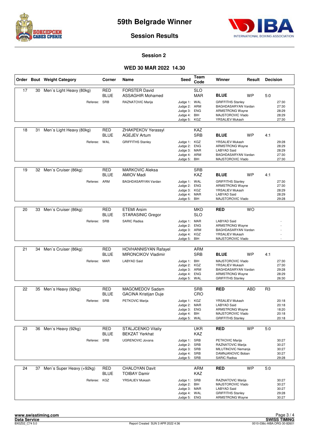



**Session Results**

#### **Session 2**

#### **WED 30 MAR 2022 14.30**

|    |    | Order Bout Weight Category | Corner                    | Name                                                      | <b>Seed</b>                                                                  | Team<br>Code             | Winner                                                                                                             | Result    | <b>Decision</b> |                                           |
|----|----|----------------------------|---------------------------|-----------------------------------------------------------|------------------------------------------------------------------------------|--------------------------|--------------------------------------------------------------------------------------------------------------------|-----------|-----------------|-------------------------------------------|
| 17 | 30 | Men's Light Heavy (80kg)   | <b>RED</b><br>BLUE        | <b>FORSTER David</b><br><b>ASSAGHIR Mohamed</b>           |                                                                              | <b>SLO</b><br><b>MAR</b> | <b>BLUE</b>                                                                                                        | <b>WP</b> | 5:0             |                                           |
|    |    | Referee: SRB               |                           | RAZNATOVIC Marija                                         | Judge 1: WAL<br>Judge 2:<br>Judge 3:<br>Judge 4:<br>Judge 5: KGZ             | ARM<br><b>ENG</b><br>BIH | <b>GRIFFITHS Stanley</b><br>BAGHDASARYAN Vardan<br><b>ARMSTRONG Wayne</b><br>MAJSTOROVIC Vlado<br>YRSALIEV Mukash  |           |                 | 27:30<br>27:30<br>28:29<br>28:29<br>27:30 |
| 18 | 31 | Men's Light Heavy (80kg)   | <b>RED</b><br><b>BLUE</b> | ZHAKPEKOV Yerassyl<br><b>AGEJEV Artum</b>                 |                                                                              | KAZ<br><b>SRB</b>        | <b>BLUE</b>                                                                                                        | <b>WP</b> | 4:1             |                                           |
|    |    | Referee: WAL               |                           | <b>GRIFFITHS Stanley</b>                                  | Judge 1: KGZ<br>Judge 2:<br>Judge 3: MAR<br>Judge 4:<br>Judge 5:             | <b>ENG</b><br>ARM<br>BIH | YRSALIEV Mukash<br><b>ARMSTRONG Wayne</b><br><b>LABYAD Said</b><br>BAGHDASARYAN Vardan<br>MAJSTOROVIC Vlado        |           |                 | 29:28<br>28:29<br>28:29<br>27:30<br>27:30 |
| 19 | 32 | Men's Cruiser (86kg)       | <b>RED</b><br><b>BLUE</b> | <b>MARKOVIC Aleksa</b><br><b>AMIOV Madi</b>               |                                                                              | <b>SRB</b><br>KAZ        | <b>BLUE</b>                                                                                                        | <b>WP</b> | 4:1             |                                           |
|    |    | Referee: ARM               |                           | BAGHDASARYAN Vardan                                       | Judge 1: WAL<br>Judge 2:<br>Judge 3:<br>Judge 4: MAR<br>Judge 5:             | <b>ENG</b><br>KGZ<br>BIH | <b>GRIFFITHS Stanley</b><br><b>ARMSTRONG Wayne</b><br>YRSALIEV Mukash<br><b>LABYAD Said</b><br>MAJSTOROVIC Vlado   |           |                 | 27:30<br>27:30<br>28:29<br>28:29<br>29:28 |
|    |    |                            |                           |                                                           |                                                                              |                          |                                                                                                                    |           |                 |                                           |
| 20 | 33 | Men's Cruiser (86kg)       | <b>RED</b><br><b>BLUE</b> | <b>ETEMI Arsim</b><br>STARASINIC Gregor                   |                                                                              | <b>MKD</b><br><b>SLO</b> | <b>RED</b>                                                                                                         | <b>WO</b> |                 |                                           |
|    |    | Referee: SRB               |                           | <b>SARIC Radisa</b>                                       | Judge 1: MAR<br>Judge 2:<br>Judge 3: ARM<br>Judge 4: KGZ<br>Judge 5:         | <b>ENG</b><br>BIH        | <b>LABYAD Said</b><br><b>ARMSTRONG Wayne</b><br>BAGHDASARYAN Vardan<br>YRSALIEV Mukash<br>MAJSTOROVIC Vlado        |           |                 |                                           |
|    |    |                            |                           |                                                           |                                                                              |                          |                                                                                                                    |           |                 |                                           |
| 21 | 34 | Men's Cruiser (86kg)       | RED<br>BLUE               | <b>HOVHANNISYAN Rafayel</b><br><b>MIRONCIKOV Vladimir</b> |                                                                              | ARM<br><b>SRB</b>        | <b>BLUE</b>                                                                                                        | WP        | 4:1             |                                           |
|    |    | Referee: MAR               |                           | <b>LABYAD Said</b>                                        | Judge 1: BIH<br>Judge 2: KGZ<br>Judge 3: ARM<br>Judge 4:<br>Judge 5: WAL     | <b>ENG</b>               | MAJSTOROVIC Vlado<br>YRSALIEV Mukash<br>BAGHDASARYAN Vardan<br><b>ARMSTRONG Wayne</b><br><b>GRIFFITHS Stanley</b>  |           |                 | 27:30<br>27:30<br>29:28<br>28:29<br>26:30 |
| 22 | 35 | Men's Heavy (92kg)         | RED                       | MAGOMEDOV Sadam                                           |                                                                              | <b>SRB</b>               | RED                                                                                                                | ABD       | R <sub>3</sub>  |                                           |
|    |    |                            | BLUE                      | GACINA Kristijan Duje                                     |                                                                              | CRO                      |                                                                                                                    |           |                 |                                           |
|    |    | Referee: SRB               |                           | PETKOVIC Marija                                           | Judge 1: KGZ<br>Judge 2: MAR<br>Judge 3: ENG<br>Judge 4: BIH<br>Judge 5:     | WAL                      | YRSALIEV Mukash<br><b>LABYAD Said</b><br><b>ARMSTRONG Wayne</b><br>MAJSTOROVIC Vlado<br><b>GRIFFITHS Stanley</b>   |           |                 | 20:18<br>20:18<br>18:20<br>20:18<br>20:18 |
| 23 |    | 36 Men's Heavy (92kg)      | <b>RED</b><br><b>BLUE</b> | <b>STALJCENKO Vitaliv</b><br><b>BEKZAT Yerkhat</b>        |                                                                              | <b>UKR</b><br>KAZ        | <b>RED</b>                                                                                                         | <b>WP</b> | 5:0             |                                           |
|    |    | Referee: SRB               |                           | <b>UGRENOVIC Jovana</b>                                   | Judge 1: SRB<br>Judge 2: SRB<br>Judge 3: SRB<br>Judge 4: SRB<br>Judge 5:     | SRB                      | PETKOVIC Marija<br>RAZNATOVIC Marija<br>MILUTINOVIC Nemanja<br>DAMNJANOVIC Boban<br><b>SARIC Radisa</b>            |           |                 | 30:27<br>30:27<br>30:27<br>30:27<br>29:28 |
| 24 | 37 | Men's Super Heavy (+92kg)  | RED<br><b>BLUE</b>        | <b>CHALOYAN Davit</b><br><b>TOIBAY Damir</b>              |                                                                              | <b>ARM</b><br>KAZ        | <b>RED</b>                                                                                                         | <b>WP</b> | 5:0             |                                           |
|    |    | Referee: KGZ               |                           | YRSALIEV Mukash                                           | Judge 1: SRB<br>Judge 2: BIH<br>Judge 3: MAR<br>Judge 4: WAL<br>Judge 5: ENG |                          | RAZNATOVIC Marija<br>MAJSTOROVIC Vlado<br><b>LABYAD Said</b><br><b>GRIFFITHS Stanley</b><br><b>ARMSTRONG Wayne</b> |           |                 | 30:27<br>30:27<br>30:27<br>29:28<br>30:27 |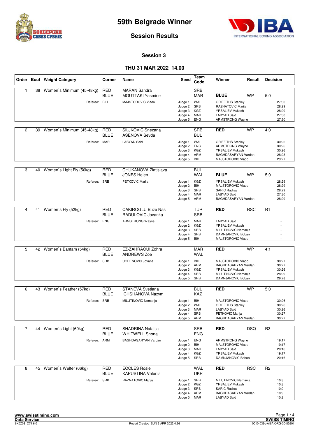



**Session Results**

#### **Session 3**

|                |    | Order Bout Weight Category | Corner                    | Name                                             | <b>Seed</b>                                                                  | Team<br>Code             | Winner                                                                                                            |            | Result<br><b>Decision</b> |                                           |
|----------------|----|----------------------------|---------------------------|--------------------------------------------------|------------------------------------------------------------------------------|--------------------------|-------------------------------------------------------------------------------------------------------------------|------------|---------------------------|-------------------------------------------|
| $\mathbf{1}$   | 38 | Women's Minimum (45-48kg)  | <b>RED</b><br><b>BLUE</b> | <b>MARAN Sandra</b><br><b>MOUTTAKI Yasmine</b>   |                                                                              | <b>SRB</b><br><b>MAR</b> | <b>BLUE</b>                                                                                                       | <b>WP</b>  | 5:0                       |                                           |
|                |    | Referee: BIH               |                           | MAJSTOROVIC Vlado                                | Judge 1: WAL<br>Judge 2: SRB<br>Judge 3:<br>Judge 4: MAR<br>Judge 5:         | KGZ<br><b>ENG</b>        | <b>GRIFFITHS Stanley</b><br>RAZNATOVIC Marija<br>YRSALIEV Mukash<br>LABYAD Said<br>ARMSTRONG Wayne                |            |                           | 27:30<br>28:29<br>28:29<br>27:30<br>27:30 |
| $\overline{c}$ | 39 | Women's Minimum (45-48kg)  | <b>RED</b><br><b>BLUE</b> | SILJKOVIC Snezana<br><b>ASENOVA Sevda</b>        |                                                                              | <b>SRB</b><br><b>BUL</b> | <b>RED</b>                                                                                                        | <b>WP</b>  | 4:0                       |                                           |
|                |    | Referee: MAR               |                           | <b>LABYAD Said</b>                               | Judge 1: WAL<br>Judge 2:<br>Judge 3: KGZ<br>Judge 4: ARM<br>Judge 5: BIH     | <b>ENG</b>               | <b>GRIFFITHS Stanley</b><br><b>ARMSTRONG Wayne</b><br>YRSALIEV Mukash<br>BAGHDASARYAN Vardan<br>MAJSTOROVIC Vlado |            |                           | 30:26<br>30:26<br>30:26<br>28:28<br>29:27 |
| 3              | 40 | Women's Light Fly (50kg)   | <b>RED</b><br><b>BLUE</b> | CHUKANOVA Zlatislava<br><b>JONES Helen</b>       |                                                                              | <b>BUL</b><br>WAL        | <b>BLUE</b>                                                                                                       | <b>WP</b>  | 5:0                       |                                           |
|                |    | Referee:                   | SRB                       | PETKOVIC Marija                                  | Judge 1: KGZ<br>Judge 2: BIH<br>Judge 3: SRB<br>Judge 4: MAR<br>Judge 5:     | ARM                      | YRSALIEV Mukash<br>MAJSTOROVIC Vlado<br><b>SARIC Radisa</b><br><b>LABYAD Said</b><br>BAGHDASARYAN Vardan          |            |                           | 28:29<br>28:29<br>28:29<br>27:30<br>28:29 |
|                |    |                            |                           |                                                  |                                                                              |                          |                                                                                                                   |            |                           |                                           |
| $\overline{4}$ | 41 | Women's Fly (52kg)         | <b>RED</b><br><b>BLUE</b> | <b>CAKIROGLU Buze Nas</b><br>RADULOVIC Jovanka   |                                                                              | <b>TUR</b><br><b>SRB</b> | RED                                                                                                               | <b>RSC</b> | R <sub>1</sub>            |                                           |
|                |    | Referee: ENG               |                           | <b>ARMSTRONG Wayne</b>                           | Judge 1: MAR<br>Judge 2: KGZ<br>Judge 3: SRB<br>Judge 4: SRB<br>Judge 5:     | BIH                      | <b>LABYAD Said</b><br>YRSALIEV Mukash<br>MILUTINOVIC Nemanja<br>DAMNJANOVIC Boban<br>MAJSTOROVIC Vlado            |            |                           |                                           |
|                |    |                            |                           |                                                  |                                                                              |                          |                                                                                                                   |            |                           |                                           |
| 5              | 42 | Women's Bantam (54kg)      | <b>RED</b><br><b>BLUE</b> | EZ-ZAHRAOUI Zohra<br><b>ANDREWS Zoe</b>          |                                                                              | MAR<br><b>WAL</b>        | <b>RED</b>                                                                                                        | <b>WP</b>  | 4:1                       |                                           |
|                |    | Referee: SRB               |                           | <b>UGRENOVIC Jovana</b>                          | Judge 1: BIH<br>Judge 2: ARM<br>Judge 3:<br>Judge 4: SRB<br>Judge 5: SRB     | KGZ                      | MAJSTOROVIC Vlado<br>BAGHDASARYAN Vardan<br>YRSALIEV Mukash<br>MILUTINOVIC Nemanja<br>DAMNJANOVIC Boban           |            |                           | 30:27<br>30:27<br>30:26<br>28:29<br>29:28 |
|                |    |                            |                           |                                                  |                                                                              |                          |                                                                                                                   |            |                           |                                           |
| 6              |    | 43 Women's Feather (57kg)  | <b>RED</b><br><b>BLUE</b> | STANEVA Svetlana<br><b>ICHSHANOVA Nazym</b>      |                                                                              | <b>BUL</b><br>KAZ        | <b>RED</b>                                                                                                        | <b>WP</b>  | 5:0                       |                                           |
|                |    | Referee: SRB               |                           | MILUTINOVIC Nemanja                              | Judge 1: BIH<br>Judge 2: WAL<br>Judge 3: MAR<br>Judge 4: SRB<br>Judge 5: ARM |                          | MAJSTOROVIC Vlado<br><b>GRIFFITHS Stanley</b><br>LABYAD Said<br>PETKOVIC Marija<br>BAGHDASARYAN Vardan            |            |                           | 30:26<br>30:26<br>30:26<br>30:27<br>30:27 |
| $\overline{7}$ |    | 44 Women's Light (60kg)    | <b>RED</b><br><b>BLUE</b> | SHADRINA Natalija<br><b>WHITWELL Shona</b>       |                                                                              | <b>SRB</b><br><b>ENG</b> | <b>RED</b>                                                                                                        | <b>DSQ</b> | R <sub>3</sub>            |                                           |
|                |    | Referee: ARM               |                           | BAGHDASARYAN Vardan                              | Judge 1: ENG<br>Judge 2: BIH<br>Judge 3: MAR<br>Judge 4: KGZ<br>Judge 5: SRB |                          | <b>ARMSTRONG Wayne</b><br>MAJSTOROVIC Vlado<br><b>LABYAD Said</b><br>YRSALIEV Mukash<br>DAMNJANOVIC Boban         |            |                           | 19:17<br>19:17<br>20:16<br>19:17<br>20:16 |
| 8              |    | 45 Women's Welter (66kg)   | <b>RED</b><br>BLUE        | <b>ECCLES Rosie</b><br><b>KAPUSTINA Valeriia</b> |                                                                              | WAL<br><b>UKR</b>        | RED                                                                                                               | <b>RSC</b> | R <sub>2</sub>            |                                           |
|                |    | Referee: SRB               |                           | RAZNATOVIC Marija                                | Judge 1: SRB<br>Judge 2: KGZ<br>Judge 3: SRB<br>Judge 4: ARM<br>Judge 5: MAR |                          | MILUTINOVIC Nemanja<br>YRSALIEV Mukash<br><b>SARIC Radisa</b><br>BAGHDASARYAN Vardan<br>LABYAD Said               |            |                           | 10:8<br>10:8<br>10:9<br>10:9<br>10:8      |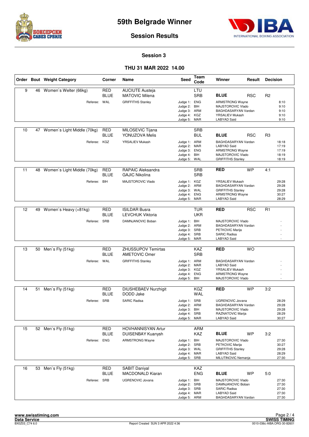



**Session Results**

#### **Session 3**

|    |    | Order Bout Weight Category  | Corner                    | Name                                              | Seed                                                                         | Team<br>Code             | Winner                                                                                                               | Result     | <b>Decision</b> |                                           |
|----|----|-----------------------------|---------------------------|---------------------------------------------------|------------------------------------------------------------------------------|--------------------------|----------------------------------------------------------------------------------------------------------------------|------------|-----------------|-------------------------------------------|
| 9  | 46 | Women's Welter (66kg)       | <b>RED</b><br><b>BLUE</b> | <b>AUCIUTE Austeja</b><br><b>MATOVIC Milena</b>   |                                                                              | LTU<br><b>SRB</b>        | <b>BLUE</b>                                                                                                          | <b>RSC</b> | R <sub>2</sub>  |                                           |
|    |    | Referee: WAL                |                           | <b>GRIFFITHS Stanley</b>                          | Judge 1: ENG<br>Judge 2: BIH<br>Judge 3: ARM<br>Judge 4: KGZ<br>Judge 5:     | MAR                      | <b>ARMSTRONG Wayne</b><br>MAJSTOROVIC Vlado<br>BAGHDASARYAN Vardan<br>YRSALIEV Mukash<br>LABYAD Said                 |            |                 | 8:10<br>9:10<br>9:10<br>9:10<br>9:10      |
| 10 | 47 | Women's Light Middle (70kg) | <b>RED</b><br><b>BLUE</b> | MILOSEVIC Tijana<br>YONUZOVA Melis                |                                                                              | <b>SRB</b><br><b>BUL</b> | <b>BLUE</b>                                                                                                          | <b>RSC</b> | R <sub>3</sub>  |                                           |
|    |    | Referee: KGZ                |                           | YRSALIEV Mukash                                   | Judge 1: ARM<br>Judge 2:<br>Judge 3: ENG<br>Judge 4: BIH<br>Judge 5: WAL     | MAR                      | BAGHDASARYAN Vardan<br><b>LABYAD Said</b><br><b>ARMSTRONG Wayne</b><br>MAJSTOROVIC Vlado<br><b>GRIFFITHS Stanley</b> |            |                 | 18:18<br>17:19<br>17:19<br>18:19<br>18:19 |
| 11 | 48 | Women's Light Middle (70kg) | RED<br><b>BLUE</b>        | <b>RAPAIC Aleksandra</b><br><b>GAJIC Nikolina</b> |                                                                              | <b>SRB</b><br><b>SRB</b> | <b>RED</b>                                                                                                           | <b>WP</b>  | 4:1             |                                           |
|    |    | Referee: BIH                |                           | MAJSTOROVIC Vlado                                 | Judge 1: KGZ<br>Judge 2: ARM<br>Judge 3: WAL<br>Judge 4:<br>Judge 5:         | <b>ENG</b><br>MAR        | YRSALIEV Mukash<br>BAGHDASARYAN Vardan<br><b>GRIFFITHS Stanley</b><br><b>ARMSTRONG Wayne</b><br>LABYAD Said          |            |                 | 29:28<br>29:28<br>29:28<br>30:27<br>28:29 |
| 12 | 49 | Women's Heavy (+81kg)       | <b>RED</b>                | <b>ISILDAR Busra</b>                              |                                                                              | <b>TUR</b>               | <b>RED</b>                                                                                                           | <b>RSC</b> | R <sub>1</sub>  |                                           |
|    |    |                             | <b>BLUE</b>               | <b>LEVCHUK Viktoria</b>                           |                                                                              | <b>UKR</b>               |                                                                                                                      |            |                 |                                           |
|    |    | Referee: SRB                |                           | DAMNJANOVIC Boban                                 | Judge 1: BIH<br>Judge 2: ARM<br>Judge 3:<br>Judge 4: SRB<br>Judge 5: MAR     | SRB                      | MAJSTOROVIC Vlado<br>BAGHDASARYAN Vardan<br>PETKOVIC Marija<br><b>SARIC Radisa</b><br>LABYAD Said                    |            |                 |                                           |
|    |    |                             |                           |                                                   |                                                                              |                          |                                                                                                                      |            |                 |                                           |
| 13 | 50 | Men's Fly (51kg)            | <b>RED</b><br><b>BLUE</b> | <b>ZHUSSUPOV Temirtas</b><br><b>AMETOVIC Omer</b> |                                                                              | KAZ<br><b>SRB</b>        | <b>RED</b>                                                                                                           | <b>WO</b>  |                 |                                           |
|    |    | Referee: WAL                |                           | <b>GRIFFITHS Stanley</b>                          | Judge 1: ARM<br>Judge 2: MAR<br>Judge 3: KGZ<br>Judge 4:<br>Judge 5:         | ENG<br>BIH               | BAGHDASARYAN Vardan<br><b>LABYAD Said</b><br>YRSALIEV Mukash<br><b>ARMSTRONG Wayne</b><br>MAJSTOROVIC Vlado          |            |                 |                                           |
| 14 |    | 51 Men's Fly (51kg)         | <b>RED</b>                | <b>DIUSHEBAEV Nurzhigit</b>                       |                                                                              | KGZ                      | <b>RED</b>                                                                                                           | <b>WP</b>  | 3:2             |                                           |
|    |    |                             | <b>BLUE</b>               | DODD Jake                                         |                                                                              | WAL                      |                                                                                                                      |            |                 |                                           |
|    |    | Referee: SRB                |                           | <b>SARIC Radisa</b>                               | Judge 1: SRB<br>Judge 2: ARM<br>Judge 3: BIH<br>Judge 4: SRB<br>Judge 5: MAR |                          | <b>UGRENOVIC Jovana</b><br>BAGHDASARYAN Vardan<br>MAJSTOROVIC Vlado<br>RAZNATOVIC Marija<br><b>LABYAD Said</b>       |            |                 | 28:29<br>29:28<br>29:28<br>28:29<br>30:27 |
| 15 |    | 52 Men's Fly (51kg)         | RED                       | <b>HOVHANNISYAN Artur</b>                         |                                                                              | <b>ARM</b>               |                                                                                                                      |            |                 |                                           |
|    |    |                             | <b>BLUE</b>               | <b>DUISENBAY Kuanysh</b>                          |                                                                              | KAZ                      | <b>BLUE</b>                                                                                                          | <b>WP</b>  | 3:2             |                                           |
|    |    | Referee: ENG                |                           | <b>ARMSTRONG Wayne</b>                            | Judge 1: BIH<br>Judge 2: SRB<br>Judge 3: WAL<br>Judge 4: MAR<br>Judge 5: SRB |                          | MAJSTOROVIC Vlado<br>PETKOVIC Marija<br><b>GRIFFITHS Stanley</b><br><b>LABYAD Said</b><br>MILUTINOVIC Nemanja        |            |                 | 27:30<br>30:27<br>29:28<br>28:29<br>27:30 |
| 16 | 53 | Men's Fly (51kg)            | <b>RED</b>                | <b>SABIT Daniyal</b>                              |                                                                              | KAZ                      |                                                                                                                      |            |                 |                                           |
|    |    |                             | <b>BLUE</b>               | <b>MACDONALD Kiaran</b>                           |                                                                              | <b>ENG</b>               | <b>BLUE</b>                                                                                                          | WP         | 5:0             |                                           |
|    |    | Referee: SRB                |                           | <b>UGRENOVIC Jovana</b>                           | Judge 1: BIH<br>Judge 2: SRB<br>Judge 3: SRB<br>Judge 4: MAR<br>Judge 5: ARM |                          | MAJSTOROVIC Vlado<br>DAMNJANOVIC Boban<br><b>SARIC Radisa</b><br>LABYAD Said<br>BAGHDASARYAN Vardan                  |            |                 | 27:30<br>27:30<br>27:30<br>27:30<br>27:30 |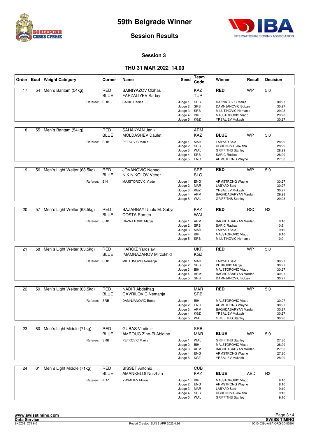



#### **Session Results**

#### **Session 3**

|    |    | Order Bout Weight Category  | Corner                    | Name                                               | Seed                                                                         | Team<br>Code             | Winner                                                                                                                     | Result     | <b>Decision</b> |                                           |
|----|----|-----------------------------|---------------------------|----------------------------------------------------|------------------------------------------------------------------------------|--------------------------|----------------------------------------------------------------------------------------------------------------------------|------------|-----------------|-------------------------------------------|
| 17 | 54 | Men's Bantam (54kg)         | <b>RED</b><br><b>BLUE</b> | <b>BAINIYAZOV Olzhas</b><br>FARZALIYEV Saday       |                                                                              | KAZ<br><b>TUR</b>        | <b>RED</b>                                                                                                                 | <b>WP</b>  | 5:0             |                                           |
|    |    | Referee: SRB                |                           | <b>SARIC Radisa</b>                                | Judge 1: SRB<br>Judge 2:<br>Judge 3: SRB<br>Judge 4: BIH<br>Judge 5:         | SRB<br>KGZ               | RAZNATOVIC Marija<br>DAMNJANOVIC Boban<br>MILUTINOVIC Nemania<br>MAJSTOROVIC Vlado<br>YRSALIEV Mukash                      |            |                 | 30:27<br>30:27<br>29:28<br>29:28<br>30:27 |
| 18 | 55 | Men's Bantam (54kg)         | <b>RED</b><br><b>BLUE</b> | SAHAKYAN Janik<br><b>MOLDASHEV Daulet</b>          |                                                                              | ARM<br>KAZ               | <b>BLUE</b>                                                                                                                | <b>WP</b>  | 5:0             |                                           |
|    |    | Referee: SRB                |                           | PETKOVIC Marija                                    | Judge 1: MAR<br>Judge 2:<br>Judge 3: WAL<br>Judge 4: SRB<br>Judge 5: ENG     | SRB                      | <b>LABYAD Said</b><br><b>UGRENOVIC Jovana</b><br><b>GRIFFITHS Stanley</b><br><b>SARIC Radisa</b><br><b>ARMSTRONG Wayne</b> |            |                 | 28:29<br>28:29<br>28:29<br>28:29<br>27:30 |
| 19 | 56 | Men's Light Welter (63.5kg) | <b>RED</b><br><b>BLUE</b> | <b>JOVANOVIC Nenad</b><br>NIK NIKOLOV Veber        |                                                                              | <b>SRB</b><br><b>SLO</b> | <b>RED</b>                                                                                                                 | <b>WP</b>  | 5:0             |                                           |
|    |    | Referee:                    | BIH                       | MAJSTOROVIC Vlado                                  | Judge 1: ENG<br>Judge 2: MAR<br>Judge 3: KGZ<br>Judge 4: ARM<br>Judge 5:     | WAL                      | <b>ARMSTRONG Wayne</b><br><b>LABYAD Said</b><br>YRSALIEV Mukash<br>BAGHDASARYAN Vardan<br><b>GRIFFITHS Stanley</b>         |            |                 | 30:27<br>30:27<br>30:27<br>29:28<br>29:28 |
| 20 | 57 | Men's Light Welter (63.5kg) | <b>RED</b>                | BAZARBAY Uuulu M. Sabyr                            |                                                                              | KAZ                      | <b>RED</b>                                                                                                                 | <b>RSC</b> | R <sub>2</sub>  |                                           |
|    |    |                             | <b>BLUE</b>               | <b>COSTA Romeo</b>                                 |                                                                              | <b>WAL</b>               |                                                                                                                            |            |                 |                                           |
|    |    | Referee: SRB                |                           | RAZNATOVIC Marija                                  | Judge 1: ARM<br>Judge 2: SRB<br>Judge 3: MAR<br>Judge 4: BIH<br>Judge 5: SRB |                          | BAGHDASARYAN Vardan<br><b>SARIC Radisa</b><br><b>LABYAD Said</b><br>MAJSTOROVIC Vlado<br>MILUTINOVIC Nemanja               |            |                 | 9:10<br>10:9<br>9:10<br>9:10<br>10:9      |
|    |    |                             |                           |                                                    |                                                                              |                          |                                                                                                                            |            |                 |                                           |
| 21 | 58 | Men's Light Welter (63.5kg) | <b>RED</b><br><b>BLUE</b> | <b>HARCIZ Yaroslav</b><br>IMAMNAZAROV Mirzokhid    |                                                                              | <b>UKR</b><br>KGZ        | <b>RED</b>                                                                                                                 | <b>WP</b>  | 5:0             |                                           |
|    |    | Referee: SRB                |                           | MILUTINOVIC Nemanja                                | Judge 1: MAR<br>Judge 2:<br>Judge 3: BIH<br>Judge 4: ARM<br>Judge 5: SRB     | SRB                      | <b>LABYAD Said</b><br>PETKOVIC Marija<br>MAJSTOROVIC Vlado<br>BAGHDASARYAN Vardan<br>DAMNJANOVIC Boban                     |            |                 | 30:27<br>30:27<br>30:27<br>30:27<br>30:27 |
| 22 | 59 | Men's Light Welter (63.5kg) | <b>RED</b><br><b>BLUE</b> | <b>NADIR Abdelhaq</b><br><b>GAVRILOVIC Nemanja</b> |                                                                              | <b>MAR</b><br><b>SRB</b> | <b>RED</b>                                                                                                                 | <b>WP</b>  | 5:0             |                                           |
|    |    | Referee: SRB                |                           | DAMNJANOVIC Boban                                  | Judge 1: BIH<br>Judge 2: ENG<br>Judge 3: ARM<br>Judge 4: KGZ<br>Judge 5: WAL |                          | MAJSTOROVIC Vlado<br><b>ARMSTRONG Wayne</b><br>BAGHDASARYAN Vardan<br>YRSALIEV Mukash<br><b>GRIFFITHS Stanley</b>          |            |                 | 30:27<br>30:27<br>30:27<br>30:27<br>30:26 |
| 23 | 60 | Men's Light Middle (71kg)   | <b>RED</b>                | <b>GUBAS Vladimir</b>                              |                                                                              | <b>SRB</b>               |                                                                                                                            |            |                 |                                           |
|    |    | Referee: SRB                | <b>BLUE</b>               | <b>AMROUG Zine-El Abidine</b><br>PETKOVIC Marija   | Judge 1: WAL                                                                 | MAR                      | <b>BLUE</b><br><b>GRIFFITHS Stanley</b>                                                                                    | WP         | 5.0             | 27:30                                     |
|    |    |                             |                           |                                                    | Judge 2: BIH<br>Judge 3: ARM<br>Judge 4: ENG<br>Judge 5: KGZ                 |                          | MAJSTOROVIC Vlado<br>BAGHDASARYAN Vardan<br><b>ARMSTRONG Wayne</b><br>YRSALIEV Mukash                                      |            |                 | 28:29<br>27:30<br>27:30<br>28:29          |
| 24 | 61 | Men's Light Middle (71kg)   | <b>RED</b><br><b>BLUE</b> | <b>BISSET Antonio</b><br><b>AMANKELDI Nurzhan</b>  |                                                                              | <b>CUB</b><br>KAZ        | <b>BLUE</b>                                                                                                                | ABD        | R <sub>2</sub>  |                                           |
|    |    | Referee: KGZ                |                           | YRSALIEV Mukash                                    | Judge 1: BIH<br>Judge 2: ENG<br>Judge 3: MAR<br>Judge 4: SRB<br>Judge 5: WAL |                          | MAJSTOROVIC Vlado<br><b>ARMSTRONG Wayne</b><br>LABYAD Said<br>UGRENOVIC Jovana<br><b>GRIFFITHS Stanley</b>                 |            |                 | 9:10<br>8:10<br>9:10<br>9:10<br>9:10      |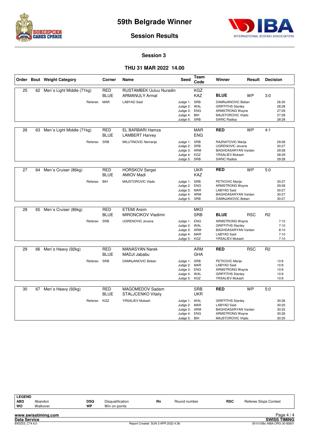



**Session Results**

#### **Session 3**

|    |    | Order Bout Weight Category | Corner                    | Name                                                    | Seed                                                                         | Team<br>Code                           | Winner                                                                                                               | Result     | <b>Decision</b> |                                           |
|----|----|----------------------------|---------------------------|---------------------------------------------------------|------------------------------------------------------------------------------|----------------------------------------|----------------------------------------------------------------------------------------------------------------------|------------|-----------------|-------------------------------------------|
| 25 | 62 | Men's Light Middle (71kg)  | <b>RED</b><br><b>BLUE</b> | <b>RUSTAMBEK Uuluu Nuradin</b><br><b>ARMANULY Armat</b> |                                                                              | <b>KGZ</b><br><b>KAZ</b>               | <b>BLUE</b>                                                                                                          | <b>WP</b>  | 3:0             |                                           |
|    |    | Referee: MAR               |                           | <b>LABYAD Said</b>                                      | Judge 1: SRB<br>Judge 2:<br>Judge 3: ENG<br>Judge 4: BIH<br>Judge 5:         | WAL<br>SRB                             | DAMNJANOVIC Boban<br><b>GRIFFITHS Stanley</b><br>ARMSTRONG Wayne<br>MAJSTOROVIC Vlado<br><b>SARIC Radisa</b>         |            |                 | 26:30<br>28:28<br>27:29<br>27:28<br>28:28 |
| 26 | 63 | Men's Light Middle (71kg)  | RED<br><b>BLUE</b>        | EL BARBARI Hamza<br><b>LAMBERT Harvey</b>               |                                                                              | <b>MAR</b><br><b>ENG</b>               | <b>RED</b>                                                                                                           | <b>WP</b>  | 4:1             |                                           |
|    |    | Referee:                   | SRB                       | MILUTINOVIC Nemanja                                     | Judge 1: SRB<br>Judge 2: SRB<br>Judge 3: ARM<br>Judge 4: KGZ<br>Judge 5: SRB |                                        | RAZNATOVIC Marija<br>UGRENOVIC Jovana<br>BAGHDASARYAN Vardan<br>YRSALIEV Mukash<br><b>SARIC Radisa</b>               |            |                 | 29:28<br>30:27<br>29:28<br>28:29<br>29:28 |
| 27 | 64 | Men's Cruiser (86kg)       | RED<br><b>BLUE</b>        | <b>HORSKOV Sergei</b><br><b>AMIOV Madi</b>              |                                                                              | UKR<br><b>KAZ</b>                      | <b>RED</b>                                                                                                           | <b>WP</b>  | 5:0             |                                           |
|    |    | Referee:                   | <b>BIH</b>                | MAJSTOROVIC Vlado                                       | Judge 1: SRB<br>Judge 2: ENG<br>Judge 3: MAR<br>Judge 4: ARM<br>Judge 5: SRB |                                        | PETKOVIC Marija<br><b>ARMSTRONG Wayne</b><br><b>LABYAD Said</b><br>BAGHDASARYAN Vardan<br>DAMNJANOVIC Boban          |            |                 | 30:27<br>29:28<br>30:27<br>30:27<br>30:27 |
| 28 | 65 | Men's Cruiser (86kg)       | <b>RED</b><br><b>BLUE</b> | <b>ETEMI Arsim</b><br><b>MIRONCIKOV Vladimir</b>        |                                                                              | <b>MKD</b><br><b>SRB</b>               | <b>BLUE</b>                                                                                                          | <b>RSC</b> | R <sub>2</sub>  |                                           |
|    |    | Referee: SRB               |                           | <b>UGRENOVIC Jovana</b>                                 | Judge 1: ENG<br>Judge 2:<br>Judge 3: ARM<br>Judge 4: MAR<br>Judge 5: KGZ     | WAL                                    | <b>ARMSTRONG Wayne</b><br><b>GRIFFITHS Stanley</b><br>BAGHDASARYAN Vardan<br><b>LABYAD Said</b><br>YRSALIEV Mukash   |            |                 | 7:10<br>7:10<br>8:10<br>7:10<br>7:10      |
| 29 |    | 66 Men's Heavy (92kg)      | <b>RED</b><br><b>BLUE</b> | <b>MANASYAN Narek</b><br><b>MADJI Jababu</b>            |                                                                              | <b>ARM</b><br><b>GHA</b>               | <b>RED</b>                                                                                                           | <b>RSC</b> | R <sub>2</sub>  |                                           |
|    |    | Referee: SRB               |                           | DAMNJANOVIC Boban                                       | Judge 1: SRB<br>Judge 2: MAR<br>Judge 3: ENG<br>Judge 4:<br>Judge 5: KGZ     | WAL                                    | PETKOVIC Marija<br><b>LABYAD Said</b><br><b>ARMSTRONG Wayne</b><br><b>GRIFFITHS Stanley</b><br>YRSALIEV Mukash       |            |                 | 10:9<br>10:9<br>10:9<br>10:9<br>10:9      |
| 30 | 67 | Men's Heavy (92kg)         | <b>RED</b><br><b>BLUE</b> | MAGOMEDOV Sadam<br>STALJCENKO Vitaliy                   |                                                                              | <b>SRB</b><br><b>UKR</b>               | <b>RED</b>                                                                                                           | <b>WP</b>  | 5:0             |                                           |
|    |    | Referee: KGZ               |                           | YRSALIEV Mukash                                         | Judge 1: WAL<br>Judge 2:<br>Judge 3:<br>Judge 4:<br>Judge 5:                 | <b>MAR</b><br>ARM<br><b>ENG</b><br>BIH | <b>GRIFFITHS Stanley</b><br><b>LABYAD Said</b><br>BAGHDASARYAN Vardan<br><b>ARMSTRONG Wayne</b><br>MAJSTOROVIC Vlado |            |                 | 30:26<br>30:25<br>30:25<br>30:26<br>30:25 |

| <b>LEGEND</b> |                     |            |                  |           |              |            |                       |
|---------------|---------------------|------------|------------------|-----------|--------------|------------|-----------------------|
| <b>ABD</b>    | Abandon             | <b>DSQ</b> | Disqualification | <b>Rn</b> | Round number | <b>RSC</b> | Referee Stops Contest |
| <b>WO</b>     | Walkover            | <b>WP</b>  | Win on points    |           |              |            |                       |
|               | www.swisstiming.com |            |                  |           |              |            | Page $4/4$            |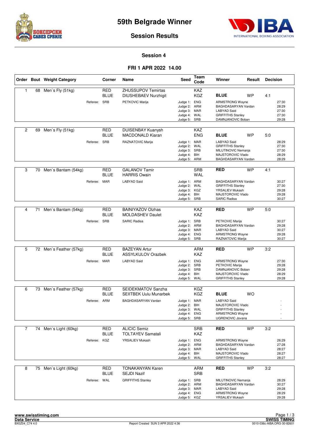



#### **Session Results**

#### **Session 4**

#### **FRI 1 APR 2022 14.00**

|                |    | Order Bout Weight Category |              | Corner                    | Name                                                     | Seed                         | Team<br>Code             | Winner                                          | Result    | <b>Decision</b> |                |
|----------------|----|----------------------------|--------------|---------------------------|----------------------------------------------------------|------------------------------|--------------------------|-------------------------------------------------|-----------|-----------------|----------------|
| $\mathbf{1}$   | 68 | Men's Fly (51kg)           |              | <b>RED</b><br><b>BLUE</b> | <b>ZHUSSUPOV Temirtas</b><br><b>DIUSHEBAEV Nurzhigit</b> |                              | <b>KAZ</b><br><b>KGZ</b> | <b>BLUE</b>                                     | <b>WP</b> | 4:1             |                |
|                |    |                            | Referee:     | <b>SRB</b>                | PETKOVIC Marija                                          | Judge 1: ENG                 |                          | <b>ARMSTRONG Wayne</b>                          |           |                 | 27:30          |
|                |    |                            |              |                           |                                                          | Judge 2: ARM                 |                          | BAGHDASARYAN Vardan                             |           |                 | 28:29          |
|                |    |                            |              |                           |                                                          | Judge 3: MAR<br>Judge 4: WAL |                          | <b>LABYAD Said</b><br><b>GRIFFITHS Stanley</b>  |           |                 | 27:30<br>27:30 |
|                |    |                            |              |                           |                                                          | Judge 5: SRB                 |                          | DAMNJANOVIC Boban                               |           |                 | 29:28          |
| 2              | 69 | Men's Fly (51kg)           |              | RED                       | <b>DUISENBAY Kuanysh</b>                                 |                              | KAZ                      |                                                 |           |                 |                |
|                |    |                            |              | <b>BLUE</b>               | <b>MACDONALD Kiaran</b>                                  |                              | ENG                      | <b>BLUE</b>                                     | <b>WP</b> | 5:0             |                |
|                |    |                            | Referee: SRB |                           | RAZNATOVIC Marija                                        | Judge 1: MAR                 |                          | <b>LABYAD Said</b>                              |           |                 | 28:29          |
|                |    |                            |              |                           |                                                          | Judge 2:<br>Judge 3: SRB     | WAL                      | <b>GRIFFITHS Stanley</b><br>MILUTINOVIC Nemanja |           |                 | 27:30<br>27:30 |
|                |    |                            |              |                           |                                                          | Judge 4: BIH                 |                          | MAJSTOROVIC Vlado                               |           |                 | 28:29          |
|                |    |                            |              |                           |                                                          | Judge 5: ARM                 |                          | BAGHDASARYAN Vardan                             |           |                 | 28:29          |
| 3              | 70 | Men's Bantam (54kg)        |              | <b>RED</b><br>BLUE        | <b>GALANOV Tamir</b><br><b>HARRIS Owain</b>              |                              | <b>SRB</b><br>WAL        | <b>RED</b>                                      | <b>WP</b> | 4:1             |                |
|                |    |                            | Referee: MAR |                           | <b>LABYAD Said</b>                                       | Judge 1: ARM                 |                          | BAGHDASARYAN Vardan                             |           |                 | 30:27          |
|                |    |                            |              |                           |                                                          | Judge 2: WAL                 |                          | <b>GRIFFITHS Stanley</b>                        |           |                 | 27:30          |
|                |    |                            |              |                           |                                                          | Judge 3: KGZ<br>Judge 4: BIH |                          | YRSALIEV Mukash<br>MAJSTOROVIC Vlado            |           |                 | 29:28<br>29:28 |
|                |    |                            |              |                           |                                                          | Judge 5:                     | SRB                      | <b>SARIC Radisa</b>                             |           |                 | 30:27          |
|                |    |                            |              |                           |                                                          |                              |                          |                                                 |           |                 |                |
| 4              | 71 | Men's Bantam (54kg)        |              | RED<br><b>BLUE</b>        | <b>BAINIYAZOV Olzhas</b><br><b>MOLDASHEV Daulet</b>      |                              | KAZ<br><b>KAZ</b>        | <b>RED</b>                                      | <b>WP</b> | 5:0             |                |
|                |    |                            | Referee: SRB |                           | <b>SARIC Radisa</b>                                      | Judge 1: SRB                 |                          | PETKOVIC Marija                                 |           |                 | 30:27          |
|                |    |                            |              |                           |                                                          | Judge 2: ARM<br>Judge 3: MAR |                          | BAGHDASARYAN Vardan<br><b>LABYAD Said</b>       |           |                 | 29:28<br>30:27 |
|                |    |                            |              |                           |                                                          | Judge 4: ENG                 |                          | <b>ARMSTRONG Wayne</b>                          |           |                 | 29:28          |
|                |    |                            |              |                           |                                                          | Judge 5: SRB                 |                          | RAZNATOVIC Marija                               |           |                 | 30:27          |
| 5              |    | 72 Men's Feather (57kg)    |              | RED                       | <b>BAZEYAN Artur</b>                                     |                              | ARM                      | <b>RED</b>                                      | <b>WP</b> | 3:2             |                |
|                |    |                            |              | <b>BLUE</b>               | <b>ASSYLKULOV Orazbek</b>                                |                              | <b>KAZ</b>               |                                                 |           |                 |                |
|                |    |                            | Referee: MAR |                           | <b>LABYAD Said</b>                                       | Judge 1: ENG                 |                          | <b>ARMSTRONG Wayne</b>                          |           |                 | 27:30          |
|                |    |                            |              |                           |                                                          | Judge 2: SRB<br>Judge 3: SRB |                          | PETKOVIC Marija<br>DAMNJANOVIC Boban            |           |                 | 29:28<br>29:28 |
|                |    |                            |              |                           |                                                          | Judge 4: BIH                 |                          | MAJSTOROVIC Vlado                               |           |                 | 28:29          |
|                |    |                            |              |                           |                                                          | Judge 5: WAL                 |                          | <b>GRIFFITHS Stanley</b>                        |           |                 | 29:28          |
| 6              |    | 73 Men's Feather (57kg)    |              | <b>RED</b>                | SEIDEKMATOV Sanzha                                       |                              | KGZ                      |                                                 |           |                 |                |
|                |    |                            |              | <b>BLUE</b>               | <b>SEIITBEK Uulu Munarbek</b>                            |                              | <b>KGZ</b>               | <b>BLUE</b>                                     | <b>WO</b> |                 |                |
|                |    |                            | Referee: ARM |                           | <b>BAGHDASARYAN Vardan</b>                               | Judge 1: MAR                 |                          | <b>LABYAD Said</b>                              |           |                 |                |
|                |    |                            |              |                           |                                                          | Judge 2: BIH<br>Judge 3: WAL |                          | MAJSTOROVIC Vlado<br><b>GRIFFITHS Stanley</b>   |           |                 |                |
|                |    |                            |              |                           |                                                          | Judge 4: ENG                 |                          | <b>ARMSTRONG Wayne</b>                          |           |                 |                |
|                |    |                            |              |                           |                                                          | Judge 5: SRB                 |                          | UGRENOVIC Jovana                                |           |                 |                |
| $\overline{7}$ | 74 | Men's Light (60kg)         |              | <b>RED</b>                | <b>ALICIC Semiz</b>                                      |                              | <b>SRB</b>               | <b>RED</b>                                      | <b>WP</b> | 3:2             |                |
|                |    |                            |              | BLUE                      | <b>TOLTAYEV Samatali</b>                                 |                              | KAZ                      |                                                 |           |                 |                |
|                |    |                            | Referee: KGZ |                           | YRSALIEV Mukash                                          | Judge 1: ENG                 |                          | <b>ARMSTRONG Wayne</b>                          |           |                 | 26:29          |
|                |    |                            |              |                           |                                                          | Judge 2: ARM<br>Judge 3: MAR |                          | BAGHDASARYAN Vardan<br><b>LABYAD Said</b>       |           |                 | 27:28<br>28:27 |
|                |    |                            |              |                           |                                                          | Judge 4: BIH                 |                          | MAJSTOROVIC Vlado                               |           |                 | 28:27          |
|                |    |                            |              |                           |                                                          | Judge 5: WAL                 |                          | <b>GRIFFITHS Stanley</b>                        |           |                 | 28:27          |
| 8              |    | 75 Men's Light (60kg)      |              | <b>RED</b>                | <b>TONAKANYAN Karen</b>                                  |                              | ARM                      | <b>RED</b>                                      | <b>WP</b> | 3:2             |                |
|                |    |                            |              | <b>BLUE</b>               | <b>SEJDI Nazif</b>                                       |                              | <b>SRB</b>               |                                                 |           |                 |                |
|                |    |                            | Referee: WAL |                           | <b>GRIFFITHS Stanley</b>                                 | Judge 1: SRB                 |                          | MILUTINOVIC Nemanja                             |           |                 | 28:29          |
|                |    |                            |              |                           |                                                          | Judge 2: ARM<br>Judge 3: MAR |                          | BAGHDASARYAN Vardan<br><b>LABYAD Said</b>       |           |                 | 30:27<br>29:28 |
|                |    |                            |              |                           |                                                          | Judge 4: ENG                 |                          | ARMSTRONG Wayne                                 |           |                 | 28:29          |
|                |    |                            |              |                           |                                                          | Judge 5: KGZ                 |                          | YRSALIEV Mukash                                 |           |                 | 29:28          |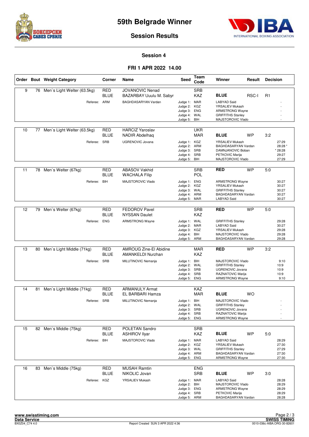



**Session Results**

#### **Session 4**

#### **FRI 1 APR 2022 14.00**

|    |    | Order Bout Weight Category     | Corner                    | Name                                              | <b>Seed</b>                                                                  | Team<br>Code             | Winner                                                                                                             | Result    | <b>Decision</b>                               |
|----|----|--------------------------------|---------------------------|---------------------------------------------------|------------------------------------------------------------------------------|--------------------------|--------------------------------------------------------------------------------------------------------------------|-----------|-----------------------------------------------|
| 9  |    | 76 Men's Light Welter (63.5kg) | RED<br><b>BLUE</b>        | <b>JOVANOVIC Nenad</b><br>BAZARBAY Uuulu M. Sabyr |                                                                              | <b>SRB</b><br><b>KAZ</b> | <b>BLUE</b>                                                                                                        | RSC-I     | R <sub>1</sub>                                |
|    |    | Referee: ARM                   |                           | BAGHDASARYAN Vardan                               | Judge 1: MAR<br>Judge 2:<br>Judge 3: ENG<br>Judge 4: WAL<br>Judge 5: BIH     | KGZ                      | <b>LABYAD Said</b><br>YRSALIEV Mukash<br><b>ARMSTRONG Wayne</b><br><b>GRIFFITHS Stanley</b><br>MAJSTOROVIC Vlado   |           |                                               |
| 10 | 77 | Men's Light Welter (63.5kg)    | <b>RED</b><br><b>BLUE</b> | <b>HARCIZ Yaroslav</b><br><b>NADIR Abdelhaq</b>   |                                                                              | <b>UKR</b><br><b>MAR</b> | <b>BLUE</b>                                                                                                        | <b>WP</b> | 3:2                                           |
|    |    | Referee: SRB                   |                           | <b>UGRENOVIC Jovana</b>                           | Judge 1: KGZ<br>Judge 2:<br>Judge 3: SRB<br>Judge 4: SRB<br>Judge 5: BIH     | ARM                      | YRSALIEV Mukash<br>BAGHDASARYAN Vardan<br>DAMNJANOVIC Boban<br>PETKOVIC Marija<br>MAJSTOROVIC Vlado                |           | 27:29<br>28:28 *<br>* 28:28<br>29:27<br>27:29 |
| 11 | 78 | Men's Welter (67kg)            | <b>RED</b><br>BLUE        | <b>ABASOV Vakhid</b><br><b>WACHALA Filip</b>      |                                                                              | <b>SRB</b><br><b>POL</b> | <b>RED</b>                                                                                                         | <b>WP</b> | 5:0                                           |
|    |    | Referee: BIH                   |                           | MAJSTOROVIC Vlado                                 | Judge 1: ENG<br>Judge 2: KGZ<br>Judge 3: WAL<br>Judge 4: ARM<br>Judge 5: MAR |                          | <b>ARMSTRONG Wayne</b><br>YRSALIEV Mukash<br><b>GRIFFITHS Stanley</b><br>BAGHDASARYAN Vardan<br>LABYAD Said        |           | 30:27<br>30:27<br>30:27<br>30:27<br>30:27     |
| 12 |    | 79 Men's Welter (67kg)         | <b>RED</b>                | <b>FEDOROV Pavel</b>                              |                                                                              | <b>SRB</b>               | <b>RED</b>                                                                                                         | <b>WP</b> | 5:0                                           |
|    |    |                                | <b>BLUE</b>               | <b>NYSSAN Daulet</b>                              |                                                                              | <b>KAZ</b>               |                                                                                                                    |           |                                               |
|    |    | Referee: ENG                   |                           | <b>ARMSTRONG Wayne</b>                            | Judge 1: WAL<br>Judge 2: MAR<br>Judge 3: KGZ<br>Judge 4: BIH<br>Judge 5: ARM |                          | <b>GRIFFITHS Stanley</b><br><b>LABYAD Said</b><br>YRSALIEV Mukash<br>MAJSTOROVIC Vlado<br>BAGHDASARYAN Vardan      |           | 29:28<br>30:27<br>29:28<br>29:28<br>29:28     |
|    |    |                                |                           |                                                   |                                                                              |                          |                                                                                                                    |           |                                               |
| 13 | 80 | Men's Light Middle (71kg)      | <b>RED</b><br><b>BLUE</b> | AMROUG Zine-El Abidine<br>AMANKELDI Nurzhan       |                                                                              | <b>MAR</b><br><b>KAZ</b> | <b>RED</b>                                                                                                         | <b>WP</b> | 3:2                                           |
|    |    | Referee: SRB                   |                           | MILUTINOVIC Nemanja                               | Judge 1: BIH<br>Judge 2:<br>Judge 3: SRB<br>Judge 4: SRB<br>Judge 5:         | WAL<br><b>ENG</b>        | MAJSTOROVIC Vlado<br><b>GRIFFITHS Stanley</b><br>UGRENOVIC Jovana<br>RAZNATOVIC Marija<br><b>ARMSTRONG Wayne</b>   |           | 9:10<br>10:9<br>10:9<br>10:9<br>9:10          |
| 14 | 81 | Men's Light Middle (71kg)      | <b>RED</b>                | <b>ARMANULY Armat</b>                             |                                                                              | KAZ                      |                                                                                                                    |           |                                               |
|    |    |                                | <b>BLUE</b>               | EL BARBARI Hamza                                  |                                                                              | <b>MAR</b>               | <b>BLUE</b>                                                                                                        | WO        |                                               |
|    |    | Referee: SRB                   |                           | MILUTINOVIC Nemanja                               | Judge 1: BIH<br>Judge 2: WAL<br>Judge 3: SRB<br>Judge 4: SRB<br>Judge 5:     | <b>ENG</b>               | MAJSTOROVIC Vlado<br><b>GRIFFITHS Stanley</b><br>UGRENOVIC Jovana<br>RAZNATOVIC Marija<br><b>ARMSTRONG Wayne</b>   |           | $\overline{a}$                                |
| 15 |    | 82 Men's Middle (75kg)         | <b>RED</b><br>BLUE        | POLETAN Sandro<br><b>ASHIROV Ilyar</b>            |                                                                              | <b>SRB</b><br>KAZ        | <b>BLUE</b>                                                                                                        | WP        | 5:0                                           |
|    |    | Referee: BIH                   |                           | MAJSTOROVIC Vlado                                 | Judge 1: MAR<br>Judge 2:<br>Judge 3: WAL<br>Judge 4: ARM<br>Judge 5:         | KGZ<br>ENG               | <b>LABYAD Said</b><br>YRSALIEV Mukash<br><b>GRIFFITHS Stanley</b><br>BAGHDASARYAN Vardan<br><b>ARMSTRONG Wayne</b> |           | 28:29<br>27:30<br>27:29<br>27:30<br>27:30     |
| 16 | 83 | Men`s Middle (75kg)            | <b>RED</b><br><b>BLUE</b> | <b>MUSAH Ramtin</b><br>NIKOLIC Jovan              |                                                                              | <b>ENG</b><br><b>SRB</b> | <b>BLUE</b>                                                                                                        | WP        | 3:0                                           |
|    |    | Referee: KGZ                   |                           | YRSALIEV Mukash                                   | Judge 1: MAR<br>Judge 2: BIH<br>Judge 3: ENG<br>Judge 4: SRB<br>Judge 5: ARM |                          | <b>LABYAD Said</b><br>MAJSTOROVIC Vlado<br><b>ARMSTRONG Wayne</b><br>PETKOVIC Marija<br>BAGHDASARYAN Vardan        |           | 28:28<br>28:29<br>28:29<br>28:29<br>28:28     |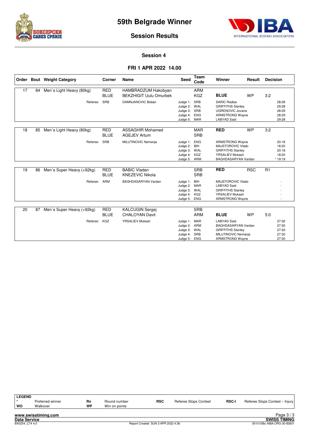



#### **Session Results**

#### **Session 4**

#### **FRI 1 APR 2022 14.00**

|    |    | Order Bout Weight Category | Corner                    | <b>Name</b>                                          | <b>Seed</b>                                                      | Team<br>Code                           | Winner                                                                                                                   | Result     | <b>Decision</b>                             |
|----|----|----------------------------|---------------------------|------------------------------------------------------|------------------------------------------------------------------|----------------------------------------|--------------------------------------------------------------------------------------------------------------------------|------------|---------------------------------------------|
| 17 | 84 | Men's Light Heavy (80kg)   | <b>RED</b><br><b>BLUE</b> | HAMBRADZUM Hakobyan<br><b>BEKZHIGIT Uulu Omurbek</b> |                                                                  | <b>ARM</b><br><b>KGZ</b>               | <b>BLUE</b>                                                                                                              | <b>WP</b>  | 3:2                                         |
|    |    | Referee:                   | SRB                       | DAMNJANOVIC Boban                                    | Judge 1:<br>Judge 2: WAL<br>Judge 3:<br>Judge 4:<br>Judge 5: MAR | SRB<br>SRB<br><b>ENG</b>               | <b>SARIC Radisa</b><br><b>GRIFFITHS Stanley</b><br>UGRENOVIC Jovana<br>ARMSTRONG Wayne<br><b>LABYAD Said</b>             |            | 28:29<br>29:28<br>28:29<br>28:29<br>29:28   |
| 18 | 85 | Men's Light Heavy (80kg)   | <b>RED</b><br><b>BLUE</b> | <b>ASSAGHIR Mohamed</b><br><b>AGEJEV Artum</b>       |                                                                  | <b>MAR</b><br><b>SRB</b>               | <b>RED</b>                                                                                                               | <b>WP</b>  | 3:2                                         |
|    |    | Referee:                   | SRB                       | MILUTINOVIC Nemanja                                  | Judge 1:<br>Judge 2:<br>Judge 3: WAL<br>Judge 4:<br>Judge 5: ARM | <b>ENG</b><br>BIH<br>KGZ               | <b>ARMSTRONG Wayne</b><br>MAJSTOROVIC Vlado<br><b>GRIFFITHS Stanley</b><br><b>YRSALIEV Mukash</b><br>BAGHDASARYAN Vardan |            | 20:18<br>18:20<br>20:18<br>18:20<br>* 19:19 |
| 19 | 86 | Men's Super Heavy (+92kg)  | <b>RED</b><br><b>BLUE</b> | <b>BABIC Vladan</b><br><b>KNEZEVIC Nikola</b>        |                                                                  | <b>SRB</b><br><b>SRB</b>               | <b>RED</b>                                                                                                               | <b>RSC</b> | R <sub>1</sub>                              |
|    |    | Referee:                   | ARM                       | <b>BAGHDASARYAN Vardan</b>                           | Judge 1:<br>Judge 2: MAR<br>Judge 3: WAL<br>Judge 4:<br>Judge 5: | BIH<br>KGZ<br><b>ENG</b>               | MAJSTOROVIC Vlado<br><b>LABYAD Said</b><br><b>GRIFFITHS Stanley</b><br><b>YRSALIEV Mukash</b><br><b>ARMSTRONG Wayne</b>  |            |                                             |
| 20 | 87 | Men's Super Heavy (+92kg)  | <b>RED</b><br><b>BLUE</b> | <b>KALCUGIN Sergej</b><br><b>CHALOYAN Davit</b>      |                                                                  | <b>SRB</b><br><b>ARM</b>               | <b>BLUE</b>                                                                                                              | <b>WP</b>  | 5:0                                         |
|    |    | Referee:                   | KGZ                       | YRSALIEV Mukash                                      | Judge 1:<br>Judge 2:<br>Judge 3:<br>Judge 4:<br>Judge 5:         | MAR<br>ARM<br>WAL<br>SRB<br><b>ENG</b> | <b>LABYAD Said</b><br>BAGHDASARYAN Vardan<br><b>GRIFFITHS Stanley</b><br>MILUTINOVIC Nemanja<br><b>ARMSTRONG Wayne</b>   |            | 27:30<br>27:30<br>27:30<br>27:30<br>27:30   |

| <b>LEGEND</b><br>wo | Preferred winner<br>Walkover | Rn<br>WP | Round number<br>Win on points | <b>RSC</b> | <b>Referee Stops Contest</b> | <b>RSC-I</b> | Referee Stops Contest - Injury |
|---------------------|------------------------------|----------|-------------------------------|------------|------------------------------|--------------|--------------------------------|
|                     | www.swisstiming.com          |          |                               |            |                              |              | Page $3/3$                     |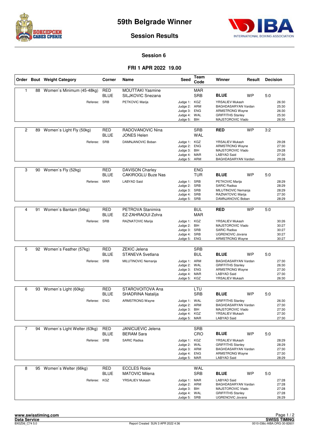



#### **Session Results**

#### **Session 6**

#### **FRI 1 APR 2022 19.00**

|                |    | Order Bout Weight Category   | Corner                    | Name                                                | Seed                                                                         | Team<br>Code                    | Winner                                                                                                                   | Result    | <b>Decision</b> |                                           |
|----------------|----|------------------------------|---------------------------|-----------------------------------------------------|------------------------------------------------------------------------------|---------------------------------|--------------------------------------------------------------------------------------------------------------------------|-----------|-----------------|-------------------------------------------|
| $\mathbf{1}$   |    | 88 Women's Minimum (45-48kg) | <b>RED</b><br><b>BLUE</b> | <b>MOUTTAKI Yasmine</b><br>SILJKOVIC Snezana        |                                                                              | <b>MAR</b><br><b>SRB</b>        | <b>BLUE</b>                                                                                                              | <b>WP</b> | 5:0             |                                           |
|                |    | Referee: SRB                 |                           | PETKOVIC Marija                                     | Judge 1: KGZ<br>Judge 2:<br>Judge 3:<br>Judge 4:<br>Judge 5:                 | ARM<br><b>ENG</b><br>WAL<br>BIH | <b>YRSALIEV Mukash</b><br>BAGHDASARYAN Vardan<br><b>ARMSTRONG Wayne</b><br><b>GRIFFITHS Stanley</b><br>MAJSTOROVIC Vlado |           |                 | 26:30<br>25:30<br>26:30<br>25:30<br>26:30 |
| $\overline{2}$ | 89 | Women's Light Fly (50kg)     | <b>RED</b><br>BLUE        | RADOVANOVIC Nina<br><b>JONES Helen</b>              |                                                                              | <b>SRB</b><br><b>WAL</b>        | <b>RED</b>                                                                                                               | <b>WP</b> | 3:2             |                                           |
|                |    | Referee: SRB                 |                           | DAMNJANOVIC Boban                                   | Judge 1: KGZ<br>Judge 2:<br>Judge 3:<br>Judge 4: MAR<br>Judge 5: ARM         | <b>ENG</b><br>BIH               | YRSALIEV Mukash<br><b>ARMSTRONG Wavne</b><br>MAJSTOROVIC Vlado<br><b>LABYAD Said</b><br>BAGHDASARYAN Vardan              |           |                 | 29:28<br>27:30<br>29:28<br>27:30<br>29:28 |
| 3              | 90 | Women's Fly (52kg)           | RED<br>BLUE               | <b>DAVISON Charley</b><br><b>CAKIROGLU Buze Nas</b> |                                                                              | <b>ENG</b><br><b>TUR</b>        | <b>BLUE</b>                                                                                                              | <b>WP</b> | 5:0             |                                           |
|                |    | Referee: MAR                 |                           | <b>LABYAD Said</b>                                  | Judge 1: SRB<br>Judge 2: SRB<br>Judge 3: SRB<br>Judge 4: SRB<br>Judge 5: SRB |                                 | PETKOVIC Marija<br><b>SARIC Radisa</b><br>MILUTINOVIC Nemanja<br>RAZNATOVIC Marija<br>DAMNJANOVIC Boban                  |           |                 | 28:29<br>28:29<br>28:29<br>27:30<br>28:29 |
| 4              | 91 | Women's Bantam (54kg)        | <b>RED</b>                | PETROVA Stanimira                                   |                                                                              | <b>BUL</b>                      | <b>RED</b>                                                                                                               | <b>WP</b> | 5:0             |                                           |
|                |    |                              | <b>BLUE</b>               | EZ-ZAHRAOUI Zohra                                   |                                                                              | <b>MAR</b>                      |                                                                                                                          |           |                 |                                           |
|                |    | Referee: SRB                 |                           | RAZNATOVIC Marija                                   | Judge 1: KGZ<br>Judge 2:<br>Judge 3: SRB<br>Judge 4: SRB<br>Judge 5:         | BIH<br>ENG                      | YRSALIEV Mukash<br>MAJSTOROVIC Vlado<br><b>SARIC Radisa</b><br><b>UGRENOVIC Jovana</b><br><b>ARMSTRONG Wayne</b>         |           |                 | 30:26<br>30:27<br>30:27<br>30:27<br>30:27 |
| 5              |    | 92 Women's Feather (57kg)    | RED                       | <b>ZEKIC Jelena</b>                                 |                                                                              | <b>SRB</b>                      |                                                                                                                          |           |                 |                                           |
|                |    |                              | BLUE                      | <b>STANEVA Svetlana</b>                             |                                                                              | <b>BUL</b>                      | <b>BLUE</b>                                                                                                              | <b>WP</b> | 5:0             |                                           |
|                |    | Referee:                     | <b>SRB</b>                | MILUTINOVIC Nemanja                                 | Judge 1: ARM<br>Judge 2:<br>Judge 3: ENG<br>Judge 4: MAR<br>Judge 5: KGZ     | WAL                             | BAGHDASARYAN Vardan<br><b>GRIFFITHS Stanley</b><br><b>ARMSTRONG Wayne</b><br><b>LABYAD Said</b><br>YRSALIEV Mukash       |           |                 | 27:30<br>26:30<br>27:30<br>27:30<br>26:30 |
| 6              | 93 | Women's Light (60kg)         | <b>RED</b>                | STAROVOITOVA Ana                                    |                                                                              | LTU                             |                                                                                                                          |           |                 |                                           |
|                |    |                              | BLUE                      | SHADRINA Natalija                                   |                                                                              | <b>SRB</b>                      | <b>BLUE</b>                                                                                                              | <b>WP</b> | 5:0             |                                           |
|                |    | Referee: ENG                 |                           | <b>ARMSTRONG Wayne</b>                              | Judge 1: WAL<br>Judge 2: ARM<br>Judge 3: BIH<br>Judge 4: KGZ<br>Judge 5:     | MAR                             | <b>GRIFFITHS Stanley</b><br>BAGHDASARYAN Vardan<br>MAJSTOROVIC Vlado<br>YRSALIEV Mukash<br><b>LABYAD Said</b>            |           |                 | 26:30<br>27:30<br>27:30<br>27:30<br>27:30 |
| $\overline{7}$ | 94 | Women's Light Welter (63kg)  | <b>RED</b>                | JANICIJEVIC Jelena                                  |                                                                              | <b>SRB</b>                      |                                                                                                                          |           |                 |                                           |
|                |    |                              | BLUE                      | <b>BERAM Sara</b>                                   |                                                                              | CRO                             | <b>BLUE</b>                                                                                                              | <b>WP</b> | 5.0             |                                           |
|                |    | Referee: SRB                 |                           | <b>SARIC Radisa</b>                                 | Judge 1: KGZ<br>Judge 2: WAL<br>Judge 3: ARM<br>Judge 4: ENG<br>Judge 5: MAR |                                 | YRSALIEV Mukash<br><b>GRIFFITHS Stanley</b><br>BAGHDASARYAN Vardan<br><b>ARMSTRONG Wayne</b><br>LABYAD Said              |           |                 | 28:29<br>28:29<br>27:30<br>27:30<br>28:29 |
| 8              | 95 | Women's Welter (66kg)        | <b>RED</b><br><b>BLUE</b> | <b>ECCLES Rosie</b><br><b>MATOVIC Milena</b>        |                                                                              | WAL<br><b>SRB</b>               | <b>BLUE</b>                                                                                                              | <b>WP</b> | 5:0             |                                           |
|                |    | Referee: KGZ                 |                           | YRSALIEV Mukash                                     | Judge 1: MAR<br>Judge 2: ARM<br>Judge 3: BIH<br>Judge 4: WAL<br>Judge 5: SRB |                                 | <b>LABYAD Said</b><br>BAGHDASARYAN Vardan<br>MAJSTOROVIC Vlado<br><b>GRIFFITHS Stanley</b><br>UGRENOVIC Jovana           |           |                 | 27:28<br>27:28<br>27:28<br>27:28<br>26:29 |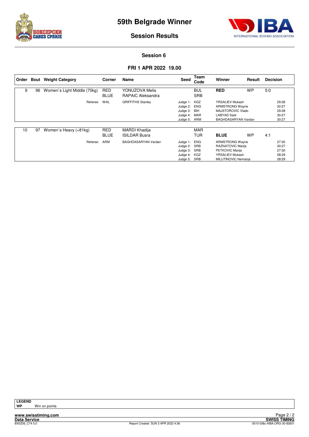



**Session Results**

#### **Session 6**

#### **FRI 1 APR 2022 19.00**

| Order |    | <b>Bout</b> Weight Category | Corner                    | Name                                         | Seed                                                                     | Team<br>Code             | Winner                                                                                                   | Result    | <b>Decision</b> |                                           |
|-------|----|-----------------------------|---------------------------|----------------------------------------------|--------------------------------------------------------------------------|--------------------------|----------------------------------------------------------------------------------------------------------|-----------|-----------------|-------------------------------------------|
| 9     | 96 | Women's Light Middle (70kg) | <b>RED</b><br><b>BLUE</b> | YONUZOVA Melis<br><b>RAPAIC Aleksandra</b>   |                                                                          | <b>BUL</b><br><b>SRB</b> | <b>RED</b>                                                                                               | <b>WP</b> | 5:0             |                                           |
|       |    | Referee:                    | WAL                       | <b>GRIFFITHS Stanley</b>                     | Judge 1: KGZ<br>Judge 2: ENG<br>Judge 3: BIH<br>Judge 4:<br>Judge 5: ARM | MAR                      | YRSALIEV Mukash<br><b>ARMSTRONG Wayne</b><br>MAJSTOROVIC Vlado<br>LABYAD Said<br>BAGHDASARYAN Vardan     |           |                 | 29:28<br>30:27<br>29:28<br>30:27<br>30:27 |
| 10    | 97 | Women's Heavy (+81kg)       | <b>RED</b><br><b>BLUE</b> | <b>MARDI Khadija</b><br><b>ISILDAR Busra</b> |                                                                          | <b>MAR</b><br>TUR        | <b>BLUE</b>                                                                                              | <b>WP</b> | 4:1             |                                           |
|       |    | Referee:                    | ARM                       | BAGHDASARYAN Vardan                          | Judge 1: ENG<br>Judge 2:<br>Judge 3:<br>Judge 4: KGZ<br>Judge 5:         | SRB<br>SRB<br>SRB        | <b>ARMSTRONG Wayne</b><br>RAZNATOVIC Marija<br>PETKOVIC Marija<br>YRSALIEV Mukash<br>MILUTINOVIC Nemanja |           |                 | 27:30<br>30:27<br>27:30<br>28:29<br>28:29 |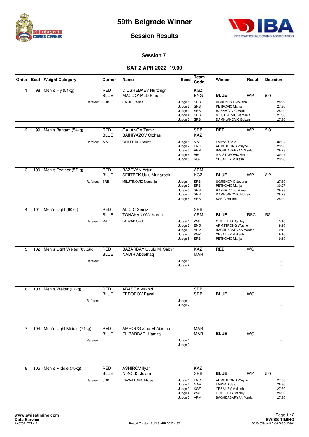



#### **Session Results**

#### **Session 7**

#### **SAT 2 APR 2022 19.00**

|                |     | Order Bout Weight Category      |              | Corner                    | Name                                                                   | <b>Seed</b>                                                                  | <b>Team</b><br>Code      | <b>Winner</b>                                                                                                      | Result     | <b>Decision</b> |                                           |
|----------------|-----|---------------------------------|--------------|---------------------------|------------------------------------------------------------------------|------------------------------------------------------------------------------|--------------------------|--------------------------------------------------------------------------------------------------------------------|------------|-----------------|-------------------------------------------|
| 1              |     | 98 Men's Fly (51kg)             | Referee: SRB | <b>RED</b><br><b>BLUE</b> | DIUSHEBAEV Nurzhigit<br><b>MACDONALD Kiaran</b><br><b>SARIC Radisa</b> | Judge 1: SRB<br>Judge 2: SRB                                                 | <b>KGZ</b><br><b>ENG</b> | <b>BLUE</b><br><b>UGRENOVIC Jovana</b><br>PETKOVIC Marija                                                          | <b>WP</b>  | 5:0             | 28:29<br>27:30                            |
|                |     |                                 |              |                           |                                                                        | Judge 3: SRB<br>Judge 4: SRB<br>Judge 5: SRB                                 |                          | RAZNATOVIC Marija<br>MILUTINOVIC Nemanja<br>DAMNJANOVIC Boban                                                      |            |                 | 28:29<br>27:30<br>27:30                   |
| 2              | 99  | Men's Bantam (54kg)             |              | RED<br><b>BLUE</b>        | <b>GALANOV Tamir</b><br><b>BAINIYAZOV Olzhas</b>                       |                                                                              | <b>SRB</b><br>KAZ        | <b>RED</b>                                                                                                         | <b>WP</b>  | 5:0             |                                           |
|                |     |                                 | Referee: WAL |                           | <b>GRIFFITHS Stanley</b>                                               | Judge 1: MAR<br>Judge 2: ENG<br>Judge 3: ARM<br>Judge 4: BIH<br>Judge 5: KGZ |                          | <b>LABYAD Said</b><br><b>ARMSTRONG Wayne</b><br>BAGHDASARYAN Vardan<br>MAJSTOROVIC Vlado<br>YRSALIEV Mukash        |            |                 | 30:27<br>29:28<br>29:28<br>30:27<br>29:28 |
| 3              | 100 | Men's Feather (57kg)            |              | <b>RED</b><br><b>BLUE</b> | <b>BAZEYAN Artur</b><br><b>SEIITBEK Uulu Munarbek</b>                  |                                                                              | <b>ARM</b><br><b>KGZ</b> | <b>BLUE</b>                                                                                                        | <b>WP</b>  | 3:2             |                                           |
|                |     |                                 | Referee:     | <b>SRB</b>                | MILUTINOVIC Nemanja                                                    | Judge 1: SRB<br>Judge 2: SRB<br>Judge 3: SRB<br>Judge 4: SRB<br>Judge 5:     | SRB                      | <b>UGRENOVIC Jovana</b><br>PETKOVIC Marija<br>RAZNATOVIC Marija<br>DAMNJANOVIC Boban<br><b>SARIC Radisa</b>        |            |                 | 27:30<br>30:27<br>29:28<br>28:29<br>28:29 |
| $\overline{4}$ | 101 | Men's Light (60kg)              |              | <b>RED</b><br><b>BLUE</b> | <b>ALICIC Semiz</b><br><b>TONAKANYAN Karen</b>                         |                                                                              | <b>SRB</b><br><b>ARM</b> | <b>BLUE</b>                                                                                                        | <b>RSC</b> | R <sub>2</sub>  |                                           |
|                |     |                                 | Referee: MAR |                           | <b>LABYAD Said</b>                                                     | Judge 1: WAL<br>Judge 2: ENG<br>Judge 3: ARM<br>Judge 4: KGZ<br>Judge 5: SRB |                          | <b>GRIFFITHS Stanley</b><br><b>ARMSTRONG Wayne</b><br>BAGHDASARYAN Vardan<br>YRSALIEV Mukash<br>PETKOVIC Marija    |            |                 | 9:10<br>9:10<br>9:10<br>9:10<br>9:10      |
| 5              |     | 102 Men's Light Welter (63.5kg) |              | <b>RED</b>                | BAZARBAY Uuulu M. Sabyr                                                |                                                                              | KAZ                      | <b>RED</b>                                                                                                         | <b>WO</b>  |                 |                                           |
|                |     |                                 | Referee:     | <b>BLUE</b>               | <b>NADIR Abdelhaq</b>                                                  | Judge 1:<br>Judge 2:                                                         | <b>MAR</b>               |                                                                                                                    |            |                 |                                           |
| 6              | 103 | Men's Welter (67kg)             |              | <b>RED</b>                | <b>ABASOV Vakhid</b>                                                   |                                                                              | <b>SRB</b>               |                                                                                                                    |            |                 |                                           |
|                |     |                                 | Referee:     | <b>BLUE</b>               | <b>FEDOROV Pavel</b>                                                   | Judge 1:<br>Judge 2:                                                         | <b>SRB</b>               | <b>BLUE</b>                                                                                                        | <b>WO</b>  |                 |                                           |
| $\overline{7}$ |     | 104 Men's Light Middle (71kg)   |              | <b>RED</b>                | AMROUG Zine-El Abidine                                                 |                                                                              | <b>MAR</b>               |                                                                                                                    |            |                 |                                           |
|                |     |                                 | Referee:     | <b>BLUE</b>               | EL BARBARI Hamza                                                       | Judge 1:<br>Judge 2:                                                         | MAR                      | <b>BLUE</b>                                                                                                        | <b>WO</b>  |                 |                                           |
| 8              |     | 105 Men's Middle (75kg)         |              | <b>RED</b><br><b>BLUE</b> | <b>ASHIROV Ilyar</b><br>NIKOLIC Jovan                                  |                                                                              | KAZ<br><b>SRB</b>        | <b>BLUE</b>                                                                                                        | <b>WP</b>  | 5:0             |                                           |
|                |     |                                 | Referee: SRB |                           | RAZNATOVIC Marija                                                      | Judge 1: ENG<br>Judge 2: MAR<br>Judge 3: KGZ<br>Judge 4: WAL<br>Judge 5: ARM |                          | <b>ARMSTRONG Wayne</b><br><b>LABYAD Said</b><br>YRSALIEV Mukash<br><b>GRIFFITHS Stanley</b><br>BAGHDASARYAN Vardan |            |                 | 27:30<br>26:30<br>27:30<br>26:30<br>27:30 |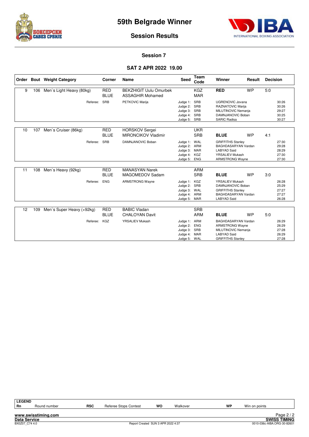



**Session Results**

#### **Session 7**

#### **SAT 2 APR 2022 19.00**

|    |     | Order Bout Weight Category | Corner                    | Name                                                     | <b>Seed</b>                                                              | Team<br>Code                           | Winner                                                                                                                    | Result    | <b>Decision</b> |                                           |
|----|-----|----------------------------|---------------------------|----------------------------------------------------------|--------------------------------------------------------------------------|----------------------------------------|---------------------------------------------------------------------------------------------------------------------------|-----------|-----------------|-------------------------------------------|
| 9  | 106 | Men's Light Heavy (80kg)   | <b>RED</b><br><b>BLUE</b> | <b>BEKZHIGIT Uulu Omurbek</b><br><b>ASSAGHIR Mohamed</b> |                                                                          | <b>KGZ</b><br><b>MAR</b>               | <b>RED</b>                                                                                                                | <b>WP</b> | 5:0             |                                           |
|    |     | Referee:                   | SRB                       | PETKOVIC Marija                                          | Judge 1:<br>Judge 2: SRB<br>Judge 3: SRB<br>Judge 4:<br>Judge 5: SRB     | SRB<br>SRB                             | <b>UGRENOVIC Jovana</b><br>RAZNATOVIC Marija<br>MILUTINOVIC Nemanja<br>DAMNJANOVIC Boban<br><b>SARIC Radisa</b>           |           |                 | 30:26<br>30:26<br>29:27<br>30:25<br>30:27 |
| 10 | 107 | Men's Cruiser (86kg)       | <b>RED</b><br><b>BLUE</b> | <b>HORSKOV Sergei</b><br><b>MIRONCIKOV Vladimir</b>      |                                                                          | <b>UKR</b><br><b>SRB</b>               | <b>BLUE</b>                                                                                                               | <b>WP</b> | 4:1             |                                           |
|    |     | Referee:                   | SRB                       | DAMNJANOVIC Boban                                        | Judge 1:<br>Judge 2: ARM<br>Judge 3: MAR<br>Judge 4:<br>Judge 5: ENG     | WAL<br>KGZ                             | <b>GRIFFITHS Stanley</b><br>BAGHDASARYAN Vardan<br><b>LABYAD Said</b><br><b>YRSALIEV Mukash</b><br><b>ARMSTRONG Wayne</b> |           |                 | 27:30<br>29:28<br>28:29<br>27:30<br>27:30 |
| 11 | 108 | Men's Heavy (92kg)         | <b>RED</b><br><b>BLUE</b> | <b>MANASYAN Narek</b><br>MAGOMEDOV Sadam                 |                                                                          | <b>ARM</b><br><b>SRB</b>               | <b>BLUE</b>                                                                                                               | <b>WP</b> | 3.0             |                                           |
|    |     | Referee:                   | <b>ENG</b>                | <b>ARMSTRONG Wayne</b>                                   | Judge 1: KGZ<br>Judge 2: SRB<br>Judge 3: WAL<br>Judge 4:<br>Judge 5: MAR | ARM                                    | <b>YRSALIEV Mukash</b><br>DAMNJANOVIC Boban<br><b>GRIFFITHS Stanley</b><br>BAGHDASARYAN Vardan<br><b>LABYAD Said</b>      |           |                 | 26:28<br>25:29<br>27:27<br>27:27<br>26:28 |
| 12 | 109 | Men's Super Heavy (+92kg)  | <b>RED</b>                | <b>BABIC Vladan</b>                                      |                                                                          | <b>SRB</b>                             |                                                                                                                           |           |                 |                                           |
|    |     |                            | <b>BLUE</b>               | <b>CHALOYAN Davit</b>                                    |                                                                          | <b>ARM</b>                             | <b>BLUE</b>                                                                                                               | <b>WP</b> | 5:0             |                                           |
|    |     | Referee:                   | KGZ                       | YRSALIEV Mukash                                          | Judge 1:<br>Judge 2:<br>Judge 3: SRB<br>Judge 4:<br>Judge 5:             | ARM<br><b>ENG</b><br><b>MAR</b><br>WAL | BAGHDASARYAN Vardan<br><b>ARMSTRONG Wayne</b><br>MILUTINOVIC Nemanja<br><b>LABYAD Said</b><br><b>GRIFFITHS Stanley</b>    |           |                 | 26:29<br>26:29<br>27:28<br>26:29<br>27:28 |

| <b>LEGEND</b>       |                     |            |                       |                                    |          |    |               |                             |
|---------------------|---------------------|------------|-----------------------|------------------------------------|----------|----|---------------|-----------------------------|
| ' Rn                | Round number        | <b>RSC</b> | Referee Stops Contest | wo                                 | Walkover | WP | Win on points |                             |
|                     |                     |            |                       |                                    |          |    |               |                             |
|                     | www.swisstiming.com |            |                       |                                    |          |    |               | Page $2/2$                  |
| <b>Data Service</b> |                     |            |                       |                                    |          |    |               | <b>SWISS TIMING</b>         |
| BX0Z07 C74 4.0      |                     |            |                       | Report Created SUN 3 APR 2022 4:37 |          |    |               | 0010-036c-AIBA.ORG-30-82601 |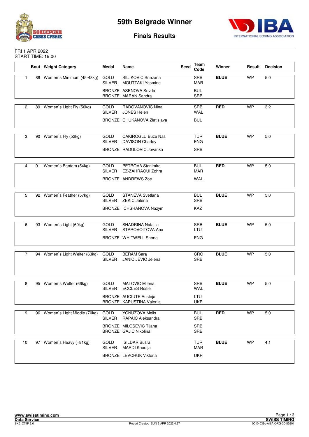



#### **Finals Results**

#### FRI 1 APR 2022 START TIME: 19.00

|                |    | <b>Bout</b> Weight Category    | Medal                        | Name                                                    | Seed | Team<br>Code             | Winner      | Result    | <b>Decision</b> |
|----------------|----|--------------------------------|------------------------------|---------------------------------------------------------|------|--------------------------|-------------|-----------|-----------------|
| $\mathbf{1}$   |    | 88 Women's Minimum (45-48kg)   | GOLD<br>SILVER               | SILJKOVIC Snezana<br><b>MOUTTAKI Yasmine</b>            |      | SRB<br><b>MAR</b>        | <b>BLUE</b> | <b>WP</b> | 5:0             |
|                |    |                                |                              | BRONZE ASENOVA Sevda<br><b>BRONZE MARAN Sandra</b>      |      | <b>BUL</b><br><b>SRB</b> |             |           |                 |
|                |    |                                |                              |                                                         |      |                          |             |           |                 |
| $\overline{2}$ |    | 89 Women's Light Fly (50kg)    | GOLD<br>SILVER               | RADOVANOVIC Nina<br><b>JONES Helen</b>                  |      | <b>SRB</b><br>WAL        | <b>RED</b>  | <b>WP</b> | 3:2             |
|                |    |                                |                              | <b>BRONZE CHUKANOVA Zlatislava</b>                      |      | <b>BUL</b>               |             |           |                 |
|                |    |                                |                              |                                                         |      |                          |             |           |                 |
| 3              |    | 90 Women's Fly (52kg)          | <b>GOLD</b><br><b>SILVER</b> | <b>CAKIROGLU Buze Nas</b><br><b>DAVISON Charley</b>     |      | <b>TUR</b><br><b>ENG</b> | <b>BLUE</b> | <b>WP</b> | 5.0             |
|                |    |                                |                              | BRONZE RADULOVIC Jovanka                                |      | <b>SRB</b>               |             |           |                 |
|                |    |                                |                              |                                                         |      |                          |             |           |                 |
| $\overline{4}$ | 91 | Women's Bantam (54kg)          | GOLD<br><b>SILVER</b>        | PETROVA Stanimira<br>EZ-ZAHRAOUI Zohra                  |      | <b>BUL</b><br><b>MAR</b> | <b>RED</b>  | <b>WP</b> | 5.0             |
|                |    |                                |                              | <b>BRONZE ANDREWS Zoe</b>                               |      | <b>WAL</b>               |             |           |                 |
|                |    |                                |                              |                                                         |      |                          |             |           |                 |
| 5              |    | 92 Women's Feather (57kg)      | <b>GOLD</b><br><b>SILVER</b> | STANEVA Svetlana<br>ZEKIC Jelena                        |      | <b>BUL</b><br><b>SRB</b> | <b>BLUE</b> | <b>WP</b> | 5.0             |
|                |    |                                |                              | BRONZE ICHSHANOVA Nazym                                 |      | <b>KAZ</b>               |             |           |                 |
|                |    |                                |                              |                                                         |      |                          |             |           |                 |
| 6              |    | 93 Women's Light (60kg)        | <b>GOLD</b><br><b>SILVER</b> | SHADRINA Natalija<br>STAROVOITOVA Ana                   |      | <b>SRB</b><br>LTU        | <b>BLUE</b> | <b>WP</b> | 5.0             |
|                |    |                                |                              | BRONZE WHITWELL Shona                                   |      | <b>ENG</b>               |             |           |                 |
|                |    |                                |                              |                                                         |      |                          |             |           |                 |
| $\overline{7}$ |    | 94 Women's Light Welter (63kg) | <b>GOLD</b><br><b>SILVER</b> | <b>BERAM Sara</b><br>JANICIJEVIC Jelena                 |      | CRO<br><b>SRB</b>        | <b>BLUE</b> | <b>WP</b> | 5:0             |
|                |    |                                |                              |                                                         |      |                          |             |           |                 |
|                |    |                                |                              |                                                         |      |                          |             |           |                 |
| 8              |    | 95 Women's Welter (66kg)       | GOLD<br><b>SILVER</b>        | <b>MATOVIC Milena</b><br><b>ECCLES Rosie</b>            |      | <b>SRB</b><br><b>WAL</b> | <b>BLUE</b> | <b>WP</b> | 5.0             |
|                |    |                                |                              | <b>BRONZE AUCIUTE Austeja</b>                           |      | LTU                      |             |           |                 |
|                |    |                                |                              | BRONZE KAPUSTINA Valeriia                               |      | <b>UKR</b>               |             |           |                 |
| 9              | 96 | Women's Light Middle (70kg)    | GOLD                         | YONUZOVA Melis                                          |      | <b>BUL</b>               | <b>RED</b>  | <b>WP</b> | 5:0             |
|                |    |                                | <b>SILVER</b>                | RAPAIC Aleksandra                                       |      | <b>SRB</b>               |             |           |                 |
|                |    |                                |                              | BRONZE MILOSEVIC Tijana<br><b>BRONZE GAJIC Nikolina</b> |      | <b>SRB</b><br><b>SRB</b> |             |           |                 |
|                |    |                                |                              |                                                         |      |                          |             |           |                 |
| 10             |    | 97 Women's Heavy (+81kg)       | GOLD<br>SILVER               | <b>ISILDAR Busra</b><br>MARDI Khadija                   |      | <b>TUR</b><br><b>MAR</b> | <b>BLUE</b> | <b>WP</b> | 4:1             |
|                |    |                                |                              | <b>BRONZE LEVCHUK Viktoria</b>                          |      | <b>UKR</b>               |             |           |                 |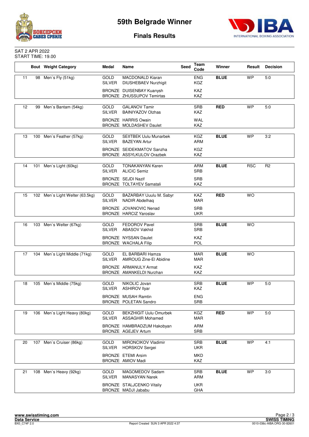



#### **Finals Results**

#### SAT 2 APR 2022 START TIME: 19.00

|    |     | <b>Bout Weight Category</b>     | Medal                        | Name                                                          | Seed | Team<br>Code             | Winner      | Result     | <b>Decision</b> |
|----|-----|---------------------------------|------------------------------|---------------------------------------------------------------|------|--------------------------|-------------|------------|-----------------|
| 11 |     | 98 Men's Fly (51kg)             | <b>GOLD</b><br><b>SILVER</b> | <b>MACDONALD Kiaran</b><br><b>DIUSHEBAEV Nurzhigit</b>        |      | <b>ENG</b><br><b>KGZ</b> | <b>BLUE</b> | <b>WP</b>  | 5:0             |
|    |     |                                 |                              | BRONZE DUISENBAY Kuanysh<br><b>BRONZE ZHUSSUPOV Temirtas</b>  |      | <b>KAZ</b><br>KAZ        |             |            |                 |
| 12 |     | 99 Men's Bantam (54kg)          | <b>GOLD</b>                  | <b>GALANOV Tamir</b>                                          |      | SRB                      | <b>RED</b>  | <b>WP</b>  | 5:0             |
|    |     |                                 | <b>SILVER</b>                | <b>BAINIYAZOV Olzhas</b>                                      |      | <b>KAZ</b>               |             |            |                 |
|    |     |                                 |                              | <b>BRONZE HARRIS Owain</b><br>BRONZE MOLDASHEV Daulet         |      | <b>WAL</b><br><b>KAZ</b> |             |            |                 |
| 13 | 100 | Men's Feather (57kg)            | <b>GOLD</b>                  | <b>SEIITBEK Uulu Munarbek</b>                                 |      | KGZ                      | <b>BLUE</b> | <b>WP</b>  | 3:2             |
|    |     |                                 | <b>SILVER</b>                | <b>BAZEYAN Artur</b>                                          |      | ARM                      |             |            |                 |
|    |     |                                 |                              | <b>BRONZE SEIDEKMATOV Sanzha</b><br>BRONZE ASSYLKULOV Orazbek |      | <b>KGZ</b><br>KAZ        |             |            |                 |
| 14 |     | 101 Men's Light (60kg)          | GOLD<br><b>SILVER</b>        | <b>TONAKANYAN Karen</b><br><b>ALICIC Semiz</b>                |      | ARM<br><b>SRB</b>        | <b>BLUE</b> | <b>RSC</b> | R <sub>2</sub>  |
|    |     |                                 |                              | <b>BRONZE SEJDI Nazif</b><br>BRONZE TOLTAYEV Samatali         |      | <b>SRB</b><br><b>KAZ</b> |             |            |                 |
| 15 |     | 102 Men's Light Welter (63.5kg) | <b>GOLD</b>                  | BAZARBAY Uuulu M. Sabyr                                       |      | KAZ                      | <b>RED</b>  | <b>WO</b>  |                 |
|    |     |                                 | SILVER                       | <b>NADIR Abdelhaq</b>                                         |      | <b>MAR</b>               |             |            |                 |
|    |     |                                 |                              | BRONZE JOVANOVIC Nenad<br><b>BRONZE HARCIZ Yaroslav</b>       |      | <b>SRB</b><br><b>UKR</b> |             |            |                 |
|    |     |                                 |                              |                                                               |      |                          |             |            |                 |
| 16 |     | 103 Men's Welter (67kg)         | GOLD<br><b>SILVER</b>        | FEDOROV Pavel<br><b>ABASOV Vakhid</b>                         |      | <b>SRB</b><br><b>SRB</b> | <b>BLUE</b> | <b>WO</b>  |                 |
|    |     |                                 |                              | BRONZE NYSSAN Daulet<br>BRONZE WACHALA Filip                  |      | <b>KAZ</b><br><b>POL</b> |             |            |                 |
|    |     |                                 | <b>GOLD</b>                  | EL BARBARI Hamza                                              |      | <b>MAR</b>               | <b>BLUE</b> | <b>WO</b>  |                 |
| 17 | 104 | Men's Light Middle (71kg)       | <b>SILVER</b>                | AMROUG Zine-El Abidine                                        |      | MAR                      |             |            |                 |
|    |     |                                 |                              | BRONZE ARMANULY Armat<br>BRONZE AMANKELDI Nurzhan             |      | <b>KAZ</b><br>KAZ        |             |            |                 |
| 18 | 105 | Men's Middle (75kg)             | <b>GOLD</b><br><b>SILVER</b> | NIKOLIC Jovan<br><b>ASHIROV Ilyar</b>                         |      | <b>SRB</b><br><b>KAZ</b> | <b>BLUE</b> | <b>WP</b>  | 5:0             |
|    |     |                                 |                              | <b>BRONZE MUSAH Ramtin</b><br>BRONZE POLETAN Sandro           |      | <b>ENG</b><br><b>SRB</b> |             |            |                 |
|    |     |                                 |                              |                                                               |      |                          |             |            |                 |
| 19 |     | 106 Men's Light Heavy (80kg)    | GOLD<br><b>SILVER</b>        | <b>BEKZHIGIT Uulu Omurbek</b><br><b>ASSAGHIR Mohamed</b>      |      | KGZ<br><b>MAR</b>        | <b>RED</b>  | <b>WP</b>  | 5:0             |
|    |     |                                 |                              | BRONZE HAMBRADZUM Hakobyan<br>BRONZE AGEJEV Artum             |      | ARM<br><b>SRB</b>        |             |            |                 |
| 20 |     | 107 Men's Cruiser (86kg)        | GOLD                         | <b>MIRONCIKOV Vladimir</b>                                    |      | <b>SRB</b>               | <b>BLUE</b> | <b>WP</b>  | 4:1             |
|    |     |                                 | <b>SILVER</b>                | <b>HORSKOV Sergei</b>                                         |      | <b>UKR</b>               |             |            |                 |
|    |     |                                 |                              | <b>BRONZE ETEMI Arsim</b><br>BRONZE AMIOV Madi                |      | <b>MKD</b><br>KAZ        |             |            |                 |
| 21 |     | 108 Men's Heavy (92kg)          | GOLD                         | MAGOMEDOV Sadam                                               |      | <b>SRB</b>               | <b>BLUE</b> | <b>WP</b>  | 3:0             |
|    |     |                                 | <b>SILVER</b>                | <b>MANASYAN Narek</b>                                         |      | ARM                      |             |            |                 |
|    |     |                                 |                              | <b>BRONZE STALJCENKO Vitaliy</b><br>BRONZE MADJI Jababu       |      | <b>UKR</b><br>GHA        |             |            |                 |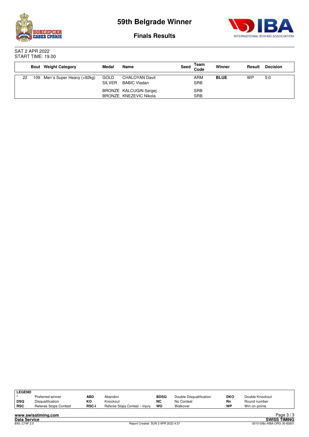



**Finals Results**

SAT 2 APR 2022 START TIME: 19.00

|    | <b>Bout</b> Weight Category   | Medal                 | Name                                             | Seed | Team<br>Code             | Winner      | Result | <b>Decision</b> |
|----|-------------------------------|-----------------------|--------------------------------------------------|------|--------------------------|-------------|--------|-----------------|
| 22 | 109 Men's Super Heavy (+92kg) | GOLD<br><b>SILVER</b> | <b>CHALOYAN Davit</b><br><b>BABIC Vladan</b>     |      | <b>ARM</b><br><b>SRB</b> | <b>BLUE</b> | WP     | 5:0             |
|    |                               |                       | BRONZE KALCUGIN Sergej<br>BRONZE KNEZEVIC Nikola |      | <b>SRB</b><br><b>SRB</b> |             |        |                 |

| <b>LEGEND</b> |                       |              |                                |             |                         |     |                 |
|---------------|-----------------------|--------------|--------------------------------|-------------|-------------------------|-----|-----------------|
|               | Preferred winner      | ABD          | Abandon                        | <b>BDSQ</b> | Double Disqualification | DKO | Double Knockout |
| <b>DSQ</b>    | Disqualification      | ĸо           | Knockout                       | <b>NC</b>   | No Contest              | Rn  | Round number    |
| <b>RSC</b>    | Referee Stops Contest | <b>RSC-I</b> | Referee Stops Contest - Injury | WO          | Walkover                | WP  | Win on points   |
|               |                       |              |                                |             |                         |     |                 |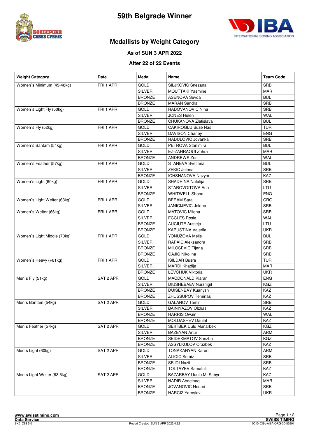



#### **Medallists by Weight Category**

#### **As of SUN 3 APR 2022**

#### **After 22 of 22 Events**

| <b>Weight Category</b>      | <b>Date</b> | Medal         | Name                          | <b>Team Code</b> |
|-----------------------------|-------------|---------------|-------------------------------|------------------|
| Women's Minimum (45-48kg)   | FRI 1 APR   | GOLD          | SILJKOVIC Snezana             | <b>SRB</b>       |
|                             |             | <b>SILVER</b> | <b>MOUTTAKI Yasmine</b>       | <b>MAR</b>       |
|                             |             | <b>BRONZE</b> | <b>ASENOVA Sevda</b>          | <b>BUL</b>       |
|                             |             | <b>BRONZE</b> | <b>MARAN Sandra</b>           | <b>SRB</b>       |
| Women's Light Fly (50kg)    | FRI 1 APR   | <b>GOLD</b>   | RADOVANOVIC Nina              | <b>SRB</b>       |
|                             |             | <b>SILVER</b> | <b>JONES Helen</b>            | WAL              |
|                             |             | <b>BRONZE</b> | CHUKANOVA Zlatislava          | <b>BUL</b>       |
| Women's Fly (52kg)          | FRI 1 APR   | GOLD          | <b>CAKIROGLU Buze Nas</b>     | <b>TUR</b>       |
|                             |             | <b>SILVER</b> | <b>DAVISON Charley</b>        | <b>ENG</b>       |
|                             |             | <b>BRONZE</b> | RADULOVIC Jovanka             | SRB              |
| Women's Bantam (54kg)       | FRI 1 APR   | GOLD          | PETROVA Stanimira             | <b>BUL</b>       |
|                             |             | <b>SILVER</b> | EZ-ZAHRAOUI Zohra             | <b>MAR</b>       |
|                             |             | <b>BRONZE</b> | <b>ANDREWS Zoe</b>            | WAL              |
| Women's Feather (57kg)      | FRI 1 APR   | <b>GOLD</b>   | STANEVA Svetlana              | <b>BUL</b>       |
|                             |             | <b>SILVER</b> | ZEKIC Jelena                  | SRB              |
|                             |             | <b>BRONZE</b> | ICHSHANOVA Nazym              | KAZ              |
| Women's Light (60kg)        | FRI 1 APR   | <b>GOLD</b>   | SHADRINA Natalija             | SRB              |
|                             |             | <b>SILVER</b> | STAROVOITOVA Ana              | LTU              |
|                             |             | <b>BRONZE</b> | <b>WHITWELL Shona</b>         | <b>ENG</b>       |
| Women's Light Welter (63kg) | FRI 1 APR   | GOLD          | <b>BERAM Sara</b>             | CRO              |
|                             |             | <b>SILVER</b> | JANICIJEVIC Jelena            | <b>SRB</b>       |
| Women's Welter (66kg)       | FRI 1 APR   | <b>GOLD</b>   | <b>MATOVIC Milena</b>         | <b>SRB</b>       |
|                             |             | <b>SILVER</b> | <b>ECCLES Rosie</b>           | WAL              |
|                             |             | <b>BRONZE</b> | <b>AUCIUTE Austeja</b>        | LTU              |
|                             |             | <b>BRONZE</b> | KAPUSTINA Valeriia            | <b>UKR</b>       |
| Women's Light Middle (70kg) | FRI 1 APR   | GOLD          | YONUZOVA Melis                | <b>BUL</b>       |
|                             |             | <b>SILVER</b> | RAPAIC Aleksandra             | <b>SRB</b>       |
|                             |             | <b>BRONZE</b> | MILOSEVIC Tijana              | SRB              |
|                             |             | <b>BRONZE</b> | <b>GAJIC Nikolina</b>         | SRB              |
| Women's Heavy (+81kg)       | FRI 1 APR   | GOLD          | <b>ISILDAR Busra</b>          | <b>TUR</b>       |
|                             |             | SILVER        | <b>MARDI Khadija</b>          | <b>MAR</b>       |
|                             |             | <b>BRONZE</b> | <b>LEVCHUK Viktoria</b>       | <b>UKR</b>       |
| Men's Fly (51kg)            | SAT 2 APR   | <b>GOLD</b>   | MACDONALD Kiaran              | <b>ENG</b>       |
|                             |             | <b>SILVER</b> | <b>DIUSHEBAEV Nurzhigit</b>   | KGZ              |
|                             |             | <b>BRONZE</b> | <b>DUISENBAY Kuanysh</b>      | KAZ              |
|                             |             | <b>BRONZE</b> | <b>ZHUSSUPOV Temirtas</b>     | KAZ              |
| Men's Bantam (54kg)         | SAT 2 APR   | <b>GOLD</b>   | <b>GALANOV Tamir</b>          | SRB              |
|                             |             | <b>SILVER</b> | <b>BAINIYAZOV Olzhas</b>      | KAZ              |
|                             |             | <b>BRONZE</b> | <b>HARRIS Owain</b>           | WAL              |
|                             |             | <b>BRONZE</b> | MOLDASHEV Daulet              | KAZ              |
| Men's Feather (57kg)        | SAT 2 APR   | GOLD          | <b>SEIITBEK Uulu Munarbek</b> | KGZ              |
|                             |             | <b>SILVER</b> | <b>BAZEYAN Artur</b>          | <b>ARM</b>       |
|                             |             | <b>BRONZE</b> | SEIDEKMATOV Sanzha            | KGZ              |
|                             |             | <b>BRONZE</b> | ASSYLKULOV Orazbek            | KAZ              |
| Men's Light (60kg)          | SAT 2 APR   | GOLD          | <b>TONAKANYAN Karen</b>       | ARM              |
|                             |             | SILVER        | <b>ALICIC Semiz</b>           | SRB              |
|                             |             | <b>BRONZE</b> | SEJDI Nazif                   | SRB              |
|                             |             | <b>BRONZE</b> | <b>TOLTAYEV Samatali</b>      | KAZ              |
| Men's Light Welter (63.5kg) | SAT 2 APR   | <b>GOLD</b>   | BAZARBAY Uuulu M. Sabyr       | KAZ              |
|                             |             | <b>SILVER</b> | <b>NADIR Abdelhaq</b>         | MAR              |
|                             |             | <b>BRONZE</b> | JOVANOVIC Nenad               | <b>SRB</b>       |
|                             |             | <b>BRONZE</b> | <b>HARCIZ Yaroslav</b>        | <b>UKR</b>       |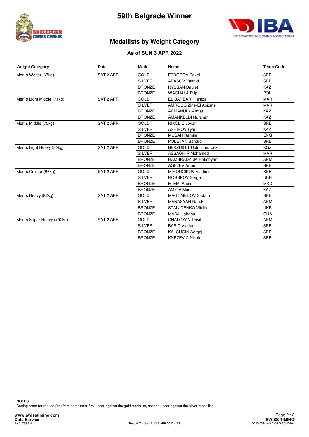



#### **Medallists by Weight Category**

#### **As of SUN 3 APR 2022**

| <b>Weight Category</b>    | Date      | Medal         | Name                          | <b>Team Code</b> |
|---------------------------|-----------|---------------|-------------------------------|------------------|
| Men's Welter (67kg)       | SAT 2 APR | <b>GOLD</b>   | <b>FEDOROV Pavel</b>          | <b>SRB</b>       |
|                           |           | <b>SILVER</b> | <b>ABASOV Vakhid</b>          | <b>SRB</b>       |
|                           |           | <b>BRONZE</b> | <b>NYSSAN Daulet</b>          | <b>KAZ</b>       |
|                           |           | <b>BRONZE</b> | <b>WACHALA Filip</b>          | POL              |
| Men's Light Middle (71kg) | SAT 2 APR | <b>GOLD</b>   | EL BARBARI Hamza              | <b>MAR</b>       |
|                           |           | <b>SILVER</b> | <b>AMROUG Zine-El Abidine</b> | <b>MAR</b>       |
|                           |           | <b>BRONZE</b> | <b>ARMANULY Armat</b>         | <b>KAZ</b>       |
|                           |           | <b>BRONZE</b> | AMANKELDI Nurzhan             | <b>KAZ</b>       |
| Men's Middle (75kg)       | SAT 2 APR | <b>GOLD</b>   | NIKOLIC Jovan                 | <b>SRB</b>       |
|                           |           | <b>SILVER</b> | <b>ASHIROV Ilyar</b>          | KAZ              |
|                           |           | <b>BRONZE</b> | <b>MUSAH Ramtin</b>           | <b>ENG</b>       |
|                           |           | <b>BRONZE</b> | POLETAN Sandro                | <b>SRB</b>       |
| Men's Light Heavy (80kg)  | SAT 2 APR | <b>GOLD</b>   | <b>BEKZHIGIT Uulu Omurbek</b> | <b>KGZ</b>       |
|                           |           | <b>SILVER</b> | <b>ASSAGHIR Mohamed</b>       | <b>MAR</b>       |
|                           |           | <b>BRONZE</b> | HAMBRADZUM Hakobyan           | <b>ARM</b>       |
|                           |           | <b>BRONZE</b> | <b>AGEJEV Artum</b>           | <b>SRB</b>       |
| Men's Cruiser (86kg)      | SAT 2 APR | <b>GOLD</b>   | <b>MIRONCIKOV Vladimir</b>    | <b>SRB</b>       |
|                           |           | <b>SILVER</b> | <b>HORSKOV Sergei</b>         | <b>UKR</b>       |
|                           |           | <b>BRONZE</b> | <b>ETEMI Arsim</b>            | <b>MKD</b>       |
|                           |           | <b>BRONZE</b> | <b>AMIOV Madi</b>             | <b>KAZ</b>       |
| Men's Heavy (92kg)        | SAT 2 APR | <b>GOLD</b>   | MAGOMEDOV Sadam               | <b>SRB</b>       |
|                           |           | <b>SILVER</b> | <b>MANASYAN Narek</b>         | <b>ARM</b>       |
|                           |           | <b>BRONZE</b> | <b>STALJCENKO Vitaliy</b>     | <b>UKR</b>       |
|                           |           | <b>BRONZE</b> | <b>MADJI Jababu</b>           | GHA              |
| Men's Super Heavy (+92kg) | SAT 2 APR | <b>GOLD</b>   | <b>CHALOYAN Davit</b>         | <b>ARM</b>       |
|                           |           | <b>SILVER</b> | <b>BABIC Vladan</b>           | <b>SRB</b>       |
|                           |           | <b>BRONZE</b> | <b>KALCUGIN Sergei</b>        | <b>SRB</b>       |
|                           |           | <b>BRONZE</b> | <b>KNEZEVIC Nikola</b>        | <b>SRB</b>       |

**NOTES**

Sorting order for ranked 3rd: from semifinals, first, loser against the gold medallist, second, loser against the silver medallist.

**www.swisstiming.com**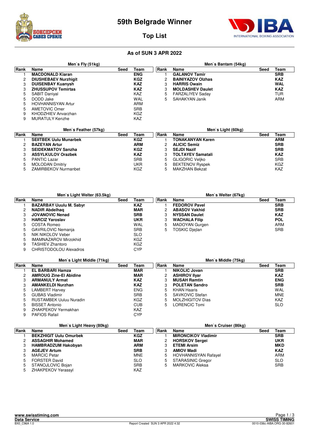



#### **Top List**

|      | Men's Fly $(51kg)$          |      |            |             | Men's Bantam (54kg)      |      |            |
|------|-----------------------------|------|------------|-------------|--------------------------|------|------------|
| Rank | <b>Name</b>                 | Seed | Team       | <b>Rank</b> | Name                     | Seed | Team       |
|      | <b>MACDONALD Kiaran</b>     |      | <b>ENG</b> |             | <b>GALANOV Tamir</b>     |      | <b>SRB</b> |
| 2    | <b>DIUSHEBAEV Nurzhigit</b> |      | <b>KGZ</b> |             | <b>BAINIYAZOV OIzhas</b> |      | <b>KAZ</b> |
| 3    | <b>DUISENBAY Kuanysh</b>    |      | <b>KAZ</b> | З           | <b>HARRIS Owain</b>      |      | <b>WAL</b> |
| З    | <b>ZHUSSUPOV Temirtas</b>   |      | <b>KAZ</b> | 3           | <b>MOLDASHEV Daulet</b>  |      | <b>KAZ</b> |
| 5    | <b>SABIT Daniyal</b>        |      | KAZ        | 5           | <b>FARZALIYEV Saday</b>  |      | TUR        |
| 5    | DODD Jake                   |      | <b>WAL</b> | 5           | SAHAKYAN Janik           |      | ARM        |
| 5    | <b>HOVHANNISYAN Artur</b>   |      | ARM        |             |                          |      |            |
| 5    | <b>AMETOVIC Omer</b>        |      | <b>SRB</b> |             |                          |      |            |
| 9    | KHODZHIEV Anvarzhan         |      | KGZ        |             |                          |      |            |
| 9    | <b>MURATULY Kenzhe</b>      |      | KAZ        |             |                          |      |            |

|      | Men's Feather (57kg)          |      |            |             | Men's Light (60kg)       |      |            |
|------|-------------------------------|------|------------|-------------|--------------------------|------|------------|
| Rank | Name                          | Seed | Team       | <b>Rank</b> | <b>Name</b>              | Seed | Team       |
|      | <b>SEIITBEK Uulu Munarbek</b> |      | <b>KGZ</b> |             | <b>TONAKANYAN Karen</b>  |      | <b>ARM</b> |
|      | <b>BAZEYAN Artur</b>          |      | <b>ARM</b> |             | <b>ALICIC Semiz</b>      |      | <b>SRB</b> |
|      | <b>SEIDEKMATOV Sanzha</b>     |      | <b>KGZ</b> |             | <b>SEJDI Nazif</b>       |      | <b>SRB</b> |
|      | <b>ASSYLKULOV Orazbek</b>     |      | <b>KAZ</b> | 3           | <b>TOLTAYEV Samatali</b> |      | <b>KAZ</b> |
| 5.   | <b>PANTIC Lazar</b>           |      | <b>SRB</b> | 5           | <b>GLIGORIC Veliko</b>   |      | <b>SRB</b> |
|      | <b>MOLODAN Dmitriy</b>        |      | UKR        | 5           | <b>BEKTENOV Ryspek</b>   |      | KGZ        |
| 5.   | <b>ZAMIRBEKOV Nurmanbet</b>   |      | KGZ        | 5           | MAKZHAN Bekzat           |      | <b>KAZ</b> |

|      | Men's Light Welter (63.5kg)    |              |      | Men's Welter (67kg)  |              |
|------|--------------------------------|--------------|------|----------------------|--------------|
| Rank | Name                           | Team<br>Seed | Rank | Name                 | Team<br>Seed |
|      | <b>BAZARBAY Uuulu M. Sabyr</b> | <b>KAZ</b>   |      | <b>FEDOROV Pavel</b> | <b>SRB</b>   |
| 2    | <b>NADIR Abdelhag</b>          | <b>MAR</b>   |      | <b>ABASOV Vakhid</b> | <b>SRB</b>   |
|      | <b>JOVANOVIC Nenad</b>         | <b>SRB</b>   | 3    | <b>NYSSAN Daulet</b> | <b>KAZ</b>   |
| 3    | <b>HARCIZ Yaroslav</b>         | <b>UKR</b>   | 3    | <b>WACHALA Filip</b> | <b>POL</b>   |
| 5.   | COSTA Romeo                    | WAL          | 5    | MADOYAN Gurgen       | ARM          |
| 5    | <b>GAVRILOVIC Nemania</b>      | <b>SRB</b>   | 5    | TOSKIC Dieilan       | <b>SRB</b>   |
| 5.   | NIK NIKOLOV Veber              | <b>SLO</b>   |      |                      |              |
| 5    | <b>IMAMNAZAROV Mirzokhid</b>   | KGZ          |      |                      |              |
| 9    | <b>TASHIEV Zhantoro</b>        | KGZ          |      |                      |              |
| 9    | CHRISTODOLOU Alexadros         | CYP          |      |                      |              |

|      | Men's Light Middle (71kg)      |              |      | Men's Middle (75kg)     |              |
|------|--------------------------------|--------------|------|-------------------------|--------------|
| Rank | Name                           | Team<br>Seed | Rank | Name                    | Team<br>Seed |
|      | EL BARBARI Hamza               | <b>MAR</b>   |      | <b>NIKOLIC Jovan</b>    | <b>SRB</b>   |
| 2    | <b>AMROUG Zine-El Abidine</b>  | <b>MAR</b>   |      | <b>ASHIROV IIyar</b>    | <b>KAZ</b>   |
| 3    | <b>ARMANULY Armat</b>          | <b>KAZ</b>   | 3    | <b>MUSAH Ramtin</b>     | <b>ENG</b>   |
| 3    | <b>AMANKELDI Nurzhan</b>       | <b>KAZ</b>   | 3    | <b>POLETAN Sandro</b>   | <b>SRB</b>   |
| 5    | LAMBERT Harvey                 | <b>ENG</b>   | 5    | KHAN Haaris             | WAL          |
| 5    | <b>GUBAS Vladimir</b>          | <b>SRB</b>   | 5    | <b>SAVKOVIC Stefan</b>  | <b>MNE</b>   |
| 5    | <b>RUSTAMBEK Uuluu Nuradin</b> | KGZ          | 5    | <b>MOLZHIGITOV Dias</b> | KAZ          |
| 5    | <b>BISSET Antonio</b>          | CUB          | 5    | _ORENCIC Tomi           | <b>SLO</b>   |
| 9    | ZHAKPEKOV Yermakhan            | KAZ          |      |                         |              |
| 9    | <b>PAFIOS Rafail</b>           | <b>CYP</b>   |      |                         |              |

|      | Men's Light Heavy (80kg)      |      |            |       | Men's Cruiser (86kg)        |      |            |
|------|-------------------------------|------|------------|-------|-----------------------------|------|------------|
| Rank | <b>Name</b>                   | Seed | Team       | ∣Rank | Name                        | Seed | Team       |
|      | <b>BEKZHIGIT Uulu Omurbek</b> |      | <b>KGZ</b> |       | <b>MIRONCIKOV Vladimir</b>  |      | <b>SRB</b> |
|      | <b>ASSAGHIR Mohamed</b>       |      | <b>MAR</b> |       | <b>HORSKOV Sergei</b>       |      | <b>UKR</b> |
| 3    | <b>HAMBRADZUM Hakobyan</b>    |      | <b>ARM</b> |       | <b>ETEMI Arsim</b>          |      | <b>MKD</b> |
|      | <b>AGEJEV Artum</b>           |      | <b>SRB</b> |       | <b>AMIOV Madi</b>           |      | <b>KAZ</b> |
| 5    | <b>MARCIC Petar</b>           |      | <b>MNE</b> | 5     | <b>HOVHANNISYAN Rafayel</b> |      | <b>ARM</b> |
| 5    | <b>FORSTER David</b>          |      | <b>SLO</b> | 5     | <b>STARASINIC Gregor</b>    |      | <b>SLO</b> |
| 5    | STANOJLOVIC Bojan             |      | <b>SRB</b> | b.    | <b>MARKOVIC Aleksa</b>      |      | <b>SRB</b> |
| 5    | <b>ZHAKPEKOV Yerassyl</b>     |      | KAZ        |       |                             |      |            |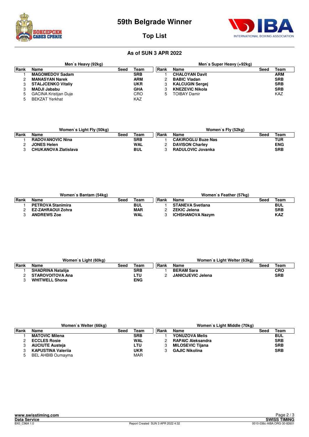



#### **Top List**

|             | Men's Heavy (92kg)           |      |            | Men's Super Heavy (+92kg) |                        |      |            |  |  |  |
|-------------|------------------------------|------|------------|---------------------------|------------------------|------|------------|--|--|--|
| <b>Rank</b> | Name                         | Seed | Team       | Rank                      | Name                   | Seed | Team       |  |  |  |
|             | <b>MAGOMEDOV Sadam</b>       |      | <b>SRB</b> |                           | <b>CHALOYAN Davit</b>  |      | <b>ARM</b> |  |  |  |
|             | <b>MANASYAN Narek</b>        |      | <b>ARM</b> |                           | <b>BABIC Vladan</b>    |      | <b>SRB</b> |  |  |  |
| 3           | <b>STALJCENKO Vitaliv</b>    |      | <b>UKR</b> |                           | <b>KALCUGIN Sergei</b> |      | <b>SRB</b> |  |  |  |
|             | <b>MADJI Jababu</b>          |      | <b>GHA</b> |                           | <b>KNEZEVIC Nikola</b> |      | <b>SRB</b> |  |  |  |
| 5           | <b>GACINA Kristijan Duje</b> |      | CRO        | 5                         | <b>TOIBAY Damir</b>    |      | <b>KAZ</b> |  |  |  |
|             | <b>BEKZAT Yerkhat</b>        |      | <b>KAZ</b> |                           |                        |      |            |  |  |  |

|       | Women's Light Fly (50kg)    |      |            |       | Women's Fly (52kg)        |      |            |
|-------|-----------------------------|------|------------|-------|---------------------------|------|------------|
| ∣Rank | Name                        | Seed | ™eam       | ∣Rank | Name                      | Seed | Team       |
|       | <b>RADOVANOVIC Nina</b>     |      | <b>SRB</b> |       | <b>CAKIROGLU Buze Nas</b> |      | TUR        |
|       | <b>JONES Helen</b>          |      | <b>WAL</b> |       | <b>DAVISON Charley</b>    |      | <b>ENG</b> |
|       | <b>CHUKANOVA Zlatislava</b> |      | <b>BUL</b> |       | RADULOVIC Jovanka         |      | <b>SRB</b> |

|              | Women's Bantam (54kg)    |      |            |       | Women's Feather (57kg)  |      |            |
|--------------|--------------------------|------|------------|-------|-------------------------|------|------------|
| <b>IRank</b> | Name                     | Seed | Team       | ∣Rank | Name                    | Seed | Team       |
|              | <b>PETROVA Stanimira</b> |      | BUL        |       | <b>STANEVA Svetlana</b> |      | <b>BUL</b> |
|              | EZ-ZAHRAOUI Zohra        |      | <b>MAR</b> |       | <b>ZEKIC Jelena</b>     |      | <b>SRB</b> |
|              | <b>ANDREWS Zoe</b>       |      | <b>WAL</b> |       | <b>ICHSHANOVA Nazym</b> |      | <b>KAZ</b> |

|       | Women's Light (60kg)     |      | Women's Light Welter (63kg) |       |                           |      |            |  |
|-------|--------------------------|------|-----------------------------|-------|---------------------------|------|------------|--|
| ∣Rank | Name                     | Seed | Team                        | ∣Rank | Name                      | Seed | Team       |  |
|       | <b>SHADRINA Natalija</b> |      | <b>SRB</b>                  |       | <b>BERAM Sara</b>         |      | <b>CRO</b> |  |
|       | <b>STAROVOITOVA Ana</b>  |      | ∟TU I                       |       | <b>JANICIJEVIC Jelena</b> |      | <b>SRB</b> |  |
|       | <b>WHITWELL Shona</b>    |      | <b>ENG</b>                  |       |                           |      |            |  |

|             | Women's Welter (66kg)     |      |            | Women's Light Middle (70kg) |                          |      |            |  |  |  |
|-------------|---------------------------|------|------------|-----------------------------|--------------------------|------|------------|--|--|--|
| <b>Rank</b> | Name                      | Seed | Team       | ∣Rank                       | Name                     | Seed | Team       |  |  |  |
|             | <b>MATOVIC Milena</b>     |      | <b>SRB</b> |                             | YONUZOVA Melis           |      | <b>BUL</b> |  |  |  |
|             | <b>ECCLES Rosie</b>       |      | <b>WAL</b> |                             | <b>RAPAIC Aleksandra</b> |      | <b>SRB</b> |  |  |  |
|             | <b>AUCIUTE Austeja</b>    |      | LTU        |                             | <b>MILOSEVIC Tijana</b>  |      | <b>SRB</b> |  |  |  |
|             | <b>KAPUSTINA Valerija</b> |      | UKR        |                             | <b>GAJIC Nikolina</b>    |      | <b>SRB</b> |  |  |  |
|             | <b>BEL AHBIB Oumayma</b>  |      | <b>MAR</b> |                             |                          |      |            |  |  |  |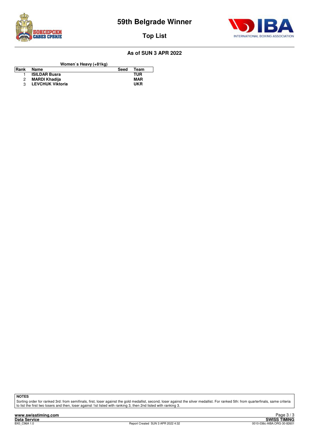



**Top List**

#### **As of SUN 3 APR 2022**

**Women`s Heavy (+81kg)**

| Rank | Name                    | Seed | Team       |
|------|-------------------------|------|------------|
|      | <b>ISILDAR Busra</b>    |      | TUR        |
|      | MARDI Khadija           |      | MAR        |
|      | <b>LEVCHUK Viktoria</b> |      | <b>UKR</b> |

**NOTES**

Sorting order for ranked 3rd: from semifinals, first, loser against the gold medallist, second, loser against the silver medallist. For ranked 5th: from quarterfinals, same criteria<br>to list the first two losers and then, l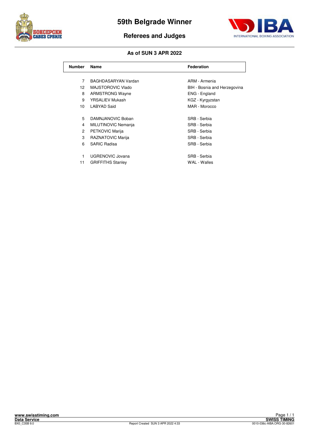



#### **Referees and Judges**

| <b>Number</b>   | Name                     | <b>Federation</b>            |
|-----------------|--------------------------|------------------------------|
|                 |                          |                              |
| 7               | BAGHDASARYAN Vardan      | ARM - Armenia                |
| 12              | MAJSTOROVIC Vlado        | BIH - Bosnia and Herzegovina |
| 8               | <b>ARMSTRONG Wayne</b>   | ENG - England                |
| 9               | <b>YRSALIEV Mukash</b>   | KGZ - Kyrgyzstan             |
| 10 <sup>1</sup> | <b>LABYAD Said</b>       | MAR - Morocco                |
|                 |                          |                              |
| 5               | DAMNJANOVIC Boban        | SRB - Serbia                 |
| 4               | MILUTINOVIC Nemanja      | SRB - Serbia                 |
| 2               | PETKOVIC Marija          | SRB - Serbia                 |
| 3               | RAZNATOVIC Marija        | SRB - Serbia                 |
| 6               | <b>SARIC Radisa</b>      | SRB - Serbia                 |
|                 |                          |                              |
| 1               | <b>UGRENOVIC Jovana</b>  | SRB - Serbia                 |
| 11              | <b>GRIFFITHS Stanley</b> | WAL - Walles                 |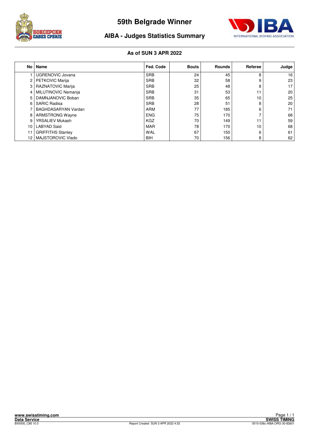



#### **AIBA - Judges Statistics Summary**

|    | No   Name                  | Fed. Code  | <b>Bouts</b> | <b>Rounds</b> | Referee | Judge           |
|----|----------------------------|------------|--------------|---------------|---------|-----------------|
|    | <b>UGRENOVIC Jovana</b>    | <b>SRB</b> | 24           | 45            | 8       | 16              |
| 2  | <b>PETKOVIC Marija</b>     | <b>SRB</b> | 32           | 58            | 9       | 23              |
| 3  | <b>RAZNATOVIC Marija</b>   | <b>SRB</b> | 25           | 48            | 8       | 17 <sup>1</sup> |
| 4  | MILUTINOVIC Nemanja        | <b>SRB</b> | 31           | 53            | 11      | 20              |
| 5  | DAMNJANOVIC Boban          | <b>SRB</b> | 35           | 65            | 10      | 25              |
| 6  | <b>SARIC Radisa</b>        | <b>SRB</b> | 28           | 51            | 8       | 20              |
|    | <b>BAGHDASARYAN Vardan</b> | <b>ARM</b> | 77           | 185           | 6       | 71              |
| 8  | <b>ARMSTRONG Wayne</b>     | <b>ENG</b> | 75           | 170           |         | 68              |
| 9  | <b>YRSALIEV Mukash</b>     | <b>KGZ</b> | 70           | 149           | 11      | 59              |
| 10 | LABYAD Said                | <b>MAR</b> | 78           | 170           | 10      | 68              |
| 11 | <b>GRIFFITHS Stanley</b>   | <b>WAL</b> | 67           | 150           | 6       | 61              |
| 12 | MAJSTOROVIC Vlado          | BIH        | 70           | 156           | 8       | 62              |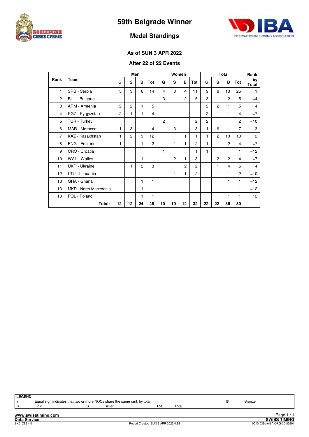



#### **Medal Standings**

#### **As of SUN 3 APR 2022**

#### **After 22 of 22 Events**

|                |                       |                |                | Men            |                |                |                | Women          |                |                |                | <b>Total</b>   |                | Rank               |
|----------------|-----------------------|----------------|----------------|----------------|----------------|----------------|----------------|----------------|----------------|----------------|----------------|----------------|----------------|--------------------|
| Rank           | Team                  | G              | S              | B              | Tot            | G              | S              | B              | Tot            | G              | S              | B              | Tot            | by<br><b>Total</b> |
| 1              | SRB - Serbia          | 5              | 3              | 6              | 14             | 4              | 3              | 4              | 11             | 9              | 6              | 10             | 25             | 1                  |
| $\overline{2}$ | <b>BUL</b> - Bulgaria |                |                |                |                | 3              |                | $\overline{c}$ | 5              | 3              |                | 2              | 5              | $=4$               |
| 3              | ARM - Armenia         | $\overline{c}$ | $\overline{c}$ | 1              | 5              |                |                |                |                | $\overline{c}$ | $\overline{c}$ | 1              | 5              | $=4$               |
| 4              | KGZ - Kyrgyzstan      | $\overline{c}$ | 1              | 1              | 4              |                |                |                |                | $\overline{c}$ | 1              | 1              | 4              | $=7$               |
| 5              | TUR - Turkey          |                |                |                |                | $\overline{c}$ |                |                | $\overline{c}$ | $\overline{c}$ |                |                | $\overline{c}$ | $=10$              |
| 6              | MAR - Morocco         | 1              | 3              |                | 4              |                | 3              |                | 3              | 1              | 6              |                | 7              | 3                  |
| $\overline{7}$ | KAZ - Kazakhstan      | 1              | $\overline{c}$ | 9              | 12             |                |                | 1              | 1              | 1              | $\overline{2}$ | 10             | 13             | $\overline{c}$     |
| 8              | ENG - England         | 1              |                | 1              | $\overline{c}$ |                | 1              | 1              | $\overline{c}$ | $\mathbf{1}$   | 1              | $\overline{c}$ | 4              | $=7$               |
| 9              | CRO - Croatia         |                |                |                |                | 1              |                |                | 1              | 1              |                |                | 1              | $=12$              |
| 10             | <b>WAL</b> - Walles   |                |                | 1              | 1              |                | $\overline{c}$ | 1              | 3              |                | $\overline{c}$ | $\overline{c}$ | 4              | $=7$               |
| 11             | <b>UKR</b> - Ukraine  |                | 1              | $\overline{2}$ | 3              |                |                | $\overline{c}$ | $\overline{c}$ |                | 1              | 4              | 5              | $=4$               |
| 12             | LTU - Lithuania       |                |                |                |                |                | 1              | 1              | $\overline{c}$ |                | 1              | 1              | $\overline{c}$ | $=10$              |
| 13             | GHA - Ghana           |                |                | 1              | 1              |                |                |                |                |                |                | 1              | 1              | $=12$              |
| 13             | MKD - North Macedonia |                |                | 1              | 1              |                |                |                |                |                |                | 1              | 1              | $=12$              |
| 13             | POL - Poland          |                |                | 1              | 1              |                |                |                |                |                |                | 1              | 1              | $=12$              |
|                | Total:                | 12             | 12             | 24             | 48             | 10             | 10             | 12             | 32             | 22             | 22             | 36             | 80             |                    |

**www.swisstiming.com LEGEND**<br>=<br>**G Equal sign indicates that two or more NOCs share the same rank by total <b>B** Bronze **B** Bronze **S** Bronze **B** Bronze **B** Bronze **G** Gold **S** Silver **Tot** Total Page 1 / 1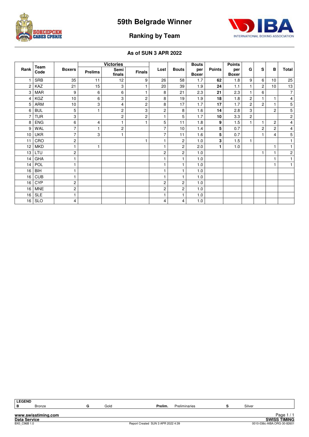



#### **Ranking by Team**

|      |              |                 |                | <b>Victories</b> |                |                |                | <b>Bouts</b>        |               | <b>Points</b>       |                |                |                 |                |
|------|--------------|-----------------|----------------|------------------|----------------|----------------|----------------|---------------------|---------------|---------------------|----------------|----------------|-----------------|----------------|
| Rank | Team<br>Code | <b>Boxers</b>   | <b>Prelims</b> | Semi<br>finals   | <b>Finals</b>  | Lost           | <b>Bouts</b>   | per<br><b>Boxer</b> | <b>Points</b> | per<br><b>Boxer</b> | G              | S              | в               | Total          |
|      | <b>SRB</b>   | 35              | 11             | 12               | 9              | 26             | 58             | 1.7                 | 62            | 1.8                 | 9              | 6              | 10              | 25             |
| 2    | KAZ          | 21              | 15             | 3                |                | 20             | 39             | 1.9                 | 24            | 1.1                 | 1              | $\overline{2}$ | 10 <sup>1</sup> | 13             |
| 3    | <b>MAR</b>   | 9               | 6              | 6                | 1              | 8              | 21             | 2.3                 | 21            | 2.3                 | 1              | 6              |                 | $\overline{7}$ |
| 4    | KGZ          | 10 <sup>1</sup> | 6              | 3                | $\overline{c}$ | 8              | 19             | 1.9                 | 18            | 1.8                 | 2              | $\mathbf{1}$   | 1               | $\overline{4}$ |
| 5    | ARM          | 10              | 3              | 4                | $\overline{c}$ | 8              | 17             | 1.7                 | 17            | 1.7                 | $\overline{c}$ | $\overline{2}$ | 1               | $\mathbf 5$    |
| 6    | <b>BUL</b>   | 5               | $\mathbf{1}$   | $\mathbf{2}$     | 3              | 2              | 8              | 1.6                 | 14            | 2.8                 | 3              |                | $\overline{c}$  | 5              |
|      | <b>TUR</b>   | 3               |                | $\overline{c}$   | 2              | 1              | 5              | 1.7                 | 10            | 3.3                 | 2              |                |                 | 2              |
| 8    | <b>ENG</b>   | 6               | 4              |                  |                | 5              | 11             | 1.8                 | 9             | 1.5                 | $\mathbf{1}$   | 1              | $\overline{c}$  | 4              |
| 9    | WAL          | 7               | 1              | $\overline{c}$   |                | 7              | 10             | 1.4                 | 5             | 0.7                 |                | $\overline{c}$ | $\overline{c}$  | $\overline{4}$ |
| 10   | <b>UKR</b>   | $\overline{7}$  | 3              |                  |                | $\overline{7}$ | 11             | 1.6                 | 5             | 0.7                 |                | 1              | 4               | $\mathbf 5$    |
| 11   | CRO          | $\overline{c}$  |                |                  | 1              | 1              | $\overline{c}$ | 1.0                 | 3             | 1.5                 | 1              |                |                 | 1              |
| 12   | <b>MKD</b>   |                 | 1              |                  |                | 1              | $\overline{c}$ | 2.0                 | 1             | 1.0                 |                |                | 1               | 1              |
| 13   | LTU          | 2               |                |                  |                | 2              | 2              | 1.0                 |               |                     |                | 1              |                 | $\overline{c}$ |
| 14   | GHA          |                 |                |                  |                |                |                | 1.0                 |               |                     |                |                | 1               | 1              |
| 14   | POL          |                 |                |                  |                | 1              | 1              | 1.0                 |               |                     |                |                | 1               | $\mathbf{1}$   |
| 16   | <b>BIH</b>   |                 |                |                  |                |                |                | 1.0                 |               |                     |                |                |                 |                |
| 16   | <b>CUB</b>   |                 |                |                  |                | 1              |                | 1.0                 |               |                     |                |                |                 |                |
| 16   | <b>CYP</b>   | 2               |                |                  |                | 2              | $\overline{c}$ | 1.0                 |               |                     |                |                |                 |                |
| 16   | <b>MNE</b>   | 2               |                |                  |                | 2              | 2              | 1.0                 |               |                     |                |                |                 |                |
| 16   | <b>SLE</b>   |                 |                |                  |                | 1              |                | 1.0                 |               |                     |                |                |                 |                |
| 16   | <b>SLO</b>   | 4               |                |                  |                | 4              | 4              | 1.0                 |               |                     |                |                |                 |                |

| <b>LEGEND</b>       |                     |      |                                    |               |        |                             |
|---------------------|---------------------|------|------------------------------------|---------------|--------|-----------------------------|
| в                   | <b>Bronze</b>       | Gold | Prelim.                            | Preliminaries | Silver |                             |
|                     |                     |      |                                    |               |        |                             |
|                     | www.swisstiming.com |      |                                    |               |        | Page                        |
| <b>Data Service</b> |                     |      |                                    |               |        | <b>SWISS TIMING</b>         |
| BX0 C96B 1.0        |                     |      | Report Created SUN 3 APR 2022 4:39 |               |        | 0010-036c-AIBA.ORG-30-82601 |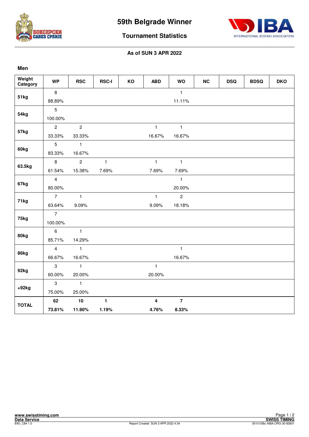



**Tournament Statistics**

| Weight<br>Category | <b>WP</b>       | <b>RSC</b>     | <b>RSC-I</b> | KO | <b>ABD</b>              | <b>WO</b>      | NC | <b>DSQ</b> | <b>BDSQ</b> | <b>DKO</b> |
|--------------------|-----------------|----------------|--------------|----|-------------------------|----------------|----|------------|-------------|------------|
| 51kg               | 8               |                |              |    |                         | $\mathbf{1}$   |    |            |             |            |
|                    | 88.89%          |                |              |    |                         | 11.11%         |    |            |             |            |
| 54kg               | $5\phantom{.0}$ |                |              |    |                         |                |    |            |             |            |
|                    | 100.00%         |                |              |    |                         |                |    |            |             |            |
| 57kg               | $\overline{2}$  | $\overline{2}$ |              |    | $\mathbf{1}$            | $\mathbf{1}$   |    |            |             |            |
|                    | 33.33%          | 33.33%         |              |    | 16.67%                  | 16.67%         |    |            |             |            |
| 60kg               | $\overline{5}$  | $\mathbf{1}$   |              |    |                         |                |    |            |             |            |
|                    | 83.33%          | 16.67%         |              |    |                         |                |    |            |             |            |
| 63.5kg             | 8               | $\overline{2}$ | $\mathbf{1}$ |    | $\mathbf{1}$            | $\mathbf{1}$   |    |            |             |            |
|                    | 61.54%          | 15.38%         | 7.69%        |    | 7.69%                   | 7.69%          |    |            |             |            |
|                    | $\overline{4}$  |                |              |    |                         | $\mathbf{1}$   |    |            |             |            |
| 67kg               | 80.00%          |                |              |    |                         | 20.00%         |    |            |             |            |
|                    | $\overline{7}$  | $\overline{1}$ |              |    | $\mathbf{1}$            | $\overline{2}$ |    |            |             |            |
| 71kg               | 63.64%          | 9.09%          |              |    | 9.09%                   | 18.18%         |    |            |             |            |
| 75kg               | $\overline{7}$  |                |              |    |                         |                |    |            |             |            |
|                    | 100.00%         |                |              |    |                         |                |    |            |             |            |
| 80kg               | $6\phantom{a}$  | $\mathbf{1}$   |              |    |                         |                |    |            |             |            |
|                    | 85.71%          | 14.29%         |              |    |                         |                |    |            |             |            |
| 86kg               | $\overline{4}$  | $\mathbf{1}$   |              |    |                         | $\mathbf{1}$   |    |            |             |            |
|                    | 66.67%          | 16.67%         |              |    |                         | 16.67%         |    |            |             |            |
|                    | $\mathbf{3}$    | $\mathbf{1}$   |              |    | $\mathbf{1}$            |                |    |            |             |            |
| 92kg               | 60.00%          | 20.00%         |              |    | 20.00%                  |                |    |            |             |            |
|                    | $\mathbf{3}$    | $\mathbf{1}$   |              |    |                         |                |    |            |             |            |
| $+92kg$            | 75.00%          | 25.00%         |              |    |                         |                |    |            |             |            |
| <b>TOTAL</b>       | 62              | $10$           | $\mathbf{1}$ |    | $\overline{\mathbf{4}}$ | $\overline{7}$ |    |            |             |            |
|                    | 73.81%          | 11.90%         | 1.19%        |    | 4.76%                   | 8.33%          |    |            |             |            |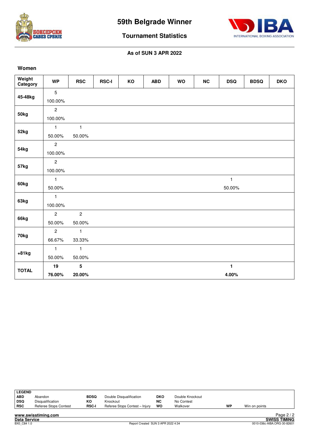



**Tournament Statistics**

#### **As of SUN 3 APR 2022**

#### **Women**

| Weight<br>Category | <b>WP</b>      | <b>RSC</b>     | <b>RSC-I</b> | KO | <b>ABD</b> | <b>WO</b> | NC | <b>DSQ</b>   | <b>BDSQ</b> | <b>DKO</b> |
|--------------------|----------------|----------------|--------------|----|------------|-----------|----|--------------|-------------|------------|
| 45-48kg            | 5              |                |              |    |            |           |    |              |             |            |
|                    | 100.00%        |                |              |    |            |           |    |              |             |            |
| 50kg               | $\overline{c}$ |                |              |    |            |           |    |              |             |            |
|                    | 100.00%        |                |              |    |            |           |    |              |             |            |
| 52kg               | $\mathbf{1}$   | $\mathbf{1}$   |              |    |            |           |    |              |             |            |
|                    | 50.00%         | 50.00%         |              |    |            |           |    |              |             |            |
| 54kg               | $\overline{c}$ |                |              |    |            |           |    |              |             |            |
|                    | 100.00%        |                |              |    |            |           |    |              |             |            |
|                    | $\overline{c}$ |                |              |    |            |           |    |              |             |            |
| 57kg               | 100.00%        |                |              |    |            |           |    |              |             |            |
|                    | $\mathbf{1}$   |                |              |    |            |           |    | $\mathbf{1}$ |             |            |
| 60kg               | 50.00%         |                |              |    |            |           |    | 50.00%       |             |            |
|                    | $\mathbf{1}$   |                |              |    |            |           |    |              |             |            |
| 63kg               | 100.00%        |                |              |    |            |           |    |              |             |            |
|                    | $\overline{c}$ | $\overline{2}$ |              |    |            |           |    |              |             |            |
| 66kg               | 50.00%         | 50.00%         |              |    |            |           |    |              |             |            |
| 70kg               | $\overline{c}$ | $\mathbf{1}$   |              |    |            |           |    |              |             |            |
|                    | 66.67%         | 33.33%         |              |    |            |           |    |              |             |            |
| $+81kg$            | $\mathbf{1}$   | $\mathbf{1}$   |              |    |            |           |    |              |             |            |
|                    | 50.00%         | 50.00%         |              |    |            |           |    |              |             |            |
| <b>TOTAL</b>       | 19             | $5\phantom{a}$ |              |    |            |           |    | $\mathbf{1}$ |             |            |
|                    | 76.00%         | 20.00%         |              |    |            |           |    | 4.00%        |             |            |

| LEGEND |                       |             |                                |     |                 |    |               |                      |
|--------|-----------------------|-------------|--------------------------------|-----|-----------------|----|---------------|----------------------|
| ∣ ABD  | Abandon               | <b>BDSQ</b> | Double Disqualification        | DKO | Double Knockout |    |               |                      |
| ∣ DSQ  | Disqualification      | КO          | Knockout                       | NC  | No Contest      |    |               |                      |
| RSC    | Referee Stops Contest | RSC-I       | Referee Stops Contest - Injury | wo  | Walkover        | WP | Win on points |                      |
|        | .                     |             |                                |     |                 |    |               | $D - \cdots$ $D / D$ |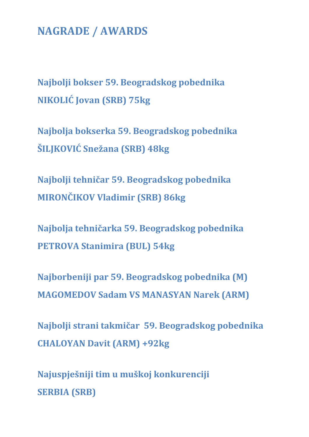### **NAGRADE / AWARDS**

**Najbolji bokser 59. Beogradskog pobednika NIKOLIĆ Jovan (SRB) 75kg** 

**Najbolja bokserka 59. Beogradskog pobednika ŠILJKOVIĆ Snežana (SRB) 48kg** 

**Najbolji tehničar 59. Beogradskog pobednika MIRONČIKOV Vladimir (SRB) 86kg** 

**Najbolja tehničarka 59. Beogradskog pobednika PETROVA Stanimira (BUL) 54kg** 

**Najborbeniji par 59. Beogradskog pobednika (M) MAGOMEDOV Sadam VS MANASYAN Narek (ARM)** 

**Najbolji strani takmičar 59. Beogradskog pobednika CHALOYAN Davit (ARM) +92kg** 

**Najuspješniji tim u muškoj konkurenciji SERBIA (SRB)**